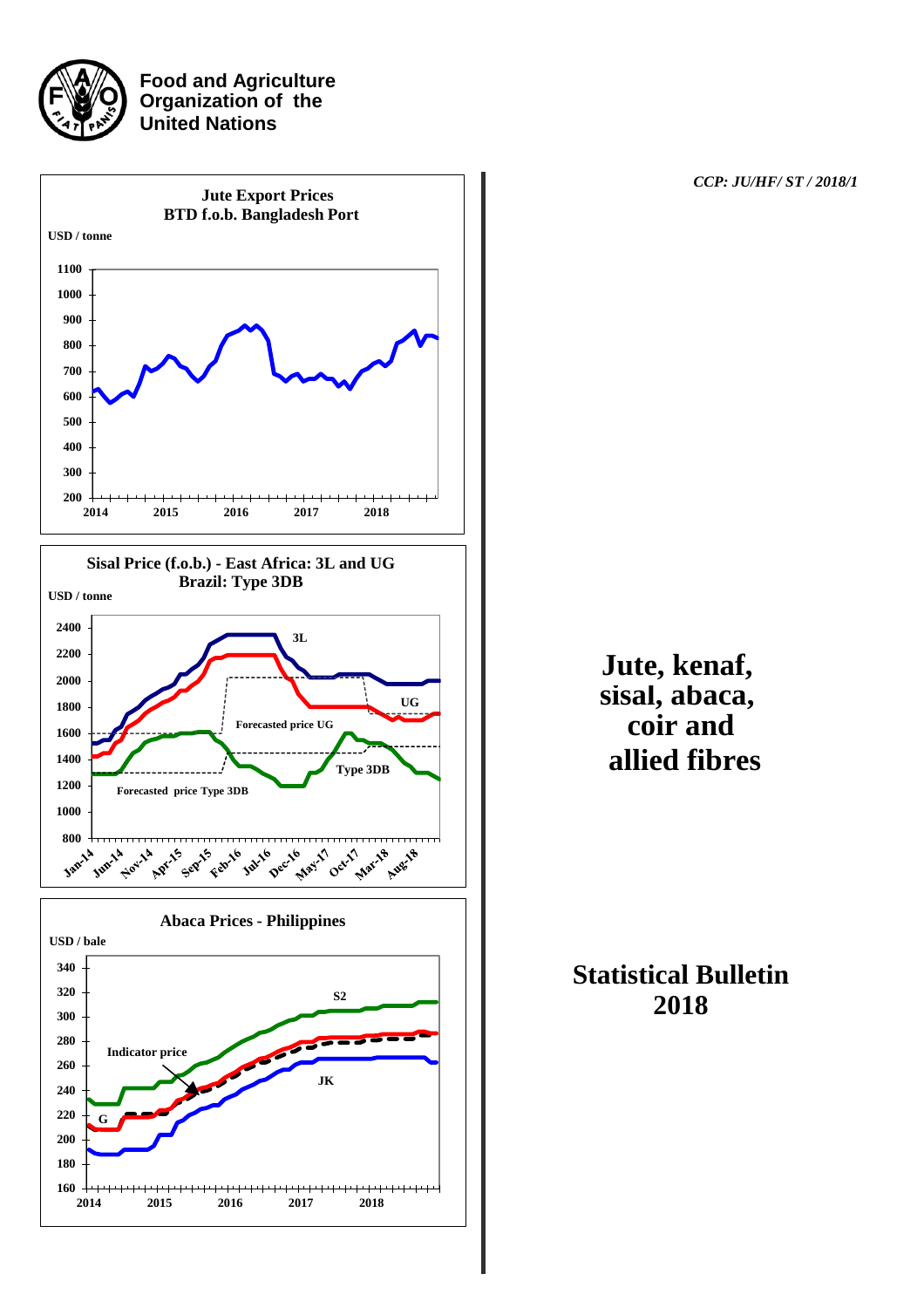

**Food and Agriculture Organization of the United Nations**



 *CCP: JU/HF/ ST / 2018/1*

## **Jute, kenaf, sisal, abaca, coir and allied fibres**

**Statistical Bulletin 2018**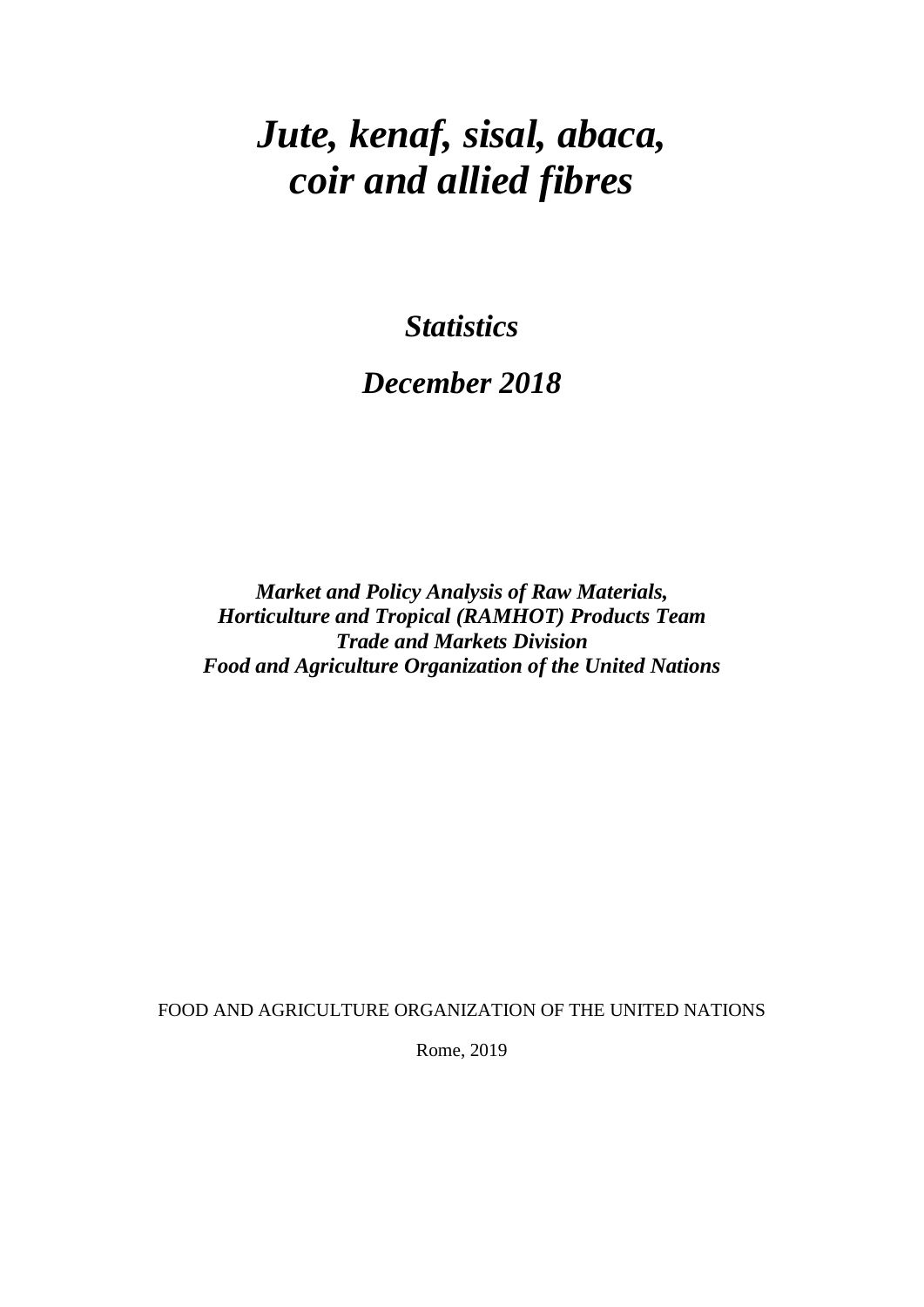# *Jute, kenaf, sisal, abaca, coir and allied fibres*

*Statistics* 

## *December 2018*

*Market and Policy Analysis of Raw Materials, Horticulture and Tropical (RAMHOT) Products Team Trade and Markets Division Food and Agriculture Organization of the United Nations*

FOOD AND AGRICULTURE ORGANIZATION OF THE UNITED NATIONS

Rome, 2019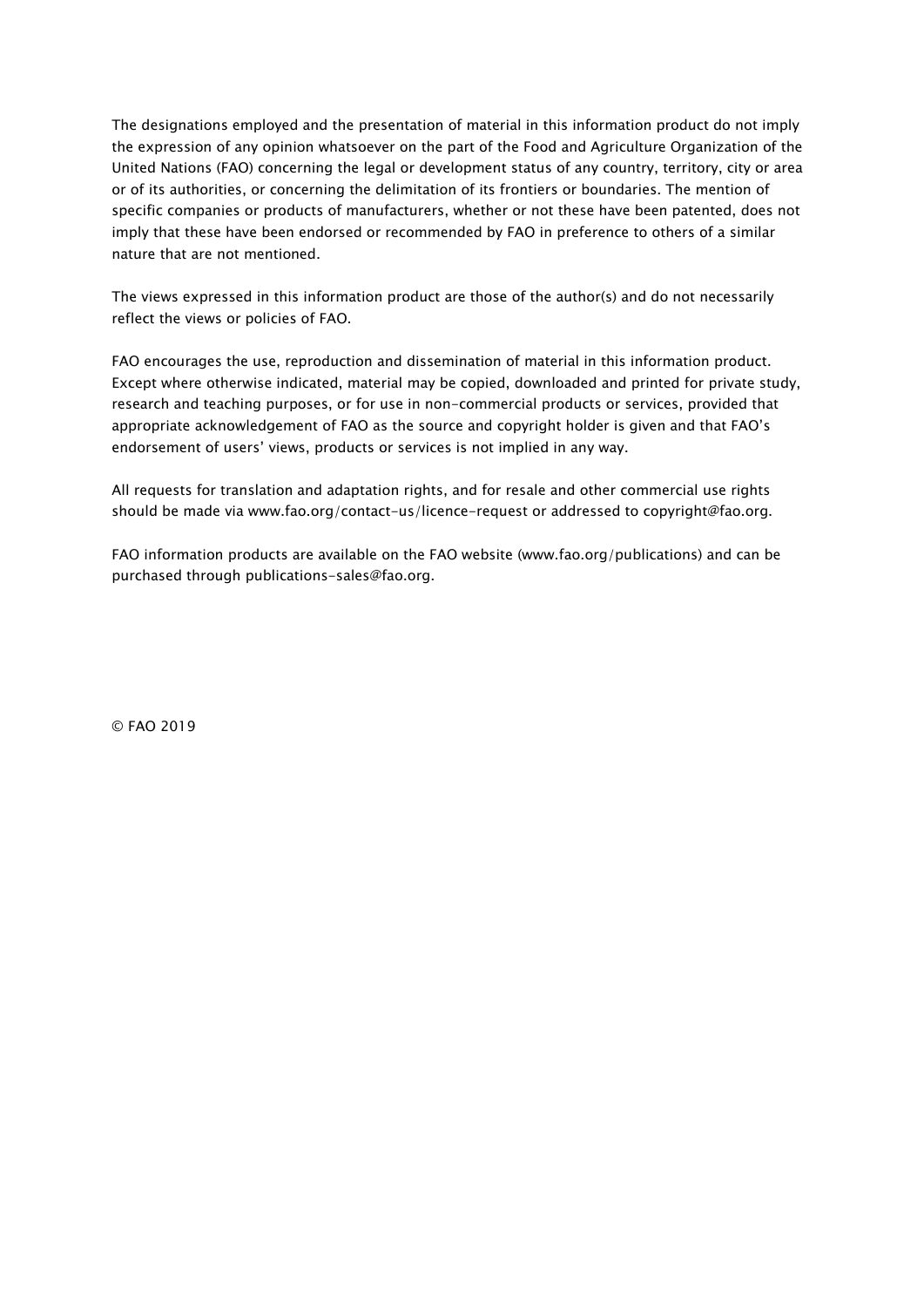The designations employed and the presentation of material in this information product do not imply the expression of any opinion whatsoever on the part of the Food and Agriculture Organization of the United Nations (FAO) concerning the legal or development status of any country, territory, city or area or of its authorities, or concerning the delimitation of its frontiers or boundaries. The mention of specific companies or products of manufacturers, whether or not these have been patented, does not imply that these have been endorsed or recommended by FAO in preference to others of a similar nature that are not mentioned.

The views expressed in this information product are those of the author(s) and do not necessarily reflect the views or policies of FAO.

FAO encourages the use, reproduction and dissemination of material in this information product. Except where otherwise indicated, material may be copied, downloaded and printed for private study, research and teaching purposes, or for use in non-commercial products or services, provided that appropriate acknowledgement of FAO as the source and copyright holder is given and that FAO's endorsement of users' views, products or services is not implied in any way.

All requests for translation and adaptation rights, and for resale and other commercial use rights should be made via www.fao.org/contact-us/licence-request or addressed to copyright@fao.org.

FAO information products are available on the FAO website (www.fao.org/publications) and can be purchased through publications-sales@fao.org.

© FAO 2019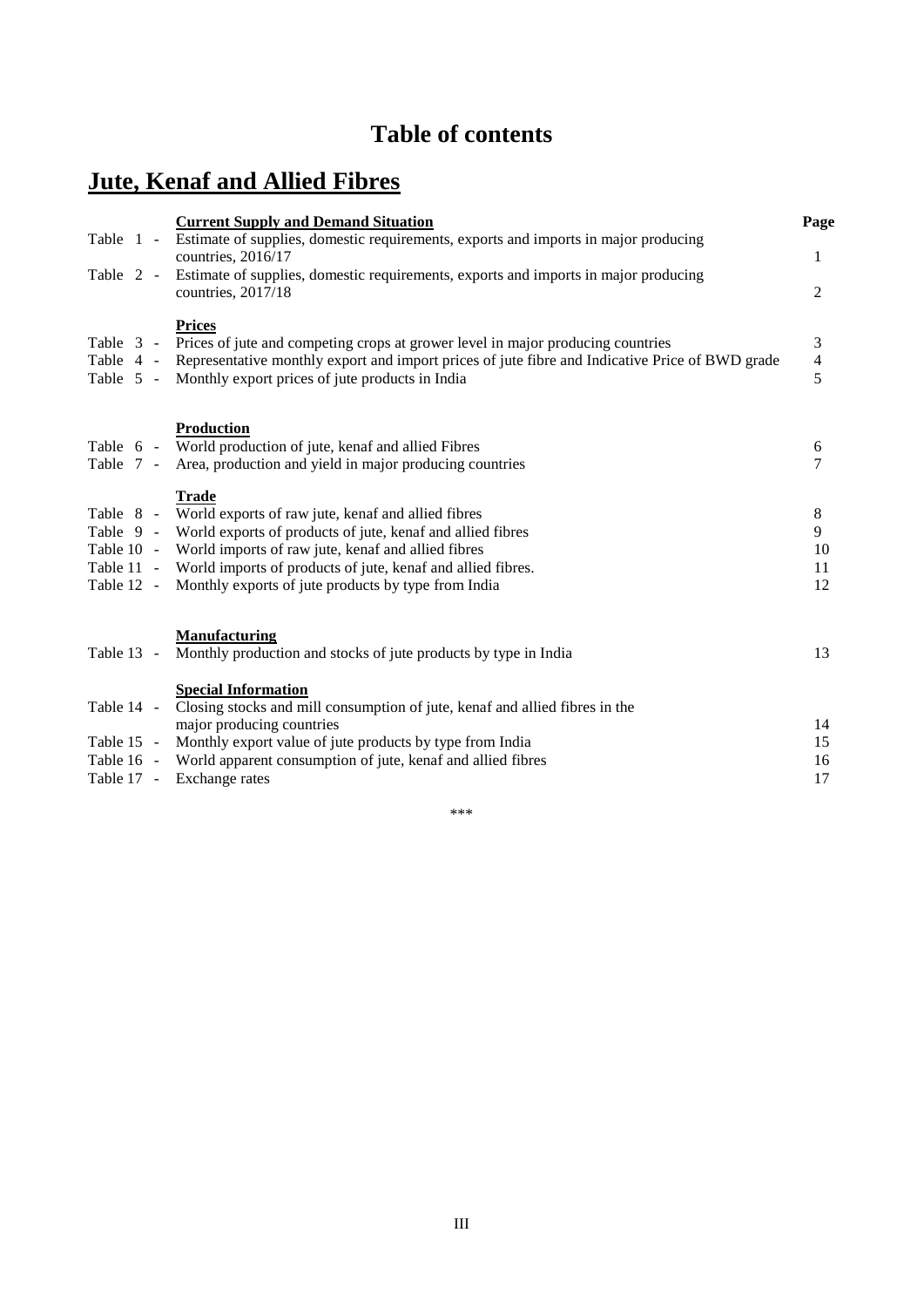## **Table of contents**

## **Jute, Kenaf and Allied Fibres**

|                          |  | <b>Current Supply and Demand Situation</b>                                                                                                                                                                                                                                                                                                             | Page                     |
|--------------------------|--|--------------------------------------------------------------------------------------------------------------------------------------------------------------------------------------------------------------------------------------------------------------------------------------------------------------------------------------------------------|--------------------------|
| Table 1 -                |  | Estimate of supplies, domestic requirements, exports and imports in major producing<br>countries, 2016/17                                                                                                                                                                                                                                              | 1                        |
| Table 2 -                |  | Estimate of supplies, domestic requirements, exports and imports in major producing<br>countries, 2017/18                                                                                                                                                                                                                                              | $\overline{2}$           |
|                          |  | <b>Prices</b><br>Table 3 - Prices of jute and competing crops at grower level in major producing countries<br>Table 4 - Representative monthly export and import prices of jute fibre and Indicative Price of BWD grade<br>Table 5 - Monthly export prices of jute products in India                                                                   | 3<br>$\overline{4}$<br>5 |
| Table 7 -                |  | <b>Production</b><br>Table 6 - World production of jute, kenaf and allied Fibres<br>Area, production and yield in major producing countries                                                                                                                                                                                                            | 6<br>7                   |
| Table 12 -               |  | <b>Trade</b><br>Table 8 - World exports of raw jute, kenaf and allied fibres<br>Table 9 - World exports of products of jute, kenaf and allied fibres<br>Table 10 - World imports of raw jute, kenaf and allied fibres<br>Table 11 - World imports of products of jute, kenaf and allied fibres.<br>Monthly exports of jute products by type from India | 8<br>9<br>10<br>11<br>12 |
| Table 13 -               |  | <b>Manufacturing</b><br>Monthly production and stocks of jute products by type in India                                                                                                                                                                                                                                                                | 13                       |
| Table 14 -<br>Table 17 - |  | <b>Special Information</b><br>Closing stocks and mill consumption of jute, kenaf and allied fibres in the<br>major producing countries<br>Table 15 - Monthly export value of jute products by type from India<br>Table 16 - World apparent consumption of jute, kenaf and allied fibres<br>Exchange rates                                              | 14<br>15<br>16<br>17     |

\*\*\*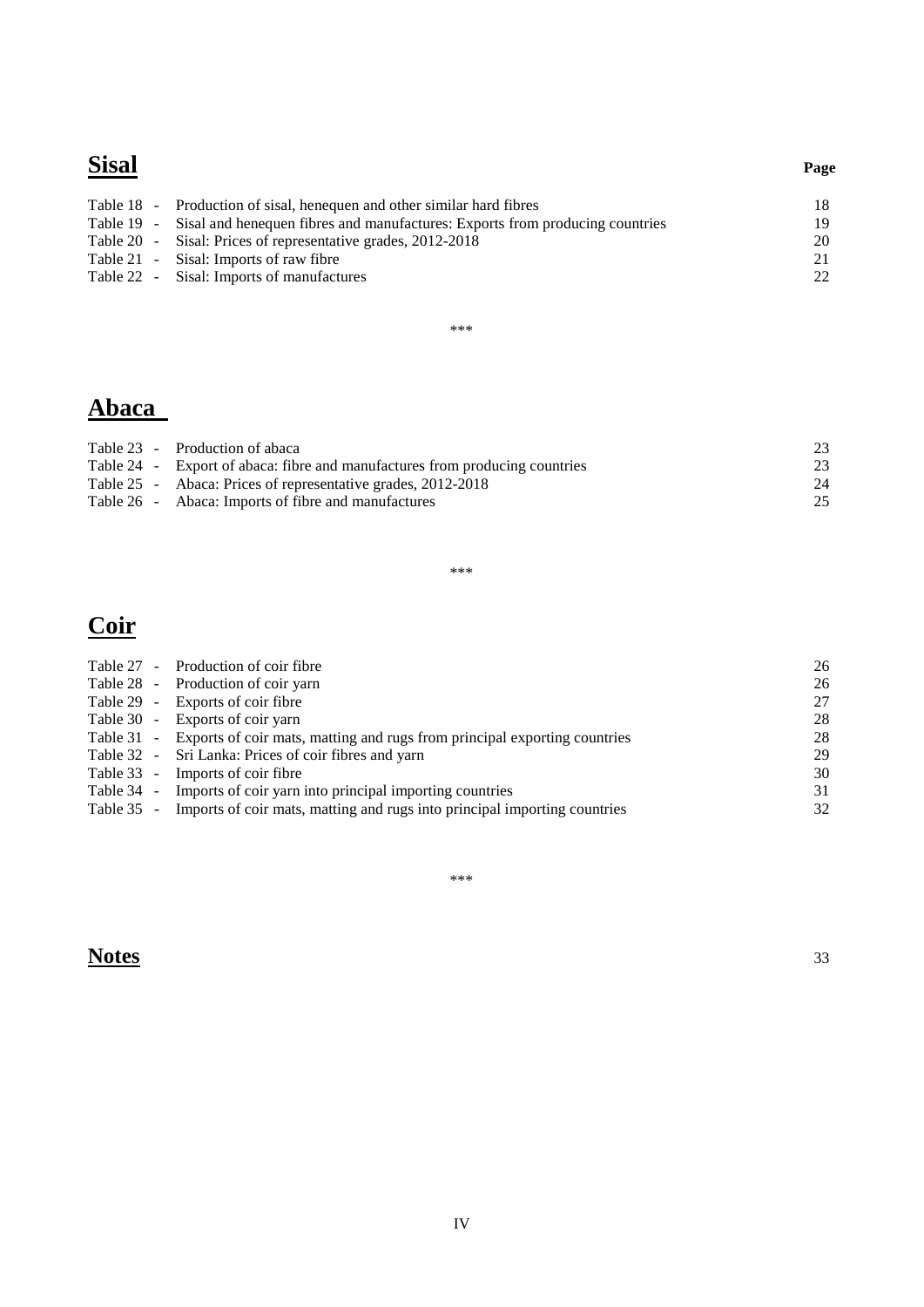### **Sisal Page**

Table 18 - Production of sisal, henequen and other similar hard fibres 18<br>Table 19 - Sisal and henequen fibres and manufactures: Exports from producing countries 19 Table 19 - Sisal and henequen fibres and manufactures: Exports from producing countries 19<br>Table 20 - Sisal: Prices of representative grades, 2012-2018 20 Table 20 - Sisal: Prices of representative grades, 2012-2018 20<br>
Table 21 - Sisal: Imports of raw fibre 21 200

Table 22 - Sisal: Imports of manufactures 22

\*\*\*

### **Abaca**

| Table 23 - Production of abaca                                              | 23 |
|-----------------------------------------------------------------------------|----|
| Table 24 - Export of abaca: fibre and manufactures from producing countries | 23 |
| Table 25 - Abaca: Prices of representative grades, 2012-2018                | 24 |
| Table 26 - Abaca: Imports of fibre and manufactures                         | 25 |

\*\*\*

## **Coir**

|  | Table 27 - Production of coir fibre                                                  | 26 |
|--|--------------------------------------------------------------------------------------|----|
|  | Table 28 - Production of coir yarn                                                   | 26 |
|  | Table 29 - Exports of coir fibre                                                     | 27 |
|  | Table 30 - Exports of coir yarn                                                      | 28 |
|  | Table 31 - Exports of coir mats, matting and rugs from principal exporting countries | 28 |
|  | Table 32 - Sri Lanka: Prices of coir fibres and yarn                                 | 29 |
|  | Table 33 - Imports of coir fibre                                                     | 30 |
|  | Table 34 - Imports of coir yarn into principal importing countries                   | 31 |
|  | Table 35 - Imports of coir mats, matting and rugs into principal importing countries | 32 |

\*\*\*

**Notes** 33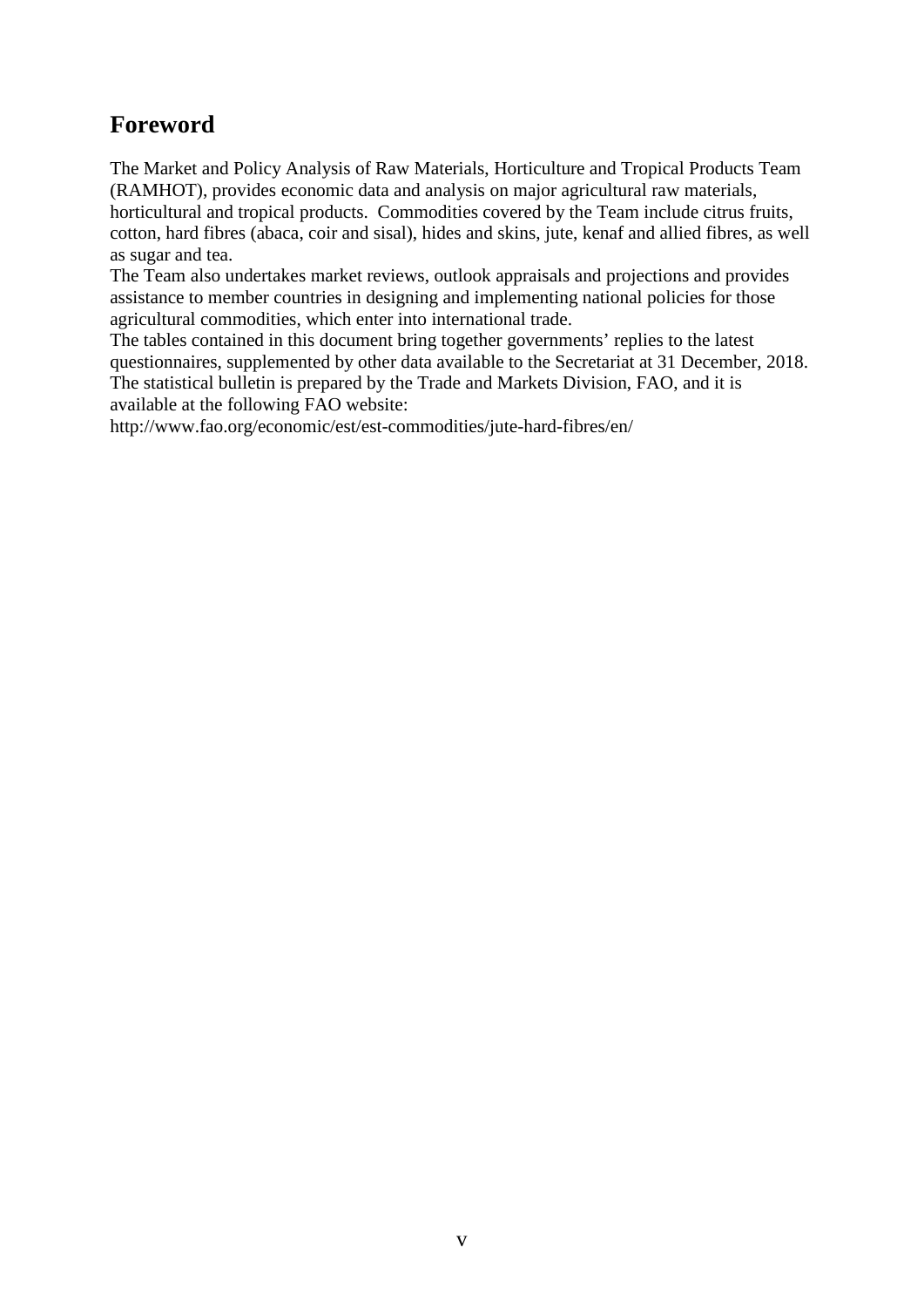### **Foreword**

The Market and Policy Analysis of Raw Materials, Horticulture and Tropical Products Team (RAMHOT), provides economic data and analysis on major agricultural raw materials, horticultural and tropical products. Commodities covered by the Team include citrus fruits, cotton, hard fibres (abaca, coir and sisal), hides and skins, jute, kenaf and allied fibres, as well as sugar and tea.

The Team also undertakes market reviews, outlook appraisals and projections and provides assistance to member countries in designing and implementing national policies for those agricultural commodities, which enter into international trade.

The tables contained in this document bring together governments' replies to the latest questionnaires, supplemented by other data available to the Secretariat at 31 December, 2018. The statistical bulletin is prepared by the Trade and Markets Division, FAO, and it is available at the following FAO website:

<http://www.fao.org/economic/est/est-commodities/jute-hard-fibres/en/>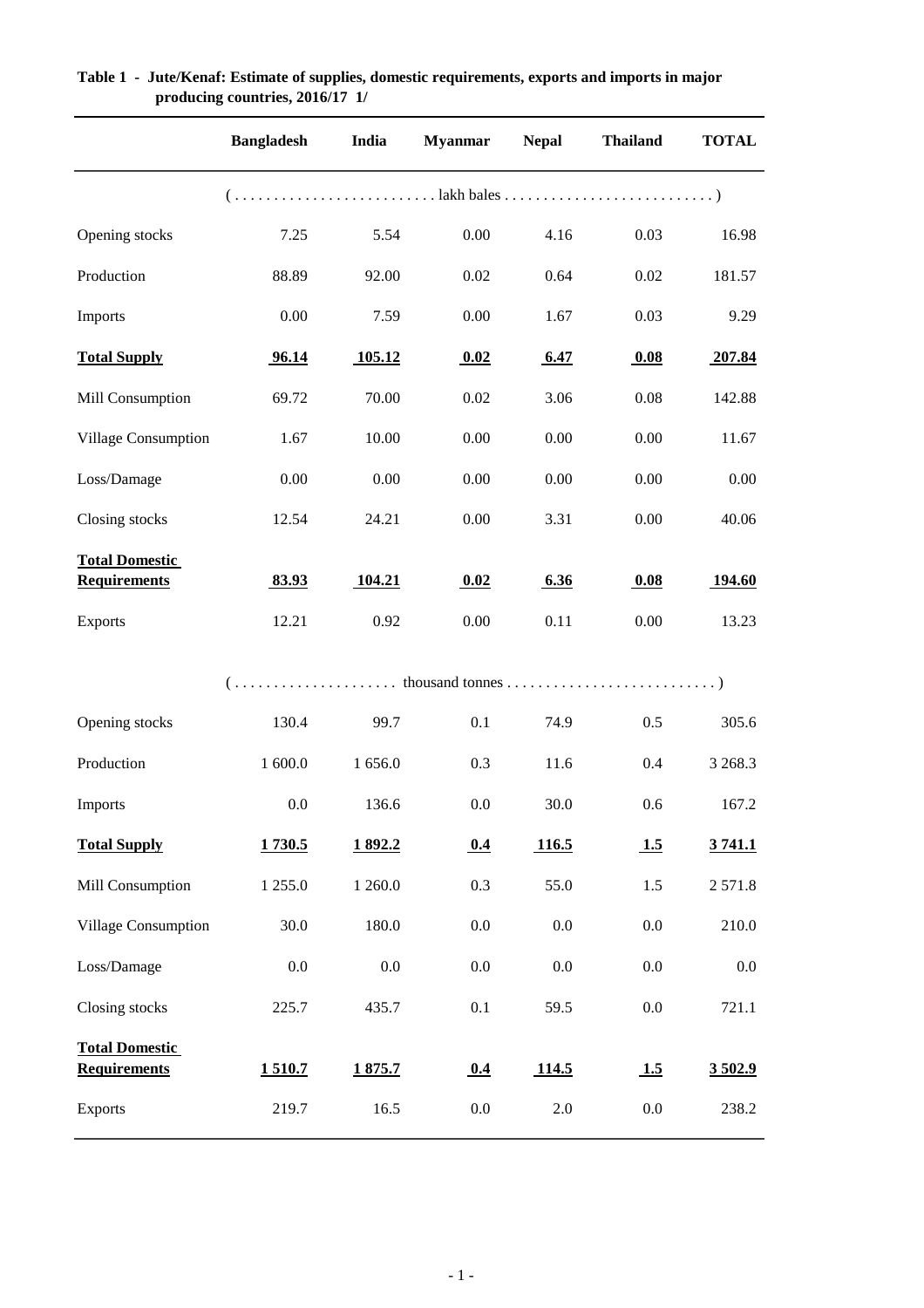|                                              | <b>Bangladesh</b> | India   | <b>Myanmar</b> | <b>Nepal</b> | <b>Thailand</b> | <b>TOTAL</b>  |
|----------------------------------------------|-------------------|---------|----------------|--------------|-----------------|---------------|
|                                              |                   |         |                |              |                 |               |
| Opening stocks                               | 7.25              | 5.54    | 0.00           | 4.16         | 0.03            | 16.98         |
| Production                                   | 88.89             | 92.00   | 0.02           | 0.64         | 0.02            | 181.57        |
| Imports                                      | 0.00              | 7.59    | 0.00           | 1.67         | 0.03            | 9.29          |
| <b>Total Supply</b>                          | 96.14             | 105.12  | 0.02           | 6.47         | 0.08            | 207.84        |
| Mill Consumption                             | 69.72             | 70.00   | 0.02           | 3.06         | 0.08            | 142.88        |
| Village Consumption                          | 1.67              | 10.00   | 0.00           | 0.00         | 0.00            | 11.67         |
| Loss/Damage                                  | 0.00              | 0.00    | 0.00           | 0.00         | 0.00            | 0.00          |
| Closing stocks                               | 12.54             | 24.21   | 0.00           | 3.31         | 0.00            | 40.06         |
| <b>Total Domestic</b><br><b>Requirements</b> | 83.93             | 104.21  | 0.02           | 6.36         | 0.08            | <u>194.60</u> |
| <b>Exports</b>                               | 12.21             | 0.92    | 0.00           | 0.11         | 0.00            | 13.23         |
|                                              |                   |         |                |              |                 |               |
| Opening stocks                               | 130.4             | 99.7    | 0.1            | 74.9         | 0.5             | 305.6         |
| Production                                   | 1 600.0           | 1 656.0 | 0.3            | 11.6         | 0.4             | 3 2 68.3      |
| Imports                                      | $0.0\,$           | 136.6   | 0.0            | 30.0         | $0.6\,$         | 167.2         |
| <b>Total Supply</b>                          | 1730.5            | 1892.2  | 0.4            | 116.5        | 1.5             | 3741.1        |
| Mill Consumption                             | 1 255.0           | 1 260.0 | 0.3            | 55.0         | 1.5             | 2571.8        |
| Village Consumption                          | 30.0              | 180.0   | $0.0\,$        | $0.0\,$      | 0.0             | 210.0         |
| Loss/Damage                                  | $0.0\,$           | 0.0     | $0.0\,$        | $0.0\,$      | 0.0             | 0.0           |
| Closing stocks                               | 225.7             | 435.7   | 0.1            | 59.5         | 0.0             | 721.1         |
| <b>Total Domestic</b><br><b>Requirements</b> | 1510.7            | 1875.7  | 0.4            | 114.5        | 1.5             | 3502.9        |
| <b>Exports</b>                               | 219.7             | 16.5    | $0.0\,$        | $2.0\,$      | $0.0\,$         | 238.2         |

#### **Table 1 - Jute/Kenaf: Estimate of supplies, domestic requirements, exports and imports in major producing countries, 2016/17 1/**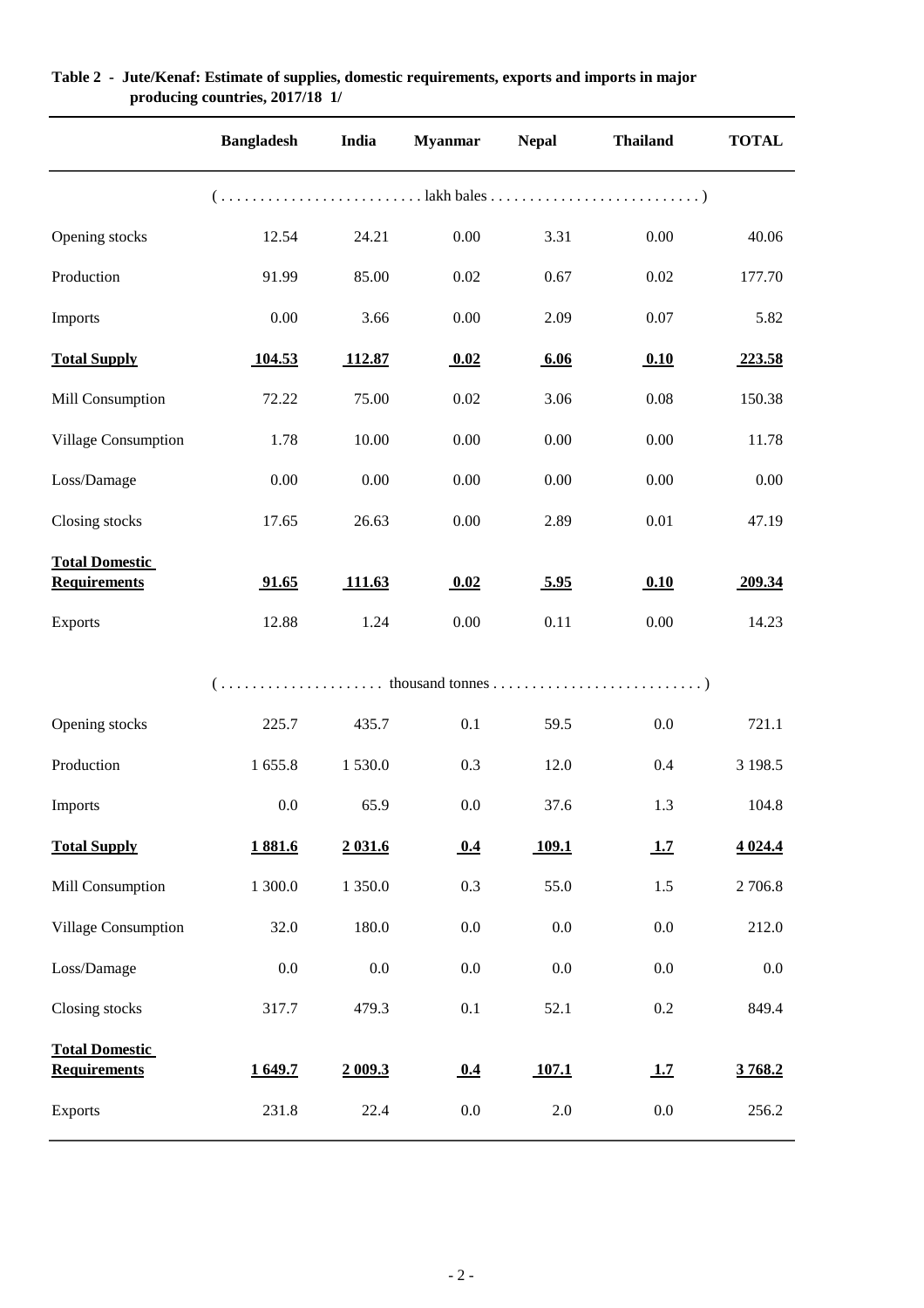|                                              | <b>Bangladesh</b> | India   | <b>Myanmar</b> | <b>Nepal</b> | <b>Thailand</b> | <b>TOTAL</b> |
|----------------------------------------------|-------------------|---------|----------------|--------------|-----------------|--------------|
|                                              |                   |         |                |              |                 |              |
| Opening stocks                               | 12.54             | 24.21   | $0.00\,$       | 3.31         | 0.00            | 40.06        |
| Production                                   | 91.99             | 85.00   | 0.02           | 0.67         | 0.02            | 177.70       |
| Imports                                      | 0.00              | 3.66    | $0.00\,$       | 2.09         | 0.07            | 5.82         |
| <b>Total Supply</b>                          | 104.53            | 112.87  | 0.02           | 6.06         | 0.10            | 223.58       |
| Mill Consumption                             | 72.22             | 75.00   | $0.02\,$       | 3.06         | 0.08            | 150.38       |
| Village Consumption                          | 1.78              | 10.00   | $0.00\,$       | 0.00         | 0.00            | 11.78        |
| Loss/Damage                                  | 0.00              | 0.00    | $0.00\,$       | 0.00         | $0.00\,$        | 0.00         |
| Closing stocks                               | 17.65             | 26.63   | $0.00\,$       | 2.89         | 0.01            | 47.19        |
| <b>Total Domestic</b><br><b>Requirements</b> | 91.65             | 111.63  | 0.02           | 5.95         | 0.10            | 209.34       |
| <b>Exports</b>                               | 12.88             | 1.24    | 0.00           | 0.11         | 0.00            | 14.23        |
|                                              |                   |         |                |              |                 |              |
| Opening stocks                               | 225.7             | 435.7   | 0.1            | 59.5         | $0.0\,$         | 721.1        |
| Production                                   | 1 655.8           | 1 530.0 | 0.3            | 12.0         | 0.4             | 3 198.5      |
| Imports                                      | $0.0\,$           | 65.9    | $0.0\,$        | 37.6         | 1.3             | 104.8        |
| <b>Total Supply</b>                          | 1881.6            | 2 031.6 | 0.4            | <b>109.1</b> | 1.7             | 4 0 24.4     |
| Mill Consumption                             | 1 300.0           | 1 350.0 | 0.3            | 55.0         | 1.5             | 2 706.8      |
| Village Consumption                          | 32.0              | 180.0   | $0.0\,$        | $0.0\,$      | 0.0             | 212.0        |
| Loss/Damage                                  | 0.0               | $0.0\,$ | $0.0\,$        | $0.0\,$      | $0.0\,$         | $0.0\,$      |
| Closing stocks                               | 317.7             | 479.3   | 0.1            | 52.1         | $0.2\,$         | 849.4        |
| <b>Total Domestic</b>                        |                   |         |                |              |                 |              |
| <b>Requirements</b>                          | 1649.7            | 2009.3  | 0.4            | 107.1        | 1.7             | 3768.2       |
| <b>Exports</b>                               | 231.8             | 22.4    | $0.0\,$        | $2.0\,$      | $0.0\,$         | 256.2        |

#### **Table 2 - Jute/Kenaf: Estimate of supplies, domestic requirements, exports and imports in major producing countries, 2017/18 1/**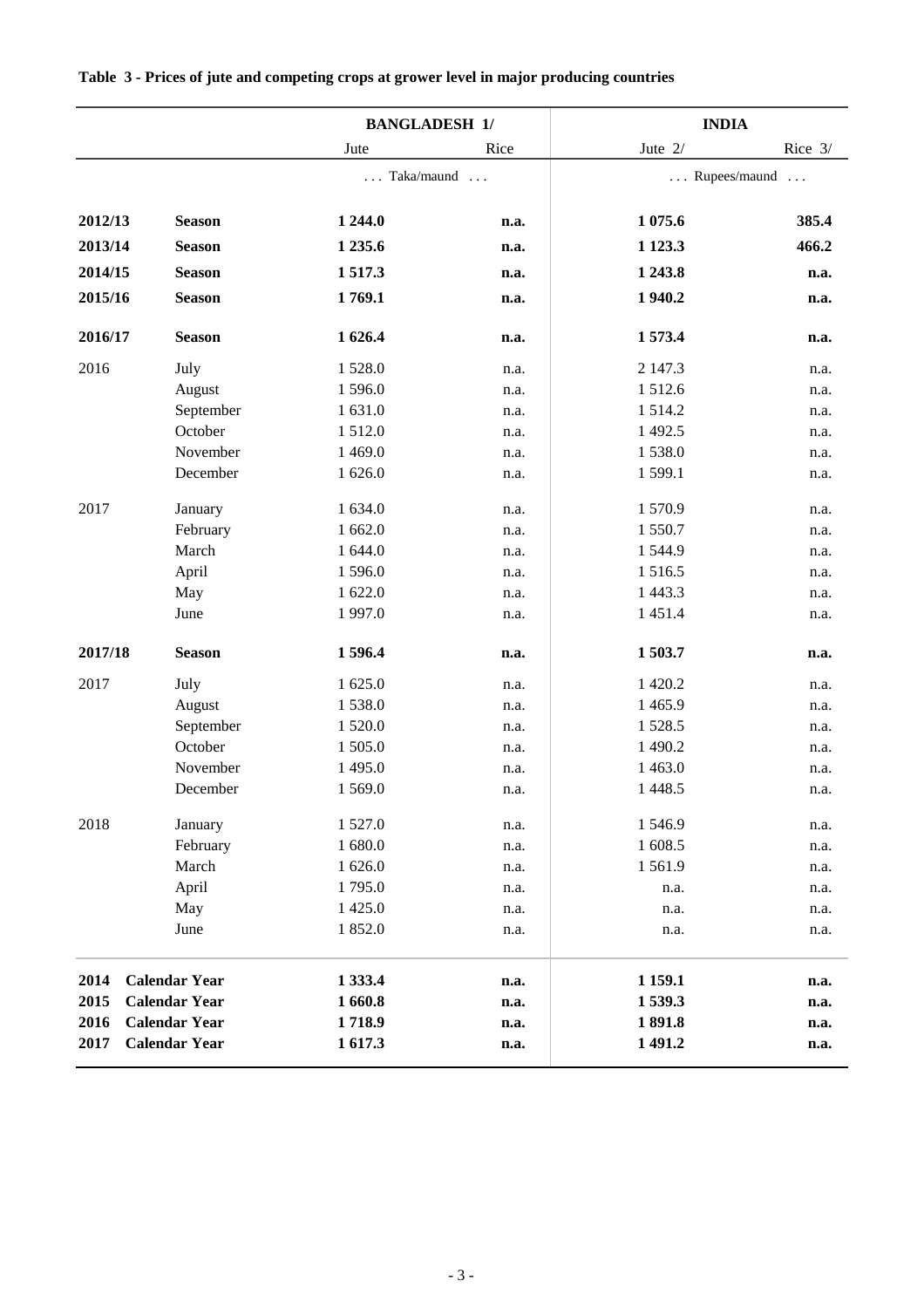|         |                      | <b>BANGLADESH 1/</b>   |      | <b>INDIA</b> |              |  |
|---------|----------------------|------------------------|------|--------------|--------------|--|
|         |                      | Jute                   | Rice | Jute $2/$    | Rice 3/      |  |
|         |                      | Taka/maund<br>$\ldots$ |      |              | Rupees/maund |  |
| 2012/13 | <b>Season</b>        | 1 244.0                | n.a. | 1 075.6      | 385.4        |  |
| 2013/14 | <b>Season</b>        | 1 2 3 5 . 6            | n.a. | 1 1 2 3 .3   | 466.2        |  |
| 2014/15 | <b>Season</b>        | 1517.3                 | n.a. | 1 243.8      | n.a.         |  |
| 2015/16 | <b>Season</b>        | 1769.1                 | n.a. | 1940.2       | n.a.         |  |
| 2016/17 | <b>Season</b>        | 1 626.4                | n.a. | 1573.4       | n.a.         |  |
| 2016    | July                 | 1528.0                 | n.a. | 2 147.3      | n.a.         |  |
|         | August               | 1596.0                 | n.a. | 1512.6       | n.a.         |  |
|         | September            | 1 631.0                | n.a. | 1514.2       | n.a.         |  |
|         | October              | 1512.0                 | n.a. | 1 492.5      | n.a.         |  |
|         | November             | 1 4 6 9.0              | n.a. | 1538.0       | n.a.         |  |
|         | December             | 1 626.0                | n.a. | 1 599.1      | n.a.         |  |
| 2017    | January              | 1 634.0                | n.a. | 1570.9       | n.a.         |  |
|         | February             | 1 662.0                | n.a. | 1550.7       | n.a.         |  |
|         | March                | 1 644.0                | n.a. | 1544.9       | n.a.         |  |
|         | April                | 1596.0                 | n.a. | 1516.5       | n.a.         |  |
|         | May                  | 1 622.0                | n.a. | 1 4 4 3 . 3  | n.a.         |  |
|         | June                 | 1997.0                 | n.a. | 1 4 5 1 .4   | n.a.         |  |
| 2017/18 | <b>Season</b>        | 1596.4                 | n.a. | 1503.7       | n.a.         |  |
| 2017    | July                 | 1 625.0                | n.a. | 1 4 2 0.2    | n.a.         |  |
|         | August               | 1538.0                 | n.a. | 1 4 6 5.9    | n.a.         |  |
|         | September            | 1 5 2 0.0              | n.a. | 1528.5       | n.a.         |  |
|         | October              | 1 505.0                | n.a. | 1 490.2      | n.a.         |  |
|         | November             | 1 495.0                | n.a. | 1 4 6 3 .0   | n.a.         |  |
|         | December             | 1569.0                 | n.a. | 1 4 4 8.5    | n.a.         |  |
| 2018    | January              | 1 5 2 7 .0             | n.a. | 1546.9       | n.a.         |  |
|         | February             | 1 680.0                | n.a. | 1 608.5      | n.a.         |  |
|         | March                | 1 626.0                | n.a. | 1561.9       | n.a.         |  |
|         | April                | 1795.0                 | n.a. | n.a.         | n.a.         |  |
|         | May                  | 1 4 2 5 .0             | n.a. | n.a.         | n.a.         |  |
|         | June                 | 1852.0                 | n.a. | n.a.         | n.a.         |  |
| 2014    | <b>Calendar Year</b> | 1 3 3 3 .4             | n.a. | 1 159.1      | n.a.         |  |
| 2015    | <b>Calendar Year</b> | 1660.8                 | n.a. | 1539.3       | n.a.         |  |
| 2016    | <b>Calendar Year</b> | 1718.9                 | n.a. | 1891.8       | n.a.         |  |
| 2017    | <b>Calendar Year</b> | 1617.3                 | n.a. | 1 491.2      | n.a.         |  |
|         |                      |                        |      |              |              |  |

#### **Table 3 - Prices of jute and competing crops at grower level in major producing countries**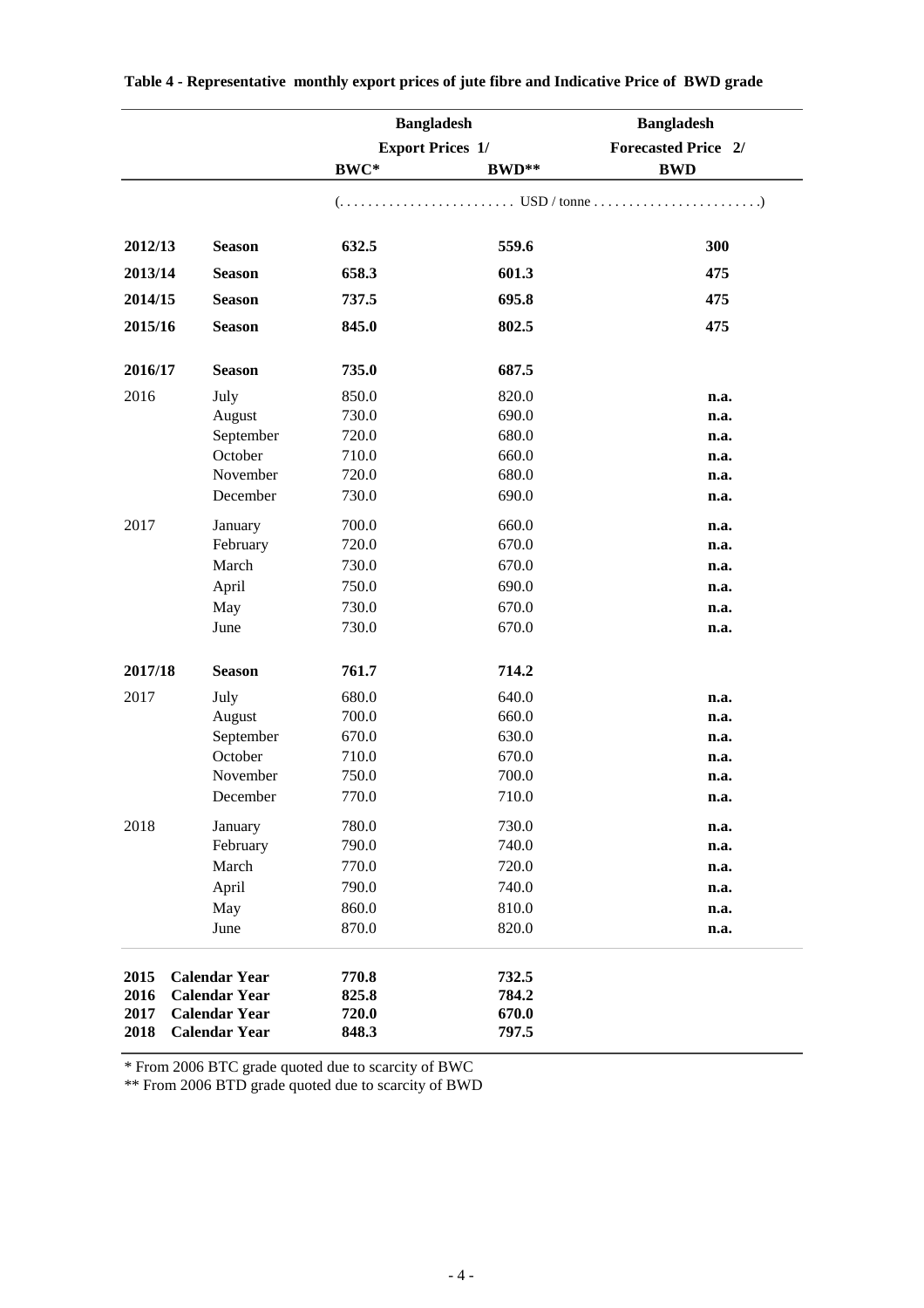|         |                      | <b>Bangladesh</b>       |       | <b>Bangladesh</b>          |  |
|---------|----------------------|-------------------------|-------|----------------------------|--|
|         |                      | <b>Export Prices 1/</b> |       | <b>Forecasted Price 2/</b> |  |
|         |                      | BWC*                    | BWD** | <b>BWD</b>                 |  |
|         |                      |                         |       |                            |  |
| 2012/13 | <b>Season</b>        | 632.5                   | 559.6 | 300                        |  |
| 2013/14 | <b>Season</b>        | 658.3                   | 601.3 | 475                        |  |
| 2014/15 | <b>Season</b>        | 737.5                   | 695.8 | 475                        |  |
| 2015/16 | <b>Season</b>        | 845.0                   | 802.5 | 475                        |  |
| 2016/17 | <b>Season</b>        | 735.0                   | 687.5 |                            |  |
| 2016    | July                 | 850.0                   | 820.0 |                            |  |
|         | August               | 730.0                   | 690.0 | n.a.<br>n.a.               |  |
|         | September            | 720.0                   | 680.0 | n.a.                       |  |
|         | October              | 710.0                   | 660.0 | n.a.                       |  |
|         | November             | 720.0                   | 680.0 | n.a.                       |  |
|         | December             | 730.0                   | 690.0 | n.a.                       |  |
| 2017    | January              | 700.0                   | 660.0 | n.a.                       |  |
|         | February             | 720.0                   | 670.0 | n.a.                       |  |
|         | March                | 730.0                   | 670.0 | n.a.                       |  |
|         | April                | 750.0                   | 690.0 | n.a.                       |  |
|         | May                  | 730.0                   | 670.0 | n.a.                       |  |
|         | June                 | 730.0                   | 670.0 | n.a.                       |  |
| 2017/18 | <b>Season</b>        | 761.7                   | 714.2 |                            |  |
| 2017    | July                 | 680.0                   | 640.0 | n.a.                       |  |
|         | August               | 700.0                   | 660.0 | n.a.                       |  |
|         | September            | 670.0                   | 630.0 | n.a.                       |  |
|         | October              | 710.0                   | 670.0 | n.a.                       |  |
|         | November             | 750.0                   | 700.0 | n.a.                       |  |
|         | December             | 770.0                   | 710.0 | n.a.                       |  |
| 2018    | January              | 780.0                   | 730.0 | n.a.                       |  |
|         | February             | 790.0                   | 740.0 | n.a.                       |  |
|         | March                | 770.0                   | 720.0 | n.a.                       |  |
|         | April                | 790.0                   | 740.0 | n.a.                       |  |
|         | May                  | 860.0                   | 810.0 | n.a.                       |  |
|         | June                 | 870.0                   | 820.0 | n.a.                       |  |
| 2015    | <b>Calendar Year</b> | 770.8                   | 732.5 |                            |  |
| 2016    | <b>Calendar Year</b> | 825.8                   | 784.2 |                            |  |
| 2017    | <b>Calendar Year</b> | 720.0                   | 670.0 |                            |  |
| 2018    | <b>Calendar Year</b> | 848.3                   | 797.5 |                            |  |

\* From 2006 BTC grade quoted due to scarcity of BWC

\*\* From 2006 BTD grade quoted due to scarcity of BWD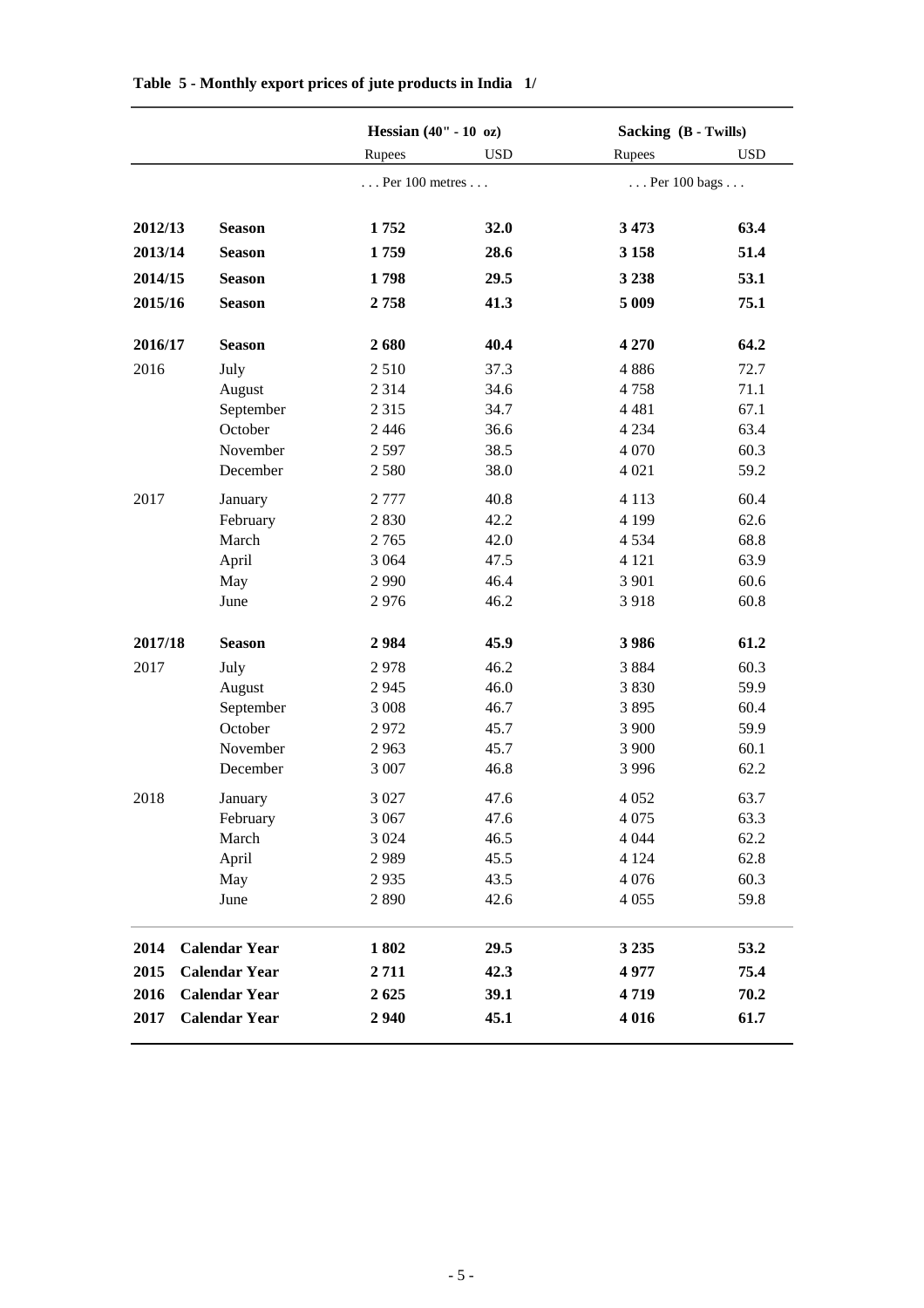|         |                      | Hessian $(40" - 10 \text{ oz})$  |            | Sacking (B - Twills) |            |  |
|---------|----------------------|----------------------------------|------------|----------------------|------------|--|
|         |                      | Rupees                           | <b>USD</b> | Rupees               | <b>USD</b> |  |
|         |                      | $\ldots$ Per 100 metres $\ldots$ |            | Per 100 bags         |            |  |
|         |                      |                                  |            |                      |            |  |
| 2012/13 | <b>Season</b>        | 1752                             | 32.0       | 3 4 7 3              | 63.4       |  |
| 2013/14 | <b>Season</b>        | 1759                             | 28.6       | 3 1 5 8              | 51.4       |  |
| 2014/15 | <b>Season</b>        | 1798                             | 29.5       | 3 2 3 8              | 53.1       |  |
| 2015/16 | <b>Season</b>        | 2758                             | 41.3       | 5 0 0 9              | 75.1       |  |
| 2016/17 | <b>Season</b>        | 2680                             | 40.4       | 4 2 7 0              | 64.2       |  |
| 2016    | July                 | 2510                             | 37.3       | 4886                 | 72.7       |  |
|         | August               | 2 3 1 4                          | 34.6       | 4758                 | 71.1       |  |
|         | September            | 2 3 1 5                          | 34.7       | 4 4 8 1              | 67.1       |  |
|         | October              | 2446                             | 36.6       | 4 2 3 4              | 63.4       |  |
|         | November             | 2597                             | 38.5       | 4 0 7 0              | 60.3       |  |
|         | December             | 2580                             | 38.0       | 4 0 2 1              | 59.2       |  |
| 2017    | January              | 2 7 7 7                          | 40.8       | 4 1 1 3              | 60.4       |  |
|         | February             | 2830                             | 42.2       | 4 1 9 9              | 62.6       |  |
|         | March                | 2765                             | 42.0       | 4 5 3 4              | 68.8       |  |
|         | April                | 3 0 6 4                          | 47.5       | 4 1 2 1              | 63.9       |  |
|         | May                  | 2 9 9 0                          | 46.4       | 3 9 0 1              | 60.6       |  |
|         | June                 | 2976                             | 46.2       | 3918                 | 60.8       |  |
| 2017/18 | <b>Season</b>        | 2984                             | 45.9       | 3986                 | 61.2       |  |
| 2017    | July                 | 2978                             | 46.2       | 3884                 | 60.3       |  |
|         | August               | 2945                             | 46.0       | 3830                 | 59.9       |  |
|         | September            | 3 0 0 8                          | 46.7       | 3895                 | 60.4       |  |
|         | October              | 2972                             | 45.7       | 3 900                | 59.9       |  |
|         | November             | 2963                             | 45.7       | 3 900                | 60.1       |  |
|         | December             | 3 007                            | 46.8       | 3 9 9 6              | 62.2       |  |
| 2018    | January              | 3 0 27                           | 47.6       | 4 0 5 2              | 63.7       |  |
|         | February             | 3 0 6 7                          | 47.6       | 4 0 7 5              | 63.3       |  |
|         | March                | 3 0 2 4                          | 46.5       | 4 0 4 4              | 62.2       |  |
|         | April                | 2989                             | 45.5       | 4 1 2 4              | 62.8       |  |
|         | May                  | 2935                             | 43.5       | 4 0 7 6              | 60.3       |  |
|         | June                 | 2890                             | 42.6       | 4 0 5 5              | 59.8       |  |
| 2014    | <b>Calendar Year</b> | 1802                             | 29.5       | 3 2 3 5              | 53.2       |  |
| 2015    | <b>Calendar Year</b> | 2711                             | 42.3       | 4977                 | 75.4       |  |
| 2016    | <b>Calendar Year</b> | 2625                             | 39.1       | 4719                 | 70.2       |  |
| 2017    | <b>Calendar Year</b> | 2940                             | 45.1       | 4 0 1 6              | 61.7       |  |
|         |                      |                                  |            |                      |            |  |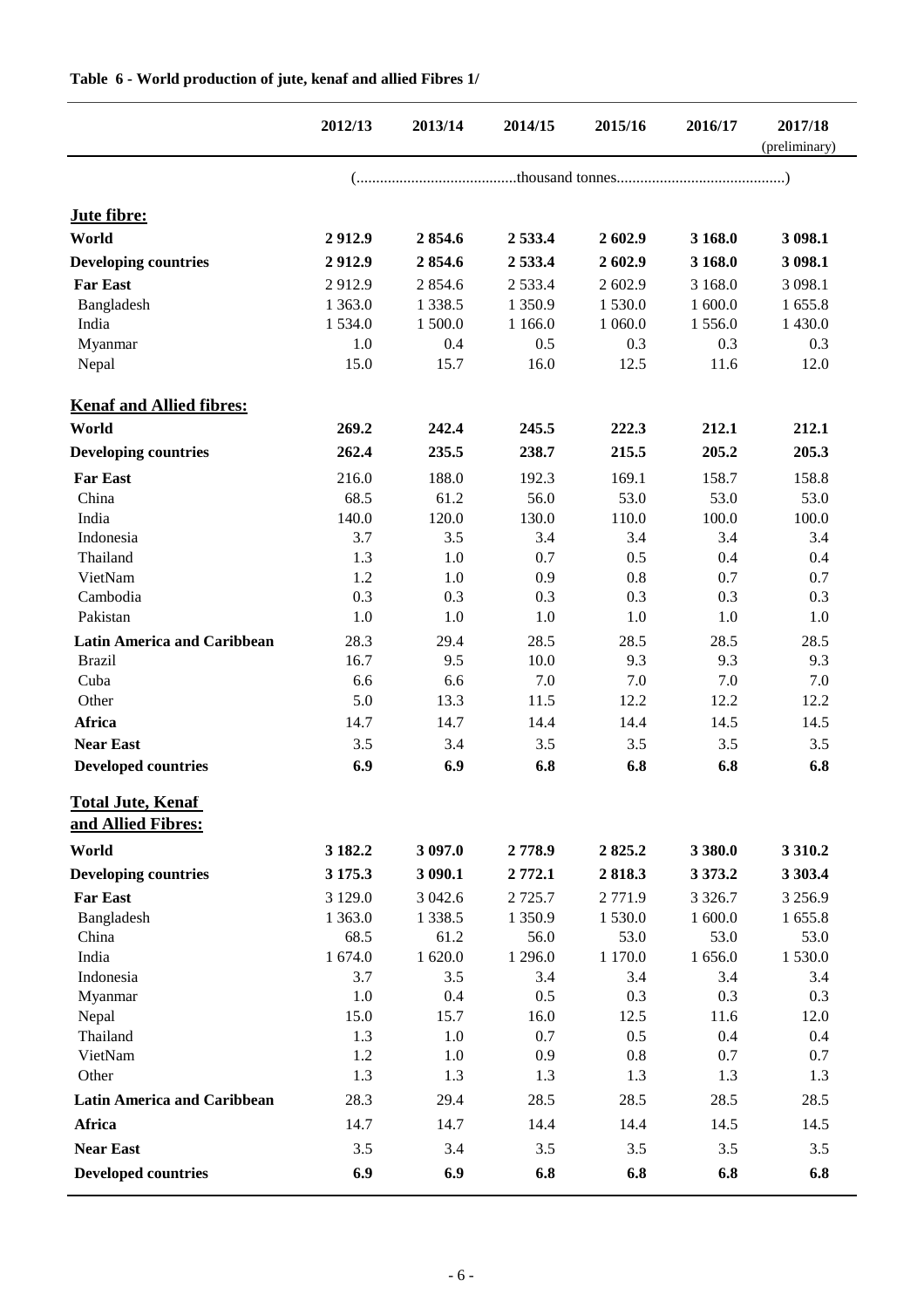|                                                | 2012/13    | 2013/14     | 2014/15    | 2015/16 | 2016/17     | 2017/18<br>(preliminary) |
|------------------------------------------------|------------|-------------|------------|---------|-------------|--------------------------|
|                                                |            |             |            |         |             |                          |
| Jute fibre:                                    |            |             |            |         |             |                          |
| World                                          | 2912.9     | 2854.6      | 2 5 3 3 .4 | 2602.9  | 3 168.0     | 3 098.1                  |
| <b>Developing countries</b>                    | 2912.9     | 2854.6      | 2 5 3 3 .4 | 2602.9  | 3 168.0     | 3 098.1                  |
| <b>Far East</b>                                | 2912.9     | 2854.6      | 2 5 3 3 .4 | 2 602.9 | 3 1 68.0    | 3 0 98.1                 |
| Bangladesh                                     | 1 3 6 3 .0 | 1 3 3 8 . 5 | 1 350.9    | 1530.0  | 1 600.0     | 1 655.8                  |
| India                                          | 1 5 3 4 .0 | 1 500.0     | 1 1 6 6 .0 | 1 060.0 | 1556.0      | 1 430.0                  |
| Myanmar                                        | 1.0        | 0.4         | 0.5        | 0.3     | 0.3         | 0.3                      |
| Nepal                                          | 15.0       | 15.7        | 16.0       | 12.5    | 11.6        | 12.0                     |
| <b>Kenaf and Allied fibres:</b>                |            |             |            |         |             |                          |
| World                                          | 269.2      | 242.4       | 245.5      | 222.3   | 212.1       | 212.1                    |
| <b>Developing countries</b>                    | 262.4      | 235.5       | 238.7      | 215.5   | 205.2       | 205.3                    |
| <b>Far East</b>                                | 216.0      | 188.0       | 192.3      | 169.1   | 158.7       | 158.8                    |
| China                                          | 68.5       | 61.2        | 56.0       | 53.0    | 53.0        | 53.0                     |
| India                                          | 140.0      | 120.0       | 130.0      | 110.0   | 100.0       | 100.0                    |
| Indonesia                                      | 3.7        | 3.5         | 3.4        | 3.4     | 3.4         | 3.4                      |
| Thailand                                       | 1.3        | 1.0         | 0.7        | 0.5     | 0.4         | 0.4                      |
| VietNam                                        | 1.2        | 1.0         | 0.9        | 0.8     | 0.7         | 0.7                      |
| Cambodia                                       | 0.3        | 0.3         | 0.3        | 0.3     | 0.3         | 0.3                      |
| Pakistan                                       | 1.0        | 1.0         | 1.0        | 1.0     | 1.0         | 1.0                      |
| <b>Latin America and Caribbean</b>             | 28.3       | 29.4        | 28.5       | 28.5    | 28.5        | 28.5                     |
| <b>Brazil</b>                                  | 16.7       | 9.5         | 10.0       | 9.3     | 9.3         | 9.3                      |
| Cuba                                           | 6.6        | 6.6         | 7.0        | 7.0     | 7.0         | 7.0                      |
| Other                                          | 5.0        | 13.3        | 11.5       | 12.2    | 12.2        | 12.2                     |
| <b>Africa</b>                                  | 14.7       | 14.7        | 14.4       | 14.4    | 14.5        | 14.5                     |
| <b>Near East</b>                               | 3.5        | 3.4         | 3.5        | 3.5     | 3.5         | 3.5                      |
| <b>Developed countries</b>                     | 6.9        | 6.9         | 6.8        | 6.8     | 6.8         | 6.8                      |
| <b>Total Jute, Kenaf</b><br>and Allied Fibres: |            |             |            |         |             |                          |
| World                                          | 3 182.2    | 3 097.0     | 2778.9     | 2825.2  | 3 3 8 0.0   | 3 3 1 0.2                |
| <b>Developing countries</b>                    | 3 175.3    | 3 090.1     | 2 772.1    | 2818.3  | 3 3 7 3 . 2 | 3 303.4                  |
| <b>Far East</b>                                | 3 1 2 9 .0 | 3 042.6     | 2 7 2 5 .7 | 2771.9  | 3 3 2 6.7   | 3 2 5 6.9                |
| Bangladesh                                     | 1 3 6 3 .0 | 1 3 3 8 . 5 | 1 350.9    | 1530.0  | 1 600.0     | 1 655.8                  |
| China                                          | 68.5       | 61.2        | 56.0       | 53.0    | 53.0        | 53.0                     |
| India                                          | 1 674.0    | 1 620.0     | 1 296.0    | 1 170.0 | 1 656.0     | 1 530.0                  |
| Indonesia                                      | 3.7        | 3.5         | 3.4        | 3.4     | 3.4         | 3.4                      |
| Myanmar                                        | 1.0        | 0.4         | 0.5        | 0.3     | 0.3         | 0.3                      |
| Nepal                                          | 15.0       | 15.7        | 16.0       | 12.5    | 11.6        | 12.0                     |
| Thailand                                       | 1.3        | 1.0         | 0.7        | 0.5     | 0.4         | 0.4                      |
| VietNam                                        | 1.2        | 1.0         | 0.9        | 0.8     | 0.7         | 0.7                      |
| Other                                          | 1.3        | 1.3         | 1.3        | 1.3     | 1.3         | 1.3                      |
| <b>Latin America and Caribbean</b>             | 28.3       | 29.4        | 28.5       | 28.5    | 28.5        | 28.5                     |
| Africa                                         | 14.7       | 14.7        | 14.4       | 14.4    | 14.5        | 14.5                     |
| <b>Near East</b>                               | 3.5        | 3.4         | 3.5        | 3.5     | 3.5         | 3.5                      |
| <b>Developed countries</b>                     | 6.9        | 6.9         | 6.8        | 6.8     | 6.8         | 6.8                      |

#### **Table 6 - World production of jute, kenaf and allied Fibres 1/**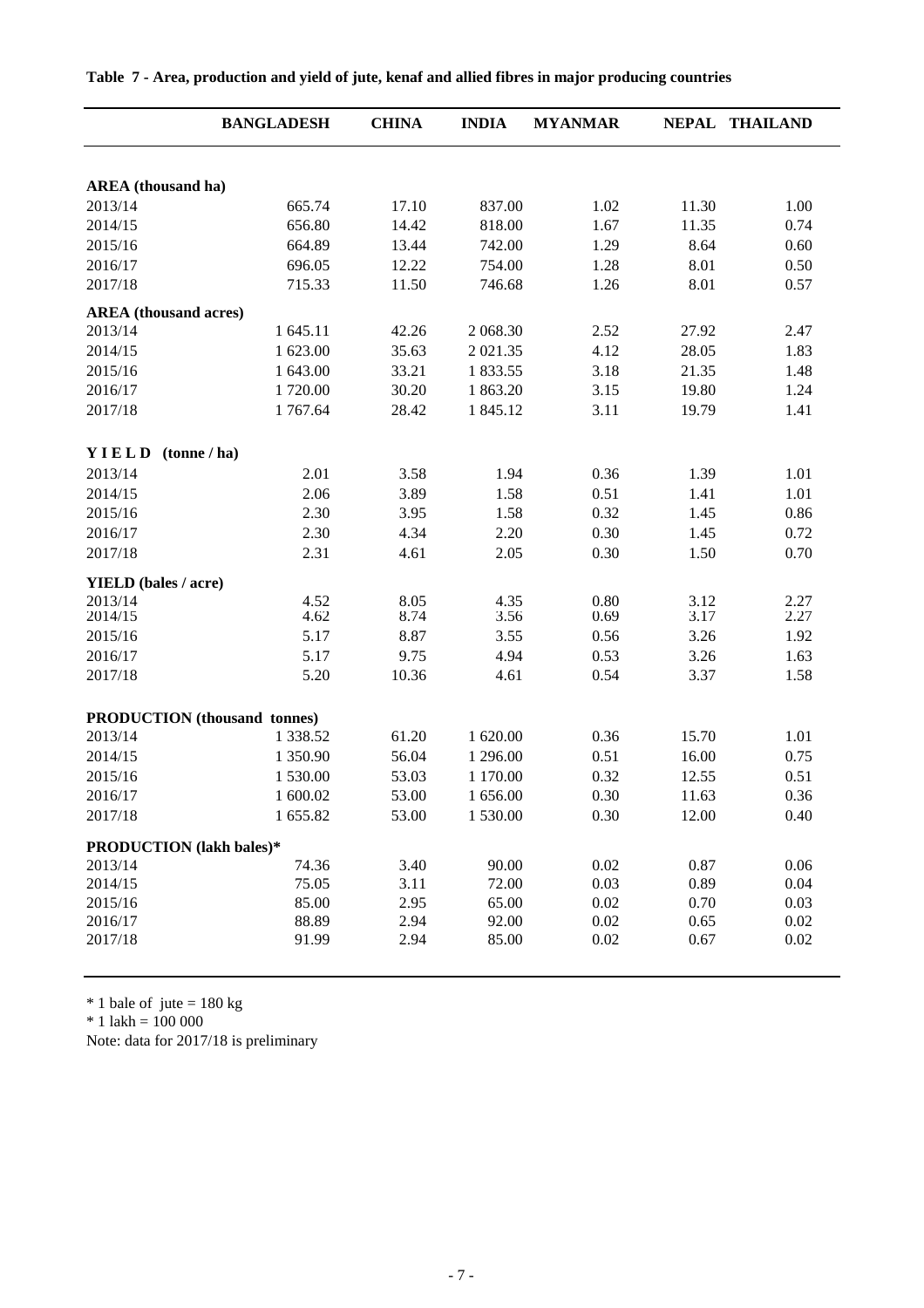|                                 | <b>BANGLADESH</b>                   | <b>CHINA</b> | <b>INDIA</b> | <b>MYANMAR</b> |              | NEPAL THAILAND |
|---------------------------------|-------------------------------------|--------------|--------------|----------------|--------------|----------------|
|                                 |                                     |              |              |                |              |                |
| <b>AREA</b> (thousand ha)       |                                     |              |              |                |              |                |
| 2013/14                         | 665.74                              | 17.10        | 837.00       | 1.02           | 11.30        | 1.00           |
| 2014/15                         | 656.80                              | 14.42        | 818.00       | 1.67           | 11.35        | 0.74           |
| 2015/16                         | 664.89                              | 13.44        | 742.00       | 1.29           | 8.64         | 0.60           |
| 2016/17                         | 696.05                              | 12.22        | 754.00       | 1.28           | 8.01         | 0.50           |
| 2017/18                         | 715.33                              | 11.50        | 746.68       | 1.26           | 8.01         | 0.57           |
| <b>AREA</b> (thousand acres)    |                                     |              |              |                |              |                |
| 2013/14                         | 1 645.11                            | 42.26        | 2 068.30     | 2.52           | 27.92        | 2.47           |
| 2014/15                         | 1 623.00                            | 35.63        | 2 021.35     | 4.12           | 28.05        | 1.83           |
| 2015/16                         | 1 643.00                            | 33.21        | 1 833.55     | 3.18           | 21.35        | 1.48           |
| 2016/17                         | 1720.00                             | 30.20        | 1 863.20     | 3.15           | 19.80        | 1.24           |
| 2017/18                         | 1767.64                             | 28.42        | 1 845.12     | 3.11           | 19.79        | 1.41           |
| YIELD                           | tonne/ha)                           |              |              |                |              |                |
| 2013/14                         | 2.01                                | 3.58         | 1.94         | 0.36           | 1.39         | 1.01           |
| 2014/15                         | 2.06                                | 3.89         | 1.58         | 0.51           | 1.41         | 1.01           |
| 2015/16                         | 2.30                                | 3.95         | 1.58         | 0.32           | 1.45         | 0.86           |
| 2016/17                         | 2.30                                | 4.34         | 2.20         | 0.30           | 1.45         | 0.72           |
| 2017/18                         | 2.31                                | 4.61         | 2.05         | 0.30           | 1.50         | 0.70           |
|                                 |                                     |              |              |                |              |                |
| <b>YIELD</b> (bales / acre)     |                                     |              |              |                |              |                |
| 2013/14<br>2014/15              | 4.52<br>4.62                        | 8.05<br>8.74 | 4.35<br>3.56 | 0.80<br>0.69   | 3.12<br>3.17 | 2.27<br>2.27   |
| 2015/16                         | 5.17                                | 8.87         | 3.55         | 0.56           | 3.26         | 1.92           |
| 2016/17                         | 5.17                                | 9.75         | 4.94         | 0.53           | 3.26         | 1.63           |
| 2017/18                         | 5.20                                | 10.36        | 4.61         | 0.54           | 3.37         | 1.58           |
|                                 |                                     |              |              |                |              |                |
|                                 | <b>PRODUCTION</b> (thousand tonnes) |              |              |                |              |                |
| 2013/14                         | 1 3 3 8 . 5 2                       | 61.20        | 1 620.00     | 0.36           | 15.70        | 1.01           |
| 2014/15                         | 1 350.90                            | 56.04        | 1 296.00     | 0.51           | 16.00        | 0.75           |
| 2015/16                         | 1 530.00                            | 53.03        | 1 170.00     | 0.32           | 12.55        | 0.51           |
| 2016/17                         | 1 600.02                            | 53.00        | 1 656.00     | 0.30           | 11.63        | 0.36           |
| 2017/18                         | 1655.82                             | 53.00        | 1530.00      | 0.30           | 12.00        | 0.40           |
| <b>PRODUCTION</b> (lakh bales)* |                                     |              |              |                |              |                |
| 2013/14                         | 74.36                               | 3.40         | 90.00        | 0.02           | 0.87         | 0.06           |
| 2014/15                         | 75.05                               | 3.11         | 72.00        | 0.03           | 0.89         | 0.04           |
| 2015/16                         | 85.00                               | 2.95         | 65.00        | 0.02           | 0.70         | 0.03           |
| 2016/17                         | 88.89                               | 2.94         | 92.00        | 0.02           | 0.65         | 0.02           |
| 2017/18                         | 91.99                               | 2.94         | 85.00        | 0.02           | 0.67         | 0.02           |

#### **Table 7 - Area, production and yield of jute, kenaf and allied fibres in major producing countries**

 $*$  1 bale of jute = 180 kg

\* 1 lakh = 100 000

Note: data for 2017/18 is preliminary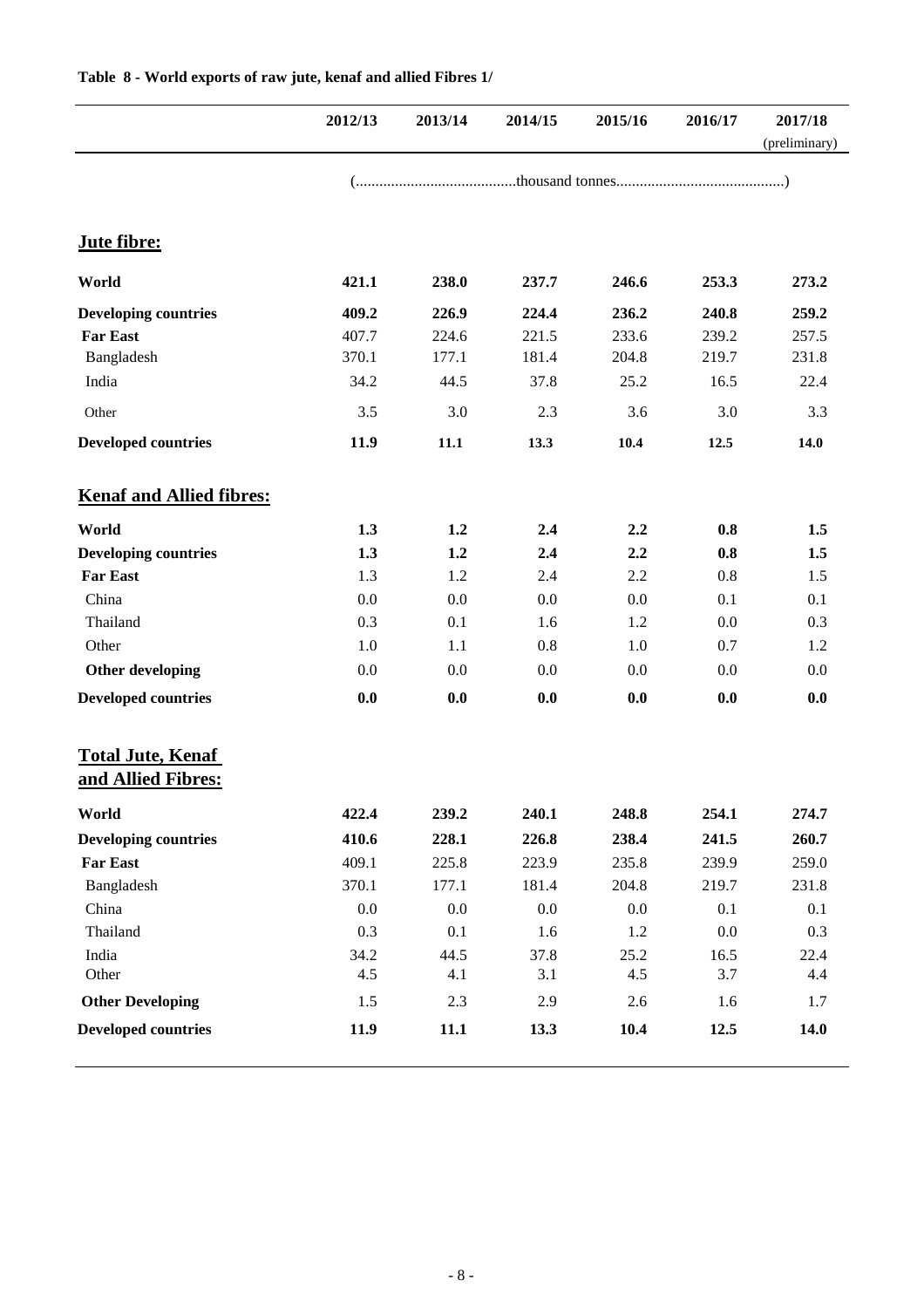|                                                | 2012/13 | 2013/14 | 2014/15 | 2015/16 | 2016/17 | 2017/18<br>(preliminary) |
|------------------------------------------------|---------|---------|---------|---------|---------|--------------------------|
|                                                |         |         |         |         |         |                          |
| Jute fibre:                                    |         |         |         |         |         |                          |
| World                                          | 421.1   | 238.0   | 237.7   | 246.6   | 253.3   | 273.2                    |
| <b>Developing countries</b>                    | 409.2   | 226.9   | 224.4   | 236.2   | 240.8   | 259.2                    |
| <b>Far East</b>                                | 407.7   | 224.6   | 221.5   | 233.6   | 239.2   | 257.5                    |
| Bangladesh                                     | 370.1   | 177.1   | 181.4   | 204.8   | 219.7   | 231.8                    |
| India                                          | 34.2    | 44.5    | 37.8    | 25.2    | 16.5    | 22.4                     |
| Other                                          | 3.5     | 3.0     | 2.3     | 3.6     | 3.0     | 3.3                      |
| <b>Developed countries</b>                     | 11.9    | $11.1$  | 13.3    | 10.4    | 12.5    | 14.0                     |
| <b>Kenaf and Allied fibres:</b>                |         |         |         |         |         |                          |
| World                                          | 1.3     | 1.2     | 2.4     | 2.2     | 0.8     | 1.5                      |
| <b>Developing countries</b>                    | 1.3     | 1.2     | 2.4     | 2.2     | 0.8     | 1.5                      |
| <b>Far East</b>                                | 1.3     | 1.2     | 2.4     | 2.2     | 0.8     | 1.5                      |
| China                                          | 0.0     | 0.0     | 0.0     | 0.0     | 0.1     | 0.1                      |
| Thailand                                       | 0.3     | 0.1     | 1.6     | 1.2     | 0.0     | 0.3                      |
| Other                                          | 1.0     | 1.1     | 0.8     | 1.0     | 0.7     | 1.2                      |
| Other developing                               | 0.0     | 0.0     | 0.0     | 0.0     | 0.0     | 0.0                      |
| <b>Developed countries</b>                     | 0.0     | 0.0     | 0.0     | 0.0     | 0.0     | 0.0                      |
| <b>Total Jute, Kenaf</b><br>and Allied Fibres: |         |         |         |         |         |                          |
| World                                          | 422.4   | 239.2   | 240.1   | 248.8   | 254.1   | 274.7                    |
| <b>Developing countries</b>                    | 410.6   | 228.1   | 226.8   | 238.4   | 241.5   | 260.7                    |
| <b>Far East</b>                                | 409.1   | 225.8   | 223.9   | 235.8   | 239.9   | 259.0                    |
| Bangladesh                                     | 370.1   | 177.1   | 181.4   | 204.8   | 219.7   | 231.8                    |
| China                                          | 0.0     | 0.0     | 0.0     | 0.0     | 0.1     | 0.1                      |
| Thailand                                       | 0.3     | 0.1     | 1.6     | 1.2     | $0.0\,$ | 0.3                      |
| India                                          | 34.2    | 44.5    | 37.8    | 25.2    | 16.5    | 22.4                     |
| Other                                          | 4.5     | 4.1     | 3.1     | 4.5     | 3.7     | 4.4                      |
| <b>Other Developing</b>                        | 1.5     | 2.3     | 2.9     | 2.6     | 1.6     | 1.7                      |
| <b>Developed countries</b>                     | 11.9    | 11.1    | 13.3    | 10.4    | 12.5    | 14.0                     |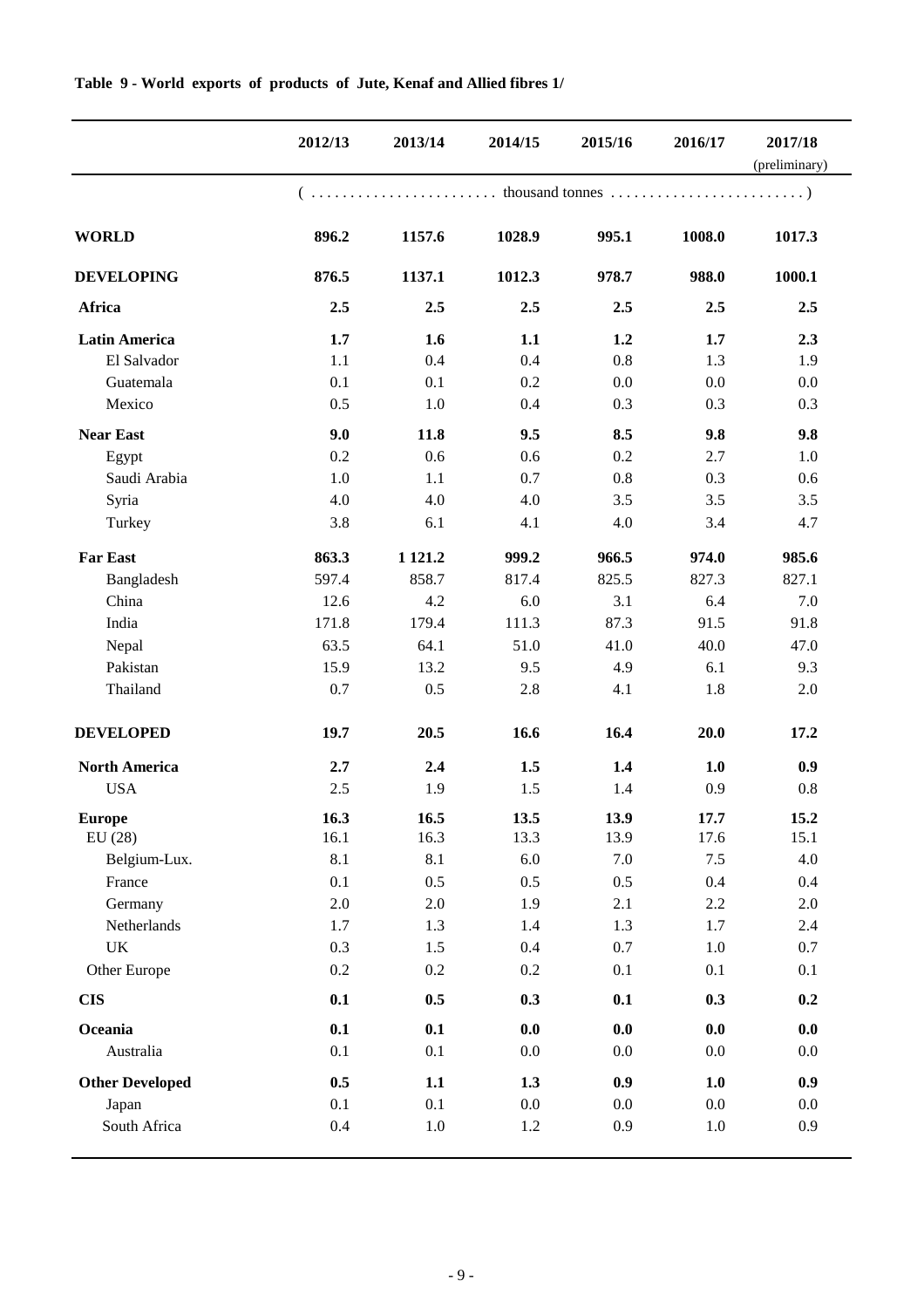|                        | 2012/13 | 2013/14    | 2014/15 | 2015/16 | 2016/17 | 2017/18<br>(preliminary) |
|------------------------|---------|------------|---------|---------|---------|--------------------------|
|                        |         |            |         |         |         |                          |
| <b>WORLD</b>           | 896.2   | 1157.6     | 1028.9  | 995.1   | 1008.0  | 1017.3                   |
| <b>DEVELOPING</b>      | 876.5   | 1137.1     | 1012.3  | 978.7   | 988.0   | 1000.1                   |
| Africa                 | 2.5     | 2.5        | 2.5     | 2.5     | 2.5     | 2.5                      |
| <b>Latin America</b>   | 1.7     | 1.6        | 1.1     | 1.2     | 1.7     | 2.3                      |
| El Salvador            | 1.1     | 0.4        | 0.4     | 0.8     | 1.3     | 1.9                      |
| Guatemala              | 0.1     | 0.1        | 0.2     | 0.0     | 0.0     | 0.0                      |
| Mexico                 | 0.5     | 1.0        | 0.4     | 0.3     | 0.3     | 0.3                      |
| <b>Near East</b>       | 9.0     | 11.8       | 9.5     | 8.5     | 9.8     | 9.8                      |
| Egypt                  | 0.2     | 0.6        | 0.6     | 0.2     | 2.7     | 1.0                      |
| Saudi Arabia           | 1.0     | 1.1        | 0.7     | 0.8     | 0.3     | 0.6                      |
| Syria                  | 4.0     | 4.0        | 4.0     | 3.5     | 3.5     | 3.5                      |
| Turkey                 | 3.8     | 6.1        | 4.1     | 4.0     | 3.4     | 4.7                      |
| <b>Far East</b>        | 863.3   | 1 1 2 1 .2 | 999.2   | 966.5   | 974.0   | 985.6                    |
| Bangladesh             | 597.4   | 858.7      | 817.4   | 825.5   | 827.3   | 827.1                    |
| China                  | 12.6    | 4.2        | 6.0     | 3.1     | 6.4     | 7.0                      |
| India                  | 171.8   | 179.4      | 111.3   | 87.3    | 91.5    | 91.8                     |
| Nepal                  | 63.5    | 64.1       | 51.0    | 41.0    | 40.0    | 47.0                     |
| Pakistan               | 15.9    | 13.2       | 9.5     | 4.9     | 6.1     | 9.3                      |
| Thailand               | 0.7     | 0.5        | 2.8     | 4.1     | 1.8     | 2.0                      |
| <b>DEVELOPED</b>       | 19.7    | 20.5       | 16.6    | 16.4    | 20.0    | 17.2                     |
| <b>North America</b>   | 2.7     | 2.4        | 1.5     | 1.4     | 1.0     | 0.9                      |
| <b>USA</b>             | 2.5     | 1.9        | 1.5     | 1.4     | 0.9     | 0.8                      |
| Europe                 | 16.3    | 16.5       | 13.5    | 13.9    | 17.7    | 15.2                     |
| EU(28)                 | 16.1    | 16.3       | 13.3    | 13.9    | 17.6    | 15.1                     |
| Belgium-Lux.           | 8.1     | 8.1        | 6.0     | 7.0     | $7.5$   | 4.0                      |
| France                 | 0.1     | 0.5        | 0.5     | 0.5     | 0.4     | 0.4                      |
| Germany                | $2.0\,$ | $2.0\,$    | 1.9     | 2.1     | 2.2     | $2.0\,$                  |
| Netherlands            | 1.7     | 1.3        | 1.4     | 1.3     | 1.7     | 2.4                      |
| UK                     | 0.3     | 1.5        | 0.4     | 0.7     | 1.0     | 0.7                      |
| Other Europe           | 0.2     | 0.2        | $0.2\,$ | 0.1     | 0.1     | 0.1                      |
| <b>CIS</b>             | 0.1     | 0.5        | 0.3     | 0.1     | 0.3     | 0.2                      |
| Oceania                | 0.1     | 0.1        | 0.0     | 0.0     | 0.0     | 0.0                      |
| Australia              | 0.1     | 0.1        | 0.0     | $0.0\,$ | 0.0     | 0.0                      |
| <b>Other Developed</b> | 0.5     | 1.1        | 1.3     | 0.9     | 1.0     | 0.9                      |
| Japan                  | 0.1     | 0.1        | 0.0     | 0.0     | $0.0\,$ | $0.0\,$                  |
| South Africa           | 0.4     | $1.0\,$    | 1.2     | 0.9     | $1.0\,$ | 0.9                      |

#### **Table 9 - World exports of products of Jute, Kenaf and Allied fibres 1/**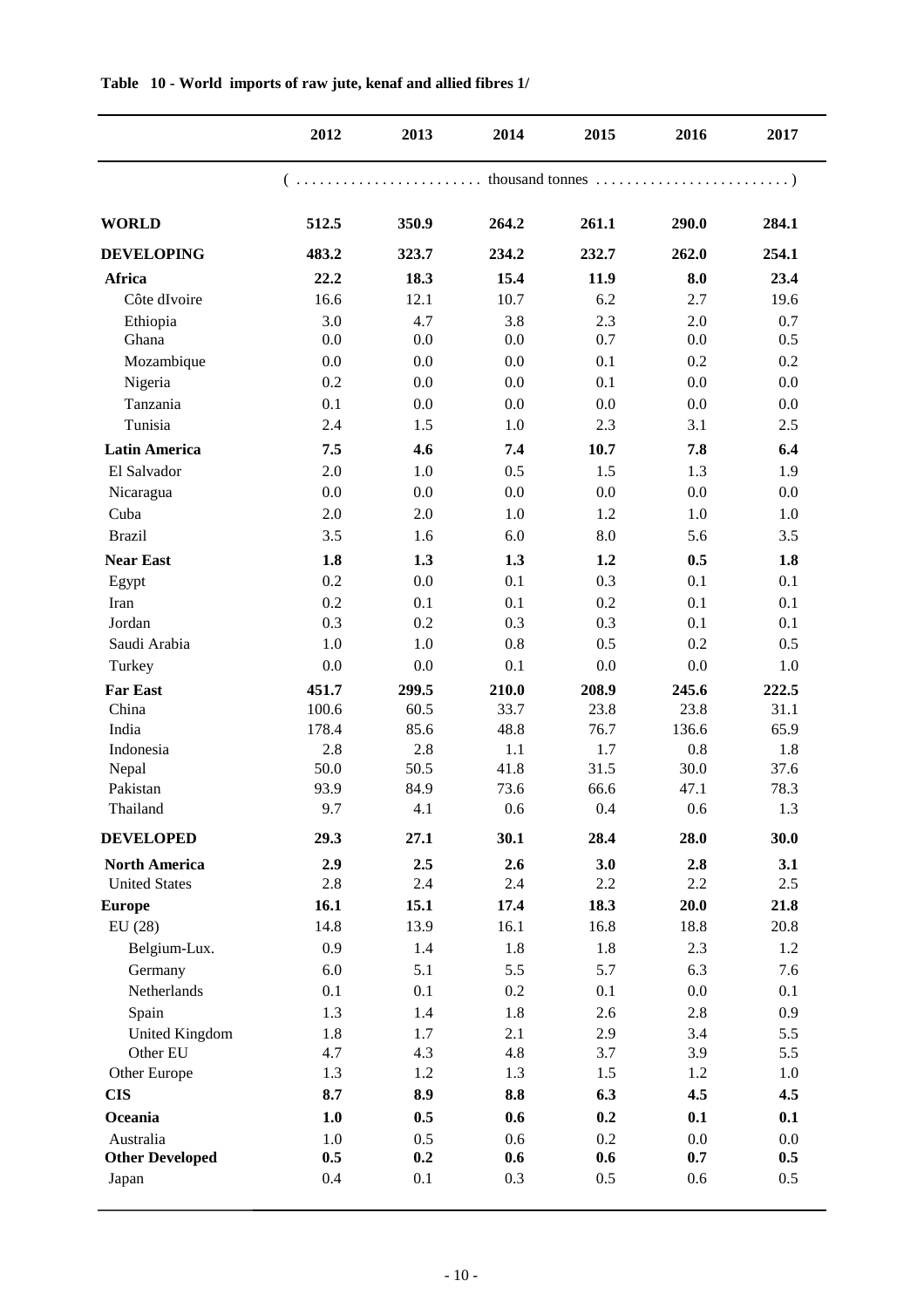|                        | 2012  | 2013  | 2014  | 2015    | 2016  | 2017    |
|------------------------|-------|-------|-------|---------|-------|---------|
|                        |       |       |       |         |       |         |
| <b>WORLD</b>           | 512.5 | 350.9 | 264.2 | 261.1   | 290.0 | 284.1   |
| <b>DEVELOPING</b>      | 483.2 | 323.7 | 234.2 | 232.7   | 262.0 | 254.1   |
| Africa                 | 22.2  | 18.3  | 15.4  | 11.9    | 8.0   | 23.4    |
| Côte dIvoire           | 16.6  | 12.1  | 10.7  | 6.2     | 2.7   | 19.6    |
| Ethiopia               | 3.0   | 4.7   | 3.8   | 2.3     | 2.0   | 0.7     |
| Ghana                  | 0.0   | 0.0   | 0.0   | 0.7     | 0.0   | 0.5     |
| Mozambique             | 0.0   | 0.0   | 0.0   | 0.1     | 0.2   | 0.2     |
| Nigeria                | 0.2   | 0.0   | 0.0   | 0.1     | 0.0   | 0.0     |
| Tanzania               | 0.1   | 0.0   | 0.0   | 0.0     | 0.0   | $0.0\,$ |
| Tunisia                | 2.4   | 1.5   | 1.0   | 2.3     | 3.1   | 2.5     |
| <b>Latin America</b>   | 7.5   | 4.6   | 7.4   | 10.7    | 7.8   | 6.4     |
| El Salvador            | 2.0   | 1.0   | 0.5   | 1.5     | 1.3   | 1.9     |
| Nicaragua              | 0.0   | 0.0   | 0.0   | 0.0     | 0.0   | 0.0     |
| Cuba                   | 2.0   | 2.0   | 1.0   | 1.2     | 1.0   | 1.0     |
| <b>Brazil</b>          | 3.5   | 1.6   | 6.0   | 8.0     | 5.6   | 3.5     |
| <b>Near East</b>       | 1.8   | 1.3   | 1.3   | 1.2     | 0.5   | 1.8     |
| Egypt                  | 0.2   | 0.0   | 0.1   | 0.3     | 0.1   | 0.1     |
| Iran                   | 0.2   | 0.1   | 0.1   | 0.2     | 0.1   | 0.1     |
| Jordan                 | 0.3   | 0.2   | 0.3   | 0.3     | 0.1   | 0.1     |
| Saudi Arabia           | 1.0   | 1.0   | 0.8   | 0.5     | 0.2   | 0.5     |
| Turkey                 | 0.0   | 0.0   | 0.1   | 0.0     | 0.0   | 1.0     |
| <b>Far East</b>        | 451.7 | 299.5 | 210.0 | 208.9   | 245.6 | 222.5   |
| China                  | 100.6 | 60.5  | 33.7  | 23.8    | 23.8  | 31.1    |
| India                  | 178.4 | 85.6  | 48.8  | 76.7    | 136.6 | 65.9    |
| Indonesia              | 2.8   | 2.8   | 1.1   | 1.7     | 0.8   | 1.8     |
| Nepal                  | 50.0  | 50.5  | 41.8  | 31.5    | 30.0  | 37.6    |
| Pakistan               | 93.9  | 84.9  | 73.6  | 66.6    | 47.1  | 78.3    |
| Thailand               | 9.7   | 4.1   | 0.6   | 0.4     | 0.6   | 1.3     |
| <b>DEVELOPED</b>       | 29.3  | 27.1  | 30.1  | 28.4    | 28.0  | 30.0    |
| <b>North America</b>   | 2.9   | 2.5   | 2.6   | 3.0     | 2.8   | 3.1     |
| <b>United States</b>   | 2.8   | 2.4   | 2.4   | 2.2     | 2.2   | 2.5     |
| <b>Europe</b>          | 16.1  | 15.1  | 17.4  | 18.3    | 20.0  | 21.8    |
| EU(28)                 | 14.8  | 13.9  | 16.1  | 16.8    | 18.8  | 20.8    |
| Belgium-Lux.           | 0.9   | 1.4   | 1.8   | 1.8     | 2.3   | 1.2     |
| Germany                | 6.0   | 5.1   | 5.5   | 5.7     | 6.3   | 7.6     |
| Netherlands            | 0.1   | 0.1   | 0.2   | 0.1     | 0.0   | 0.1     |
| Spain                  | 1.3   | 1.4   | 1.8   | 2.6     | 2.8   | 0.9     |
| <b>United Kingdom</b>  | 1.8   | 1.7   | 2.1   | 2.9     | 3.4   | 5.5     |
| Other EU               | 4.7   | 4.3   | 4.8   | 3.7     | 3.9   | 5.5     |
| Other Europe           | 1.3   | 1.2   | 1.3   | 1.5     | 1.2   | 1.0     |
| <b>CIS</b>             | 8.7   | 8.9   | 8.8   | 6.3     | 4.5   | 4.5     |
| Oceania                | 1.0   | 0.5   | 0.6   | 0.2     | 0.1   | 0.1     |
| Australia              | 1.0   | 0.5   | 0.6   | 0.2     | 0.0   | 0.0     |
| <b>Other Developed</b> | 0.5   | 0.2   | 0.6   | 0.6     | 0.7   | 0.5     |
| Japan                  | 0.4   | 0.1   | 0.3   | $0.5\,$ | 0.6   | 0.5     |

**Table 10 - World imports of raw jute, kenaf and allied fibres 1/**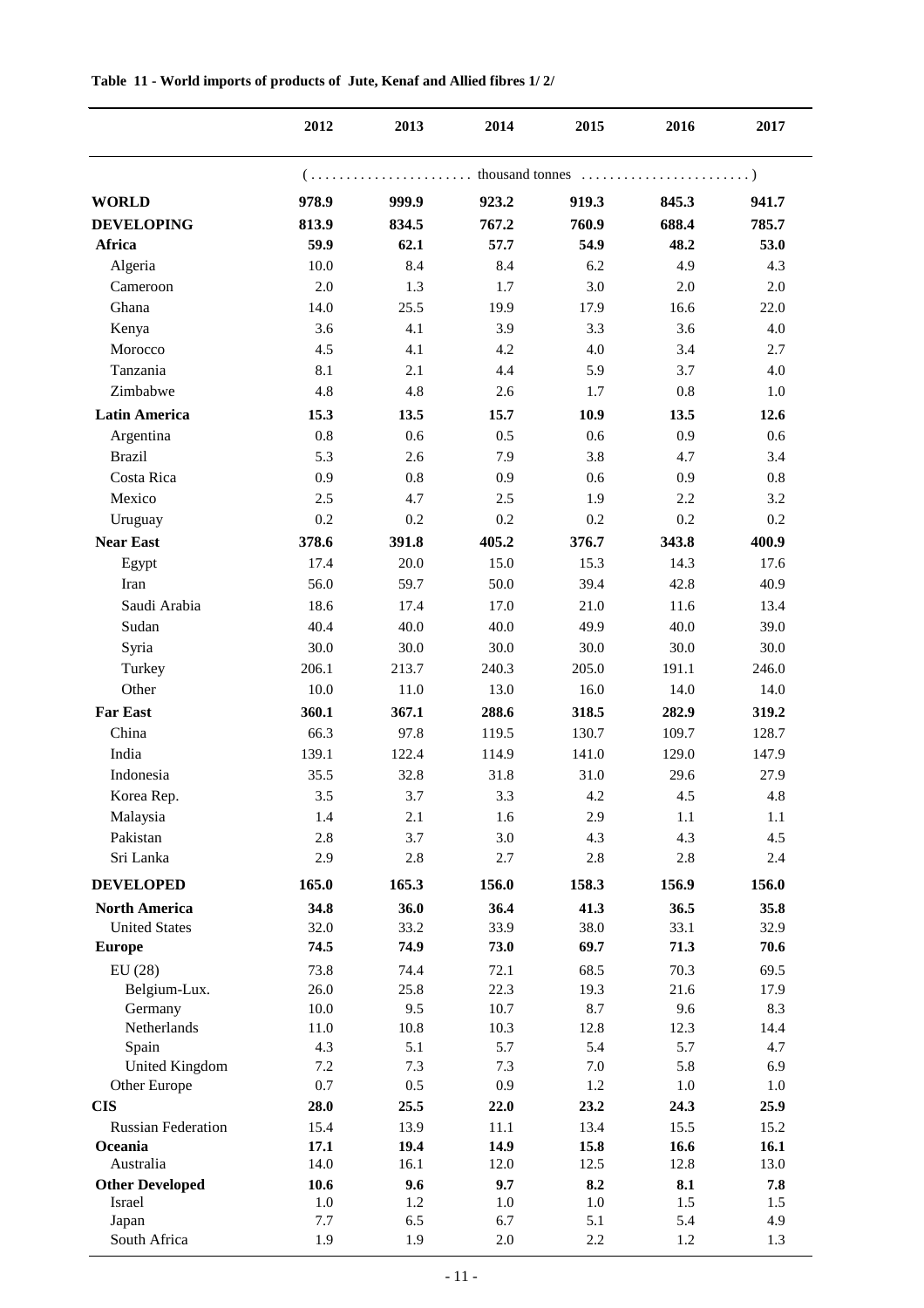|                           | 2012       | 2013       | 2014       | 2015       | 2016       | 2017       |
|---------------------------|------------|------------|------------|------------|------------|------------|
|                           |            |            |            |            |            |            |
| <b>WORLD</b>              | 978.9      | 999.9      | 923.2      | 919.3      | 845.3      | 941.7      |
| <b>DEVELOPING</b>         | 813.9      | 834.5      | 767.2      | 760.9      | 688.4      | 785.7      |
| Africa                    | 59.9       | 62.1       | 57.7       | 54.9       | 48.2       | 53.0       |
| Algeria                   | 10.0       | 8.4        | 8.4        | 6.2        | 4.9        | 4.3        |
| Cameroon                  | 2.0        | 1.3        | 1.7        | 3.0        | 2.0        | $2.0\,$    |
| Ghana                     | 14.0       | 25.5       | 19.9       | 17.9       | 16.6       | 22.0       |
| Kenya                     | 3.6        | 4.1        | 3.9        | 3.3        | 3.6        | 4.0        |
| Morocco                   | 4.5        | 4.1        | 4.2        | 4.0        | 3.4        | 2.7        |
| Tanzania                  | 8.1        | 2.1        | 4.4        | 5.9        | 3.7        | 4.0        |
| Zimbabwe                  | 4.8        | 4.8        | 2.6        | 1.7        | 0.8        | 1.0        |
| <b>Latin America</b>      | 15.3       | 13.5       | 15.7       | 10.9       | 13.5       | 12.6       |
| Argentina                 | 0.8        | 0.6        | 0.5        | 0.6        | 0.9        | 0.6        |
| <b>Brazil</b>             | 5.3        | 2.6        | 7.9        | 3.8        | 4.7        | 3.4        |
| Costa Rica                | 0.9        | 0.8        | 0.9        | 0.6        | 0.9        | 0.8        |
| Mexico                    | 2.5        | 4.7        | 2.5        | 1.9        | 2.2        | 3.2        |
| Uruguay                   | 0.2        | 0.2        | 0.2        | 0.2        | 0.2        | 0.2        |
| <b>Near East</b>          | 378.6      | 391.8      | 405.2      | 376.7      | 343.8      | 400.9      |
| Egypt                     | 17.4       | 20.0       | 15.0       | 15.3       | 14.3       | 17.6       |
| Iran                      | 56.0       | 59.7       | 50.0       | 39.4       | 42.8       | 40.9       |
| Saudi Arabia              | 18.6       | 17.4       | 17.0       | 21.0       | 11.6       | 13.4       |
| Sudan                     | 40.4       | 40.0       | 40.0       | 49.9       | 40.0       | 39.0       |
| Syria                     | 30.0       | 30.0       | 30.0       | 30.0       | 30.0       | 30.0       |
| Turkey                    | 206.1      | 213.7      | 240.3      | 205.0      | 191.1      | 246.0      |
| Other                     | 10.0       | 11.0       | 13.0       | 16.0       | 14.0       | 14.0       |
| <b>Far East</b>           | 360.1      | 367.1      | 288.6      | 318.5      | 282.9      | 319.2      |
| China                     | 66.3       | 97.8       | 119.5      | 130.7      | 109.7      | 128.7      |
| India                     | 139.1      | 122.4      | 114.9      | 141.0      | 129.0      | 147.9      |
| Indonesia                 | 35.5       | 32.8       | 31.8       | 31.0       | 29.6       | 27.9       |
| Korea Rep.                | 3.5        | 3.7        | 3.3        | 4.2        | 4.5        | 4.8        |
| Malaysia                  | 1.4        | 2.1        | 1.6        | 2.9        | 1.1        | 1.1        |
| Pakistan                  | 2.8        | 3.7        | 3.0        | 4.3        | 4.3        | 4.5        |
| Sri Lanka                 | 2.9        | 2.8        | 2.7        | 2.8        | 2.8        | 2.4        |
| <b>DEVELOPED</b>          | 165.0      | 165.3      | 156.0      | 158.3      | 156.9      | 156.0      |
| <b>North America</b>      | 34.8       | 36.0       | 36.4       | 41.3       | 36.5       | 35.8       |
| <b>United States</b>      | 32.0       | 33.2       | 33.9       | 38.0       | 33.1       | 32.9       |
| <b>Europe</b>             | 74.5       | 74.9       | 73.0       | 69.7       | 71.3       | 70.6       |
| EU(28)                    | 73.8       | 74.4       | 72.1       | 68.5       | 70.3       | 69.5       |
| Belgium-Lux.              | 26.0       | 25.8       | 22.3       | 19.3       | 21.6       | 17.9       |
| Germany                   | 10.0       | 9.5        | 10.7       | 8.7        | 9.6        | 8.3        |
| Netherlands               | 11.0       | 10.8       | 10.3       | 12.8       | 12.3       | 14.4       |
| Spain<br>United Kingdom   | 4.3<br>7.2 | 5.1<br>7.3 | 5.7<br>7.3 | 5.4<br>7.0 | 5.7<br>5.8 | 4.7<br>6.9 |
| Other Europe              | 0.7        | 0.5        | 0.9        | 1.2        | 1.0        | 1.0        |
| <b>CIS</b>                | 28.0       | 25.5       | 22.0       | 23.2       | 24.3       | 25.9       |
| <b>Russian Federation</b> | 15.4       | 13.9       | 11.1       | 13.4       | 15.5       | 15.2       |
| Oceania                   | 17.1       | 19.4       | 14.9       | 15.8       | 16.6       | 16.1       |
| Australia                 | 14.0       | 16.1       | 12.0       | 12.5       | 12.8       | 13.0       |
| <b>Other Developed</b>    | 10.6       | 9.6        | 9.7        | 8.2        | 8.1        | 7.8        |
| Israel                    | $1.0\,$    | 1.2        | $1.0\,$    | $1.0\,$    | 1.5        | 1.5        |
| Japan                     | 7.7        | 6.5        | 6.7        | 5.1        | 5.4        | 4.9        |
| South Africa              | 1.9        | 1.9        | 2.0        | 2.2        | $1.2\,$    | 1.3        |

#### **Table 11 - World imports of products of Jute, Kenaf and Allied fibres 1/ 2/**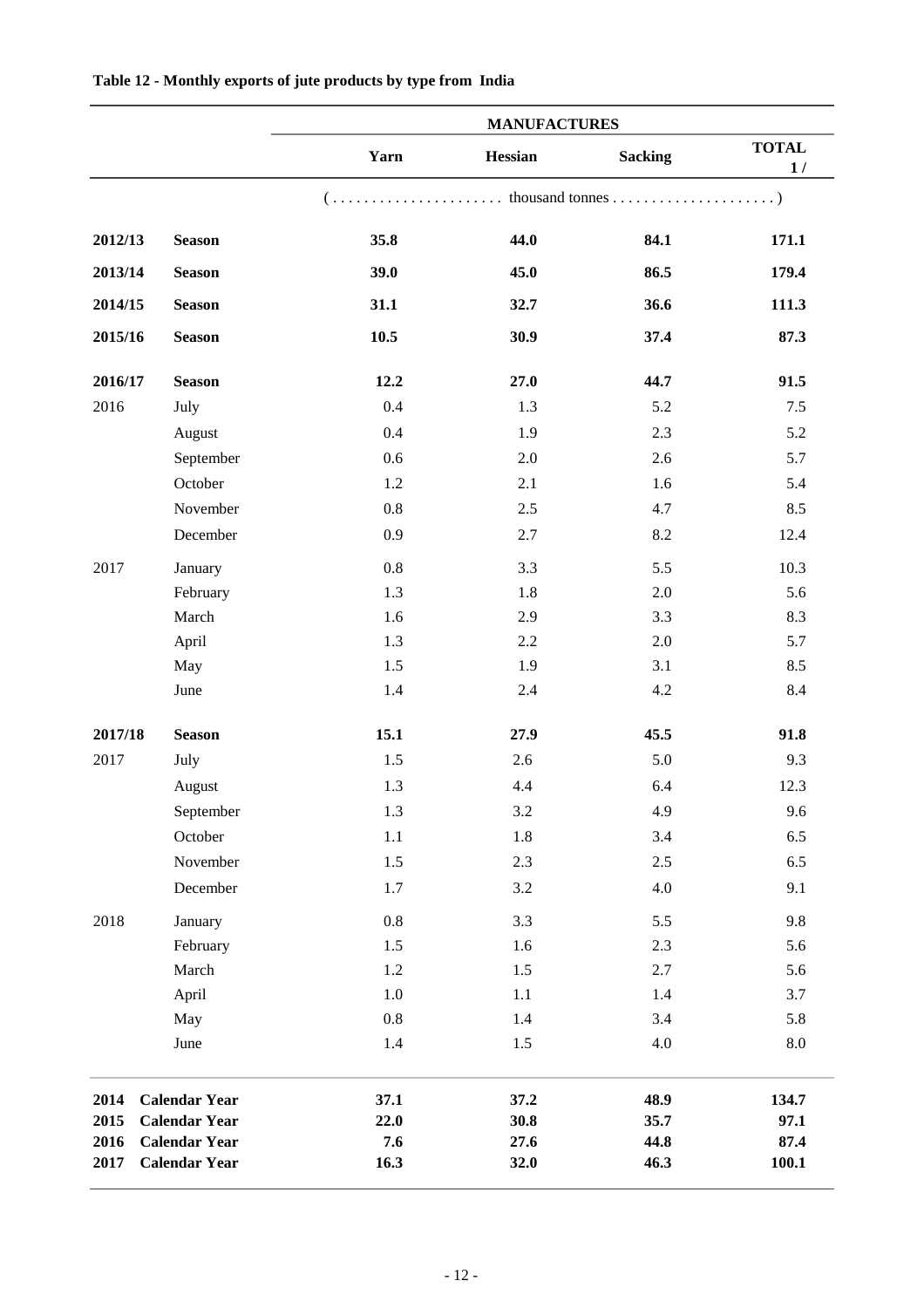|         |                      |         | <b>MANUFACTURES</b> |                |                    |
|---------|----------------------|---------|---------------------|----------------|--------------------|
|         |                      | Yarn    | Hessian             | <b>Sacking</b> | <b>TOTAL</b><br>1/ |
|         |                      |         |                     |                |                    |
| 2012/13 | <b>Season</b>        | 35.8    | 44.0                | 84.1           | 171.1              |
| 2013/14 | <b>Season</b>        | 39.0    | 45.0                | 86.5           | 179.4              |
| 2014/15 | <b>Season</b>        | 31.1    | 32.7                | 36.6           | 111.3              |
| 2015/16 | <b>Season</b>        | 10.5    | 30.9                | 37.4           | 87.3               |
| 2016/17 | <b>Season</b>        | 12.2    | 27.0                | 44.7           | 91.5               |
| 2016    | July                 | 0.4     | 1.3                 | 5.2            | 7.5                |
|         | August               | 0.4     | 1.9                 | 2.3            | 5.2                |
|         | September            | 0.6     | 2.0                 | 2.6            | 5.7                |
|         | October              | 1.2     | 2.1                 | 1.6            | 5.4                |
|         | November             | $0.8\,$ | 2.5                 | 4.7            | 8.5                |
|         | December             | 0.9     | 2.7                 | 8.2            | 12.4               |
| 2017    | January              | $0.8\,$ | 3.3                 | 5.5            | 10.3               |
|         | February             | 1.3     | 1.8                 | 2.0            | 5.6                |
|         | March                | 1.6     | 2.9                 | 3.3            | 8.3                |
|         | April                | 1.3     | 2.2                 | $2.0\,$        | 5.7                |
|         | May                  | 1.5     | 1.9                 | 3.1            | 8.5                |
|         | June                 | 1.4     | 2.4                 | 4.2            | 8.4                |
| 2017/18 | <b>Season</b>        | 15.1    | 27.9                | 45.5           | 91.8               |
| 2017    | July                 | 1.5     | 2.6                 | 5.0            | 9.3                |
|         | August               | 1.3     | 4.4                 | 6.4            | 12.3               |
|         | September            | 1.3     | $3.2\,$             | 4.9            | 9.6                |
|         | October              | $1.1\,$ | $1.8\,$             | 3.4            | 6.5                |
|         | November             | 1.5     | 2.3                 | $2.5\,$        | 6.5                |
|         | December             | 1.7     | $3.2\,$             | 4.0            | 9.1                |
| 2018    | January              | $0.8\,$ | 3.3                 | 5.5            | 9.8                |
|         | February             | 1.5     | 1.6                 | 2.3            | 5.6                |
|         | March                | 1.2     | 1.5                 | $2.7\,$        | 5.6                |
|         | April                | 1.0     | 1.1                 | 1.4            | 3.7                |
|         | May                  | $0.8\,$ | 1.4                 | 3.4            | 5.8                |
|         | June                 | 1.4     | 1.5                 | 4.0            | 8.0                |
| 2014    | <b>Calendar Year</b> | 37.1    | 37.2                | 48.9           | 134.7              |
| 2015    | <b>Calendar Year</b> | 22.0    | 30.8                | 35.7           | 97.1               |
| 2016    | <b>Calendar Year</b> | 7.6     | 27.6                | 44.8           | 87.4               |
| 2017    | <b>Calendar Year</b> | 16.3    | 32.0                | 46.3           | 100.1              |

#### **Table 12 - Monthly exports of jute products by type from India**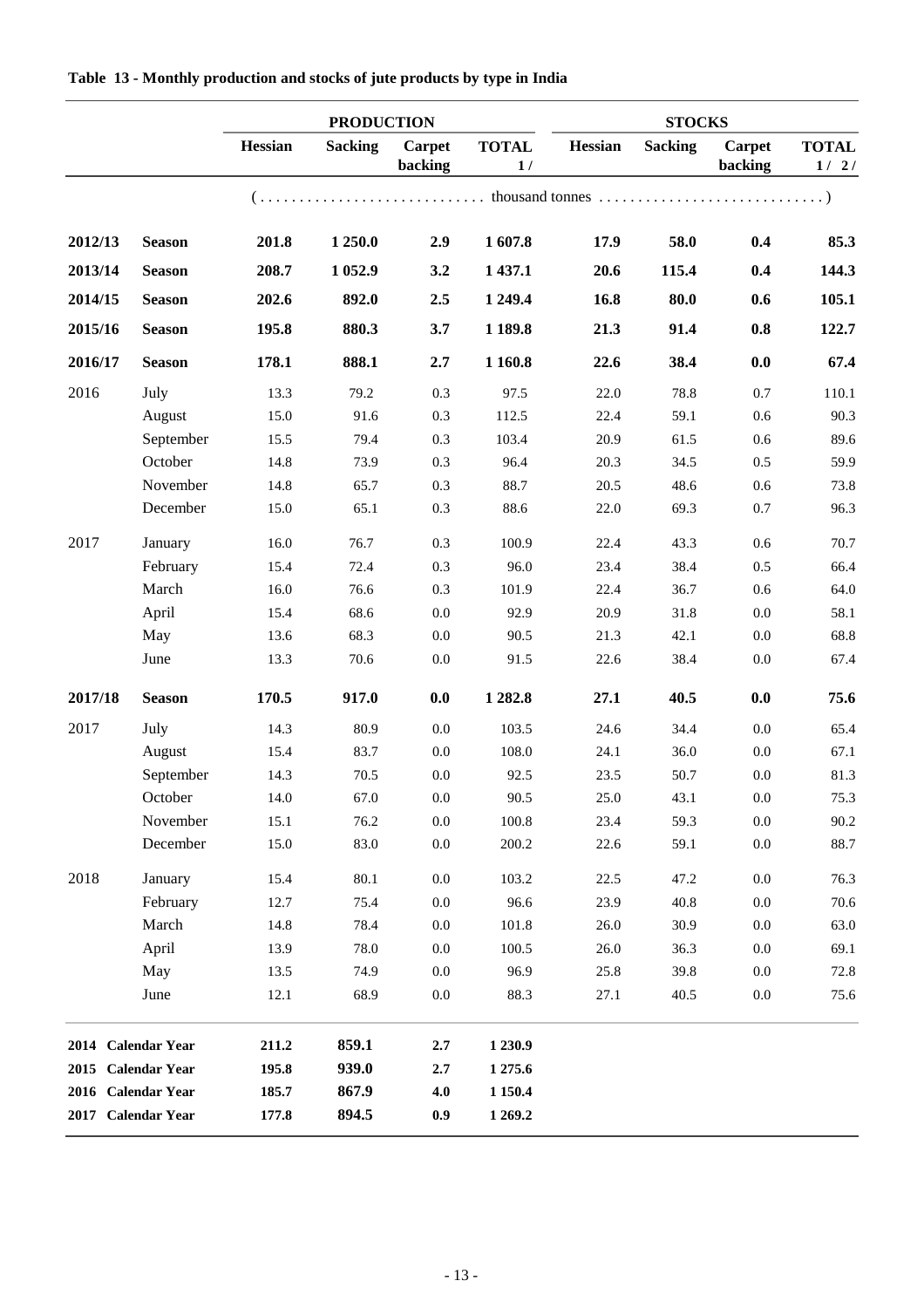|         |                    | <b>PRODUCTION</b> |                |                   |                    | <b>STOCKS</b> |                |                          |                      |
|---------|--------------------|-------------------|----------------|-------------------|--------------------|---------------|----------------|--------------------------|----------------------|
|         |                    | Hessian           | <b>Sacking</b> | Carpet<br>backing | <b>TOTAL</b><br>1/ | Hessian       | <b>Sacking</b> | <b>Carpet</b><br>backing | <b>TOTAL</b><br>1/2/ |
|         |                    |                   |                |                   |                    |               |                |                          |                      |
| 2012/13 | <b>Season</b>      | 201.8             | 1 250.0        | 2.9               | 1607.8             | 17.9          | 58.0           | 0.4                      | 85.3                 |
| 2013/14 | <b>Season</b>      | 208.7             | 1 0 5 2.9      | 3.2               | 1 437.1            | 20.6          | 115.4          | 0.4                      | 144.3                |
| 2014/15 | <b>Season</b>      | 202.6             | 892.0          | 2.5               | 1 249.4            | 16.8          | 80.0           | 0.6                      | 105.1                |
| 2015/16 | <b>Season</b>      | 195.8             | 880.3          | 3.7               | 1 1 8 9.8          | 21.3          | 91.4           | 0.8                      | 122.7                |
| 2016/17 | <b>Season</b>      | 178.1             | 888.1          | 2.7               | 1 1 6 0.8          | 22.6          | 38.4           | 0.0                      | 67.4                 |
| 2016    | July               | 13.3              | 79.2           | 0.3               | 97.5               | 22.0          | 78.8           | 0.7                      | 110.1                |
|         | August             | 15.0              | 91.6           | 0.3               | 112.5              | 22.4          | 59.1           | 0.6                      | 90.3                 |
|         | September          | 15.5              | 79.4           | 0.3               | 103.4              | 20.9          | 61.5           | 0.6                      | 89.6                 |
|         | October            | 14.8              | 73.9           | 0.3               | 96.4               | 20.3          | 34.5           | 0.5                      | 59.9                 |
|         | November           | 14.8              | 65.7           | 0.3               | 88.7               | 20.5          | 48.6           | 0.6                      | 73.8                 |
|         | December           | 15.0              | 65.1           | 0.3               | 88.6               | 22.0          | 69.3           | 0.7                      | 96.3                 |
| 2017    | January            | 16.0              | 76.7           | 0.3               | 100.9              | 22.4          | 43.3           | 0.6                      | 70.7                 |
|         | February           | 15.4              | 72.4           | 0.3               | 96.0               | 23.4          | 38.4           | 0.5                      | 66.4                 |
|         | March              | 16.0              | 76.6           | 0.3               | 101.9              | 22.4          | 36.7           | 0.6                      | 64.0                 |
|         | April              | 15.4              | 68.6           | 0.0               | 92.9               | 20.9          | 31.8           | 0.0                      | 58.1                 |
|         | May                | 13.6              | 68.3           | 0.0               | 90.5               | 21.3          | 42.1           | 0.0                      | 68.8                 |
|         | June               | 13.3              | 70.6           | 0.0               | 91.5               | 22.6          | 38.4           | $0.0\,$                  | 67.4                 |
| 2017/18 | <b>Season</b>      | 170.5             | 917.0          | 0.0               | 1 282.8            | 27.1          | 40.5           | 0.0                      | 75.6                 |
| 2017    | July               | 14.3              | 80.9           | 0.0               | 103.5              | 24.6          | 34.4           | 0.0                      | 65.4                 |
|         | August             | 15.4              | 83.7           | 0.0               | 108.0              | 24.1          | 36.0           | 0.0                      | 67.1                 |
|         | September          | 14.3              | 70.5           | 0.0               | 92.5               | 23.5          | 50.7           | 0.0                      | 81.3                 |
|         | October            | 14.0              | 67.0           | $0.0\,$           | 90.5               | 25.0          | 43.1           | $0.0\,$                  | 75.3                 |
|         | November           | 15.1              | 76.2           | 0.0               | 100.8              | 23.4          | 59.3           | $0.0\,$                  | 90.2                 |
|         | December           | 15.0              | 83.0           | 0.0               | 200.2              | 22.6          | 59.1           | $0.0\,$                  | 88.7                 |
| 2018    | January            | 15.4              | $80.1\,$       | 0.0               | 103.2              | 22.5          | 47.2           | $0.0\,$                  | 76.3                 |
|         | February           | 12.7              | 75.4           | 0.0               | 96.6               | 23.9          | 40.8           | $0.0\,$                  | 70.6                 |
|         | March              | 14.8              | 78.4           | 0.0               | 101.8              | 26.0          | 30.9           | 0.0                      | 63.0                 |
|         | April              | 13.9              | 78.0           | 0.0               | 100.5              | 26.0          | 36.3           | 0.0                      | 69.1                 |
|         | May                | 13.5              | 74.9           | 0.0               | 96.9               | 25.8          | 39.8           | $0.0\,$                  | 72.8                 |
|         | June               | 12.1              | 68.9           | $0.0\,$           | 88.3               | 27.1          | 40.5           | $0.0\,$                  | 75.6                 |
|         | 2014 Calendar Year | 211.2             | 859.1          | 2.7               | 1 2 3 0.9          |               |                |                          |                      |
|         | 2015 Calendar Year | 195.8             | 939.0          | 2.7               | 1 275.6            |               |                |                          |                      |
|         | 2016 Calendar Year | 185.7             | 867.9          | 4.0               | 1 1 5 0 . 4        |               |                |                          |                      |
|         | 2017 Calendar Year | 177.8             | 894.5          |                   | 1 269.2            |               |                |                          |                      |
|         |                    |                   |                | 0.9               |                    |               |                |                          |                      |

**Table 13 - Monthly production and stocks of jute products by type in India**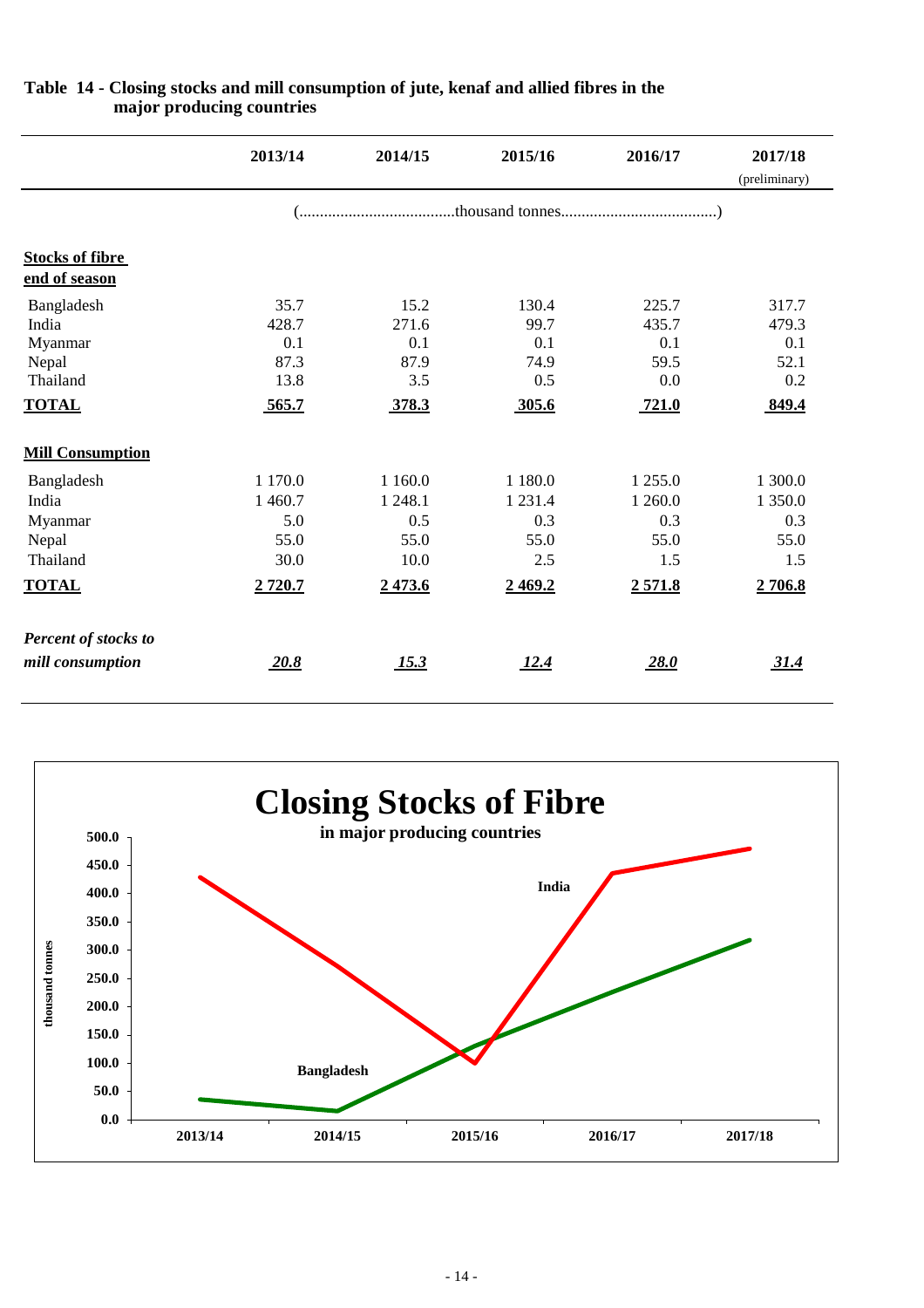|                                                                     | 2013/14                                                | 2014/15                                                | 2015/16                                                   | 2016/17                                            | 2017/18<br>(preliminary)                           |
|---------------------------------------------------------------------|--------------------------------------------------------|--------------------------------------------------------|-----------------------------------------------------------|----------------------------------------------------|----------------------------------------------------|
|                                                                     |                                                        |                                                        |                                                           |                                                    |                                                    |
| <b>Stocks of fibre</b><br>end of season                             |                                                        |                                                        |                                                           |                                                    |                                                    |
| Bangladesh<br>India<br>Myanmar<br>Nepal<br>Thailand<br><b>TOTAL</b> | 35.7<br>428.7<br>0.1<br>87.3<br>13.8<br>565.7          | 15.2<br>271.6<br>0.1<br>87.9<br>3.5<br>378.3           | 130.4<br>99.7<br>0.1<br>74.9<br>0.5<br>305.6              | 225.7<br>435.7<br>0.1<br>59.5<br>0.0<br>721.0      | 317.7<br>479.3<br>0.1<br>52.1<br>0.2<br>849.4      |
| <b>Mill Consumption</b>                                             |                                                        |                                                        |                                                           |                                                    |                                                    |
| Bangladesh<br>India<br>Myanmar<br>Nepal<br>Thailand<br><b>TOTAL</b> | 1 170.0<br>1 460.7<br>5.0<br>55.0<br>30.0<br>2 7 2 0.7 | 1 1 6 0 .0<br>1 248.1<br>0.5<br>55.0<br>10.0<br>2473.6 | 1 1 8 0 . 0<br>1 2 3 1 .4<br>0.3<br>55.0<br>2.5<br>2469.2 | 1 255.0<br>1 260.0<br>0.3<br>55.0<br>1.5<br>2571.8 | 1 300.0<br>1 350.0<br>0.3<br>55.0<br>1.5<br>2706.8 |
| Percent of stocks to<br>mill consumption                            | 20.8                                                   | <u>15.3</u>                                            | 12.4                                                      | 28.0                                               | 31.4                                               |

#### **Table 14 - Closing stocks and mill consumption of jute, kenaf and allied fibres in the major producing countries**

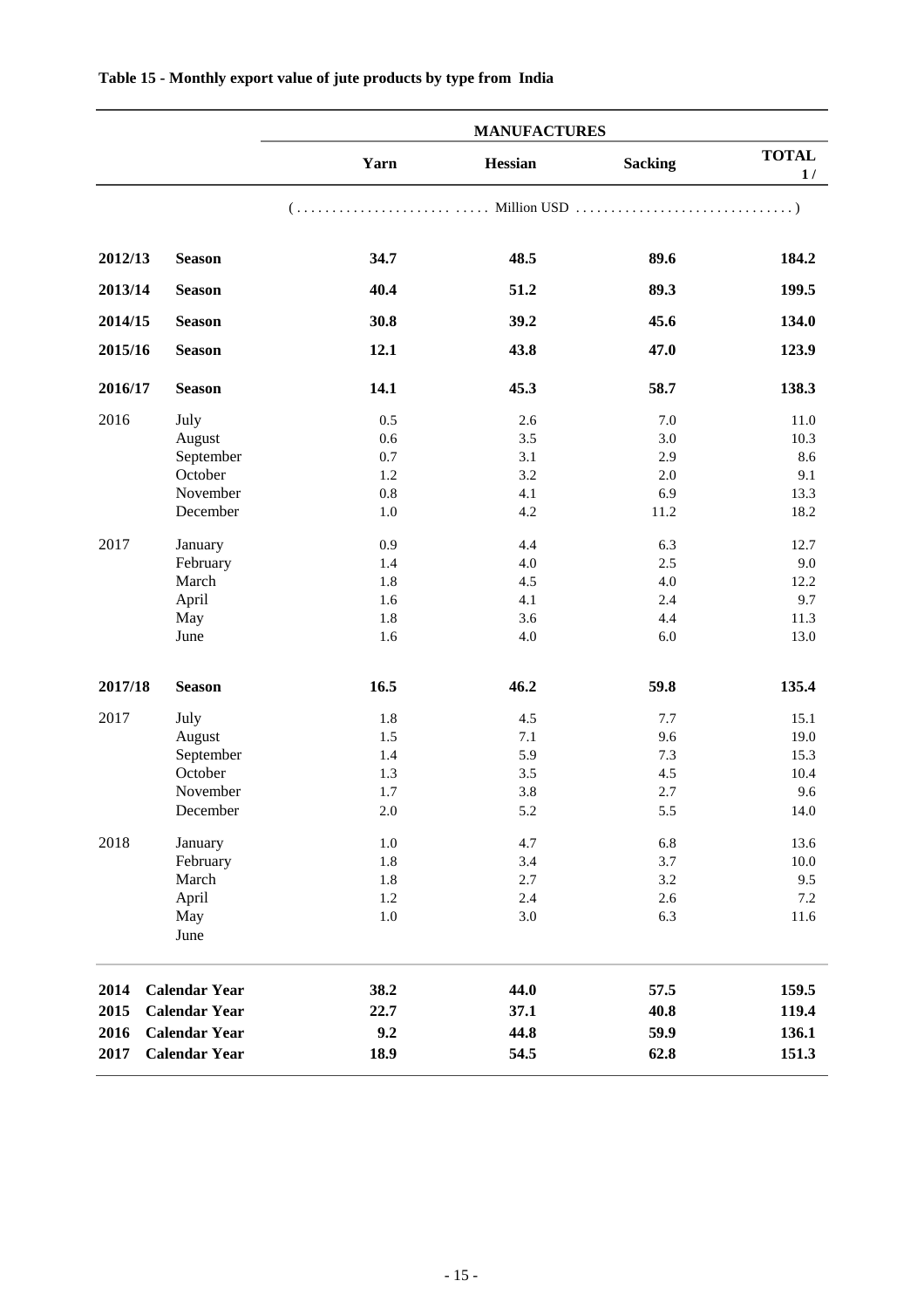|         |                      | <b>MANUFACTURES</b> |         |                |                    |
|---------|----------------------|---------------------|---------|----------------|--------------------|
|         |                      | Yarn                | Hessian | <b>Sacking</b> | <b>TOTAL</b><br>1/ |
|         |                      |                     |         |                |                    |
| 2012/13 | <b>Season</b>        | 34.7                | 48.5    | 89.6           | 184.2              |
| 2013/14 | <b>Season</b>        | 40.4                | 51.2    | 89.3           | 199.5              |
| 2014/15 | <b>Season</b>        | 30.8                | 39.2    | 45.6           | 134.0              |
| 2015/16 | <b>Season</b>        | 12.1                | 43.8    | 47.0           | 123.9              |
| 2016/17 | <b>Season</b>        | 14.1                | 45.3    | 58.7           | 138.3              |
| 2016    | July                 | 0.5                 | 2.6     | 7.0            | 11.0               |
|         | August               | 0.6                 | 3.5     | 3.0            | 10.3               |
|         | September            | 0.7                 | 3.1     | 2.9            | 8.6                |
|         | October              | 1.2                 | 3.2     | 2.0            | 9.1                |
|         | November             | 0.8                 | 4.1     | 6.9            | 13.3               |
|         | December             | 1.0                 | 4.2     | 11.2           | 18.2               |
| 2017    | January              | 0.9                 | 4.4     | 6.3            | 12.7               |
|         | February             | 1.4                 | 4.0     | 2.5            | 9.0                |
|         | March                | 1.8                 | 4.5     | 4.0            | 12.2               |
|         | April                | 1.6                 | 4.1     | 2.4            | 9.7                |
|         | May                  | 1.8                 | 3.6     | 4.4            | 11.3               |
|         | June                 | 1.6                 | 4.0     | 6.0            | 13.0               |
| 2017/18 | <b>Season</b>        | 16.5                | 46.2    | 59.8           | 135.4              |
| 2017    | July                 | 1.8                 | 4.5     | 7.7            | 15.1               |
|         | August               | 1.5                 | 7.1     | 9.6            | 19.0               |
|         | September            | 1.4                 | 5.9     | 7.3            | 15.3               |
|         | October              | 1.3                 | 3.5     | 4.5            | 10.4               |
|         | November             | 1.7                 | 3.8     | 2.7            | 9.6                |
|         | December             | $2.0\,$             | 5.2     | 5.5            | 14.0               |
| 2018    | January              | $1.0\,$             | 4.7     | 6.8            | 13.6               |
|         | February             | 1.8                 | 3.4     | 3.7            | $10.0\,$           |
|         | March                | 1.8                 | $2.7\,$ | $3.2\,$        | 9.5                |
|         | April                | $1.2\,$             | 2.4     | $2.6\,$        | 7.2                |
|         | May<br>June          | $1.0\,$             | $3.0\,$ | 6.3            | 11.6               |
| 2014    | <b>Calendar Year</b> | 38.2                | 44.0    | 57.5           | 159.5              |
| 2015    | <b>Calendar Year</b> | 22.7                | 37.1    | 40.8           | 119.4              |
| 2016    | <b>Calendar Year</b> | 9.2                 | 44.8    | 59.9           | 136.1              |
|         |                      |                     |         |                |                    |
| 2017    | <b>Calendar Year</b> | 18.9                | 54.5    | 62.8           | 151.3              |

#### **Table 15 - Monthly export value of jute products by type from India**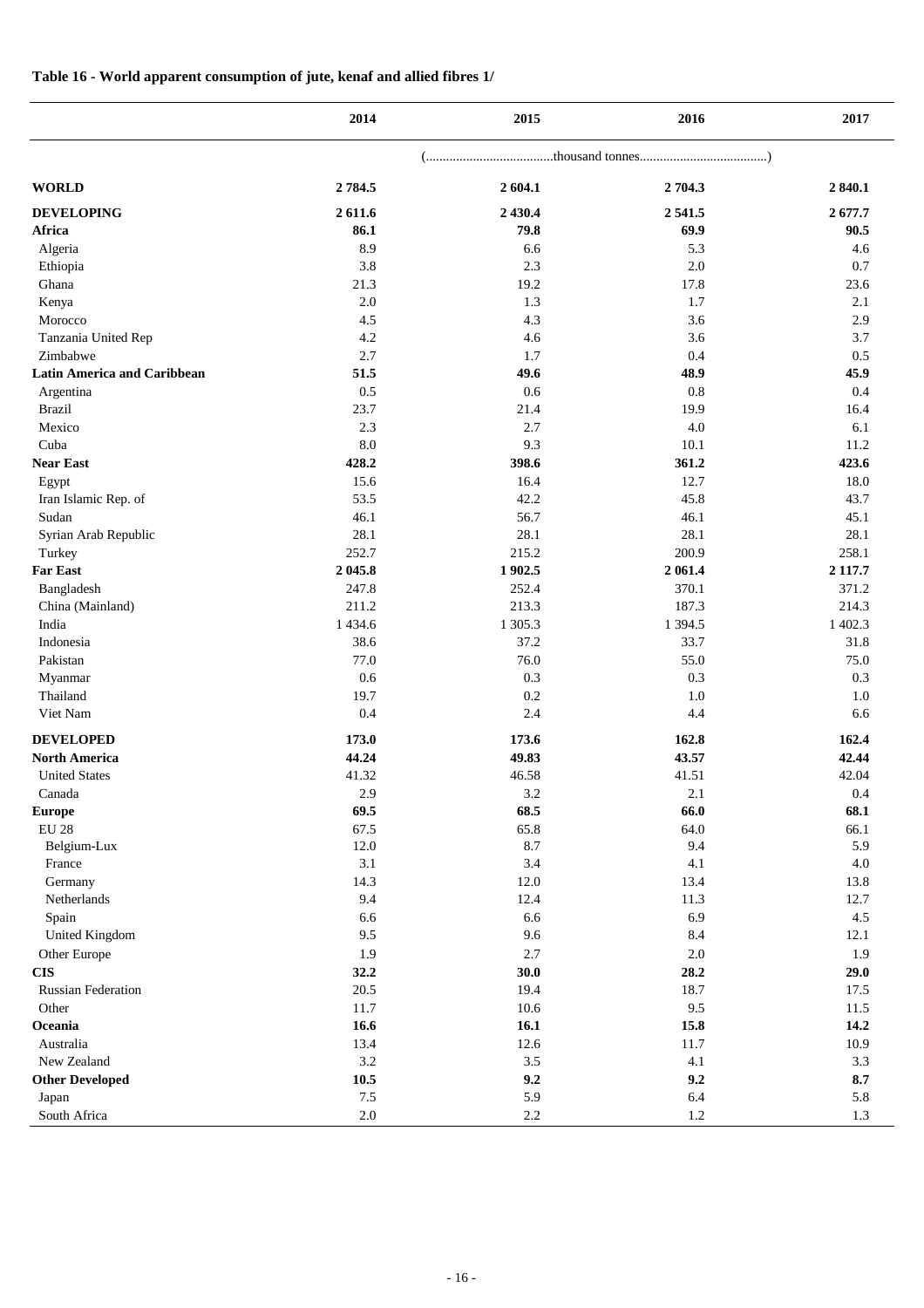#### **Table 16 - World apparent consumption of jute, kenaf and allied fibres 1/**

|                                    | 2014        | 2015    | 2016       | 2017       |
|------------------------------------|-------------|---------|------------|------------|
|                                    |             |         |            |            |
| <b>WORLD</b>                       | 2 7 8 4.5   | 2604.1  | 2 704.3    | 2 840.1    |
| <b>DEVELOPING</b>                  | 2 611.6     | 2 430.4 | 2541.5     | 2677.7     |
| Africa                             | 86.1        | 79.8    | 69.9       | 90.5       |
| Algeria                            | 8.9         | 6.6     | 5.3        | 4.6        |
| Ethiopia                           | 3.8         | 2.3     | 2.0        | 0.7        |
| Ghana                              | 21.3        | 19.2    | 17.8       | 23.6       |
| Kenya                              | $2.0\,$     | 1.3     | 1.7        | 2.1        |
| Morocco                            | 4.5         | 4.3     | 3.6        | 2.9        |
| Tanzania United Rep                | 4.2         | 4.6     | 3.6        | 3.7        |
| Zimbabwe                           | 2.7         | 1.7     | 0.4        | 0.5        |
| <b>Latin America and Caribbean</b> | 51.5        | 49.6    | 48.9       | 45.9       |
| Argentina                          | 0.5         | 0.6     | 0.8        | 0.4        |
| <b>Brazil</b>                      | 23.7        | 21.4    | 19.9       | 16.4       |
| Mexico                             | 2.3         | 2.7     | 4.0        | 6.1        |
| Cuba                               | 8.0         | 9.3     | 10.1       | 11.2       |
| <b>Near East</b>                   | 428.2       | 398.6   | 361.2      | 423.6      |
| Egypt                              | 15.6        | 16.4    | 12.7       | 18.0       |
| Iran Islamic Rep. of               | 53.5        | 42.2    | 45.8       | 43.7       |
| Sudan                              | 46.1        | 56.7    | 46.1       | 45.1       |
| Syrian Arab Republic               | 28.1        | 28.1    | 28.1       | 28.1       |
| Turkey                             | 252.7       | 215.2   | 200.9      | 258.1      |
| <b>Far East</b>                    | 2 045.8     | 1 902.5 | 2 061.4    | 2 1 1 7 .7 |
| Bangladesh                         | 247.8       | 252.4   | 370.1      | 371.2      |
| China (Mainland)                   | 211.2       | 213.3   | 187.3      | 214.3      |
| India                              | 1 4 3 4 . 6 | 1 305.3 | 1 3 9 4 .5 | 1 402.3    |
| Indonesia                          | 38.6        | 37.2    | 33.7       | 31.8       |
| Pakistan                           | 77.0        | 76.0    | 55.0       | 75.0       |
| Myanmar                            | 0.6         | 0.3     | 0.3        | 0.3        |
| Thailand                           | 19.7        | 0.2     | $1.0\,$    | 1.0        |
| Viet Nam                           | 0.4         | 2.4     | 4.4        | 6.6        |
| <b>DEVELOPED</b>                   | 173.0       | 173.6   | 162.8      | 162.4      |
| <b>North America</b>               | 44.24       | 49.83   | 43.57      | 42.44      |
| <b>United States</b>               | 41.32       | 46.58   | 41.51      | 42.04      |
| Canada                             | 2.9         | 3.2     | 2.1        | 0.4        |
| <b>Europe</b>                      | 69.5        | 68.5    | 66.0       | 68.1       |
| <b>EU 28</b>                       | 67.5        | 65.8    | 64.0       | 66.1       |
| Belgium-Lux                        | 12.0        | 8.7     | 9.4        | 5.9        |
| France                             | 3.1         | 3.4     | 4.1        | 4.0        |
| Germany                            | 14.3        | 12.0    | 13.4       | 13.8       |
| Netherlands                        | 9.4         | 12.4    | 11.3       | 12.7       |
| Spain                              | 6.6         | 6.6     | 6.9        | 4.5        |
| <b>United Kingdom</b>              | 9.5         | 9.6     | 8.4        | 12.1       |
| Other Europe                       | 1.9         | 2.7     | 2.0        | 1.9        |
| <b>CIS</b>                         | 32.2        | 30.0    | 28.2       | 29.0       |
| <b>Russian Federation</b>          | 20.5        | 19.4    | 18.7       | 17.5       |
| Other                              | 11.7        | 10.6    | 9.5        | 11.5       |
| Oceania                            | 16.6        | 16.1    | 15.8       | 14.2       |
| Australia                          | 13.4        | 12.6    | 11.7       | 10.9       |
| New Zealand                        | $3.2\,$     | 3.5     | 4.1        | 3.3        |
| <b>Other Developed</b>             | 10.5        | 9.2     | 9.2        | 8.7        |
| Japan                              | $7.5\,$     | 5.9     | 6.4        | 5.8        |
| South Africa                       | $2.0\,$     | $2.2\,$ | 1.2        | 1.3        |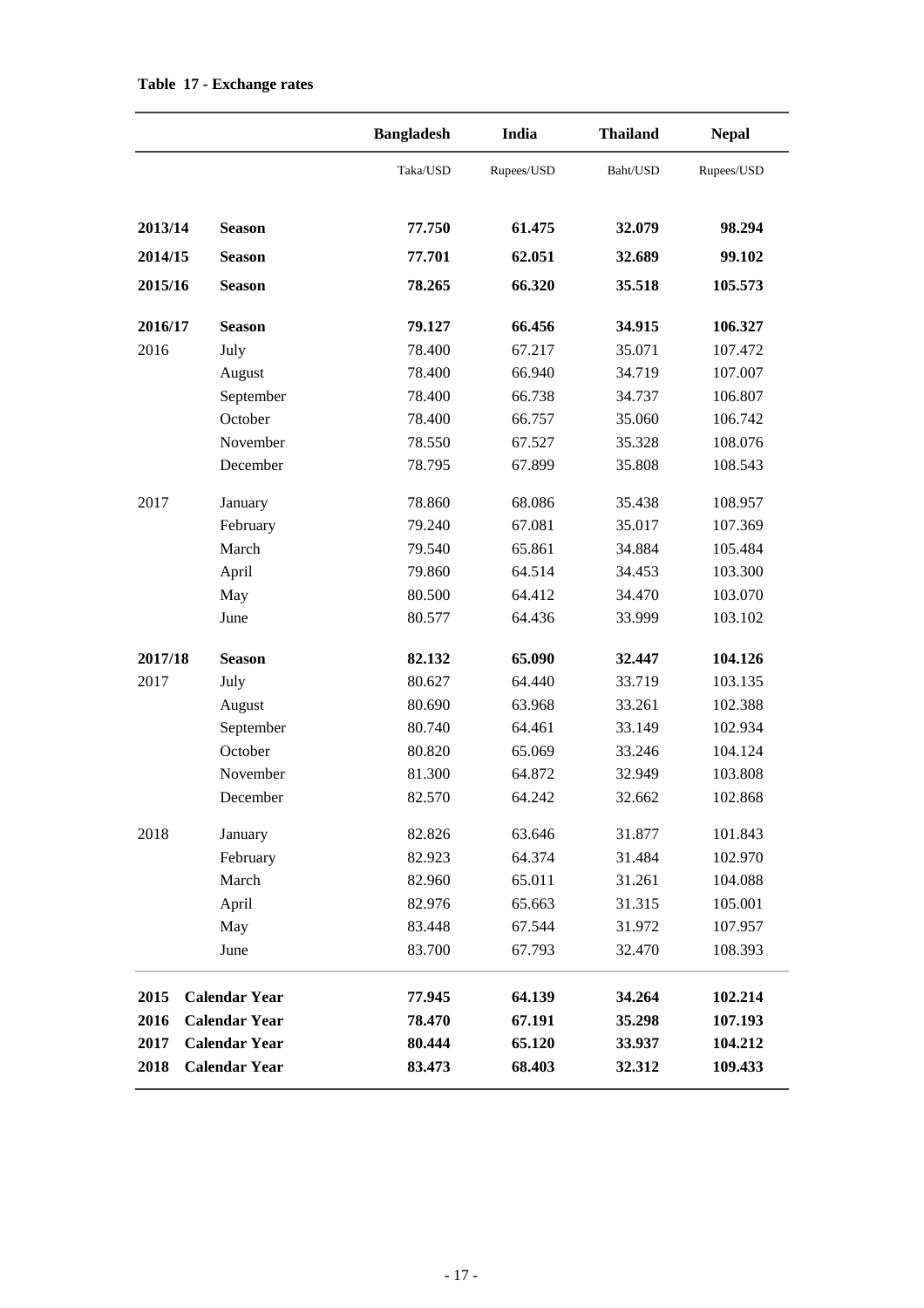|         |                      | <b>Bangladesh</b> | India      | <b>Thailand</b> | <b>Nepal</b> |  |
|---------|----------------------|-------------------|------------|-----------------|--------------|--|
|         |                      | Taka/USD          | Rupees/USD | Baht/USD        | Rupees/USD   |  |
| 2013/14 | <b>Season</b>        | 77.750            | 61.475     | 32.079          | 98.294       |  |
| 2014/15 | <b>Season</b>        | 77.701            | 62.051     | 32.689          | 99.102       |  |
| 2015/16 | <b>Season</b>        | 78.265            |            | 35.518          | 105.573      |  |
| 2016/17 | <b>Season</b>        | 79.127            | 66.456     | 34.915          | 106.327      |  |
| 2016    | July                 | 78.400            | 67.217     | 35.071          | 107.472      |  |
|         | August               | 78.400            | 66.940     | 34.719          | 107.007      |  |
|         | September            | 78.400            | 66.738     | 34.737          | 106.807      |  |
|         | October              | 78.400            | 66.757     | 35.060          | 106.742      |  |
|         | November             | 78.550            | 67.527     | 35.328          | 108.076      |  |
|         | December             | 78.795            | 67.899     | 35.808          | 108.543      |  |
| 2017    | January              | 78.860            | 68.086     | 35.438          | 108.957      |  |
|         | February             | 79.240            | 67.081     | 35.017          | 107.369      |  |
|         | March                | 79.540            | 65.861     | 34.884          | 105.484      |  |
|         | April                | 79.860            | 64.514     | 34.453          | 103.300      |  |
|         | May                  | 80.500            | 64.412     | 34.470          | 103.070      |  |
|         | June                 | 80.577            | 64.436     | 33.999          | 103.102      |  |
| 2017/18 | <b>Season</b>        | 82.132            | 65.090     | 32.447          | 104.126      |  |
| 2017    | July                 | 80.627            | 64.440     | 33.719          | 103.135      |  |
|         | August               | 80.690            | 63.968     | 33.261          | 102.388      |  |
|         | September            | 80.740            | 64.461     | 33.149          | 102.934      |  |
|         | October              | 80.820            | 65.069     | 33.246          | 104.124      |  |
|         | November             | 81.300            | 64.872     | 32.949          | 103.808      |  |
|         | December             | 82.570            | 64.242     | 32.662          | 102.868      |  |
| 2018    | January              | 82.826            | 63.646     | 31.877          | 101.843      |  |
|         | February             | 82.923            | 64.374     | 31.484          | 102.970      |  |
|         | March                | 82.960            | 65.011     | 31.261          | 104.088      |  |
|         | April                | 82.976            | 65.663     | 31.315          | 105.001      |  |
|         | May                  | 83.448            | 67.544     | 31.972          | 107.957      |  |
|         | June                 | 83.700            | 67.793     | 32.470          | 108.393      |  |
| 2015    | <b>Calendar Year</b> | 77.945            | 64.139     | 34.264          | 102.214      |  |
| 2016    | <b>Calendar Year</b> | 78.470            | 67.191     | 35.298          | 107.193      |  |
| 2017    | <b>Calendar Year</b> | 80.444            | 65.120     | 33.937          | 104.212      |  |
| 2018    | <b>Calendar Year</b> | 83.473            | 68.403     | 32.312          | 109.433      |  |

#### **Table 17 - Exchange rates**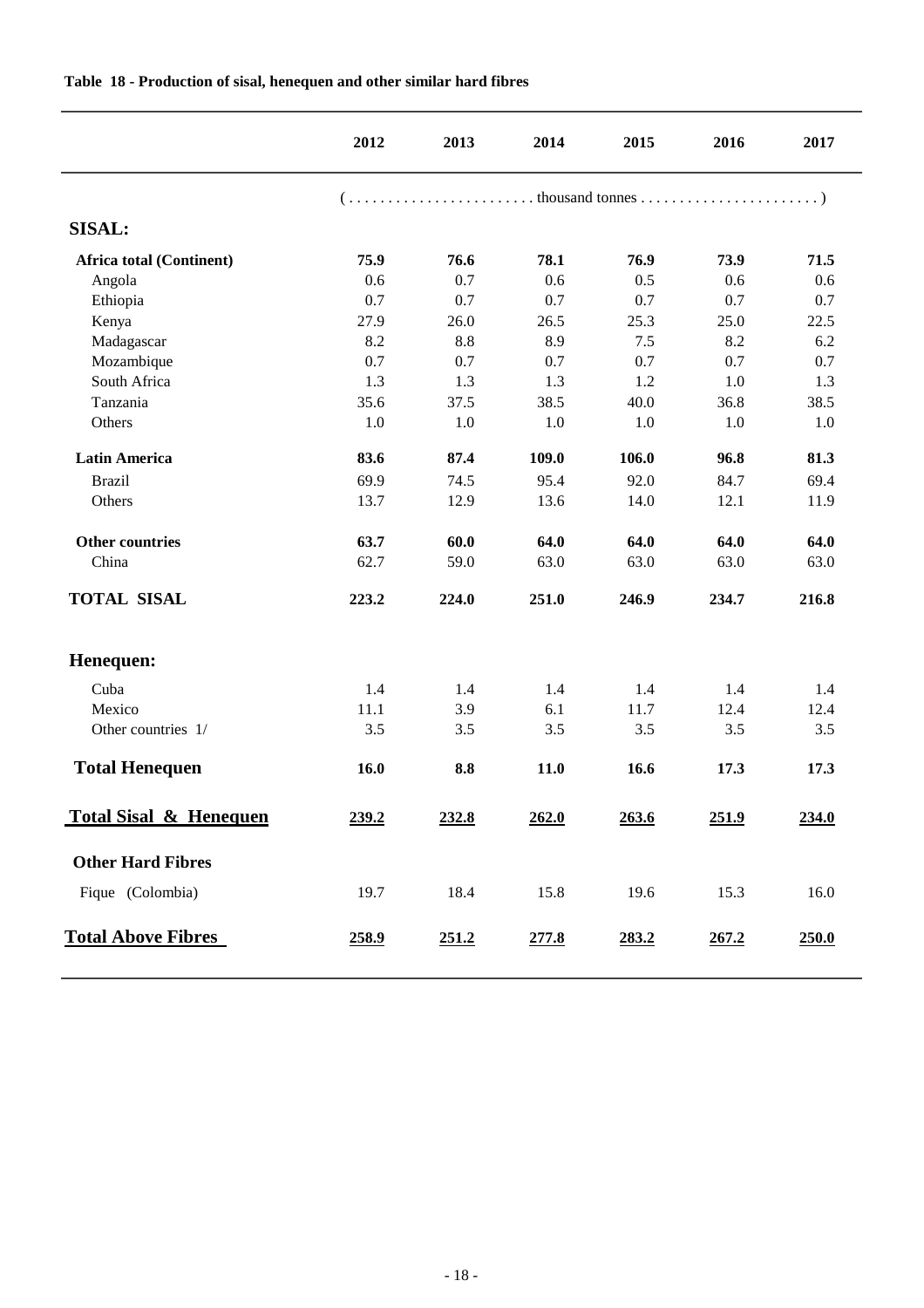|                                   | 2012  | 2013  | 2014  | 2015  | 2016  | 2017  |  |  |  |  |
|-----------------------------------|-------|-------|-------|-------|-------|-------|--|--|--|--|
|                                   |       |       |       |       |       |       |  |  |  |  |
| <b>SISAL:</b>                     |       |       |       |       |       |       |  |  |  |  |
| <b>Africa total (Continent)</b>   | 75.9  | 76.6  | 78.1  | 76.9  | 73.9  | 71.5  |  |  |  |  |
| Angola                            | 0.6   | 0.7   | 0.6   | 0.5   | 0.6   | 0.6   |  |  |  |  |
| Ethiopia                          | 0.7   | 0.7   | 0.7   | 0.7   | 0.7   | 0.7   |  |  |  |  |
| Kenya                             | 27.9  | 26.0  | 26.5  | 25.3  | 25.0  | 22.5  |  |  |  |  |
| Madagascar                        | 8.2   | 8.8   | 8.9   | 7.5   | 8.2   | 6.2   |  |  |  |  |
| Mozambique                        | 0.7   | 0.7   | 0.7   | 0.7   | 0.7   | 0.7   |  |  |  |  |
| South Africa                      | 1.3   | 1.3   | 1.3   | 1.2   | 1.0   | 1.3   |  |  |  |  |
| Tanzania                          | 35.6  | 37.5  | 38.5  | 40.0  | 36.8  | 38.5  |  |  |  |  |
| Others                            | 1.0   | 1.0   | 1.0   | 1.0   | 1.0   | 1.0   |  |  |  |  |
| <b>Latin America</b>              | 83.6  | 87.4  | 109.0 | 106.0 | 96.8  | 81.3  |  |  |  |  |
| <b>Brazil</b>                     | 69.9  | 74.5  | 95.4  | 92.0  | 84.7  | 69.4  |  |  |  |  |
| Others                            | 13.7  | 12.9  | 13.6  | 14.0  | 12.1  | 11.9  |  |  |  |  |
| <b>Other countries</b>            | 63.7  | 60.0  | 64.0  | 64.0  | 64.0  | 64.0  |  |  |  |  |
| China                             | 62.7  | 59.0  | 63.0  | 63.0  | 63.0  | 63.0  |  |  |  |  |
| <b>TOTAL SISAL</b>                | 223.2 | 224.0 | 251.0 | 246.9 | 234.7 | 216.8 |  |  |  |  |
| Henequen:                         |       |       |       |       |       |       |  |  |  |  |
| Cuba                              | 1.4   | 1.4   | 1.4   | 1.4   | 1.4   | 1.4   |  |  |  |  |
| Mexico                            | 11.1  | 3.9   | 6.1   | 11.7  | 12.4  | 12.4  |  |  |  |  |
| Other countries 1/                | 3.5   | 3.5   | 3.5   | 3.5   | 3.5   | 3.5   |  |  |  |  |
| <b>Total Henequen</b>             | 16.0  | 8.8   | 11.0  | 16.6  | 17.3  | 17.3  |  |  |  |  |
| <b>Total Sisal &amp; Henequen</b> | 239.2 | 232.8 | 262.0 | 263.6 | 251.9 | 234.0 |  |  |  |  |
| <b>Other Hard Fibres</b>          |       |       |       |       |       |       |  |  |  |  |
| Fique (Colombia)                  | 19.7  | 18.4  | 15.8  | 19.6  | 15.3  | 16.0  |  |  |  |  |
| <b>Total Above Fibres</b>         | 258.9 | 251.2 | 277.8 | 283.2 | 267.2 | 250.0 |  |  |  |  |

#### **Table 18 - Production of sisal, henequen and other similar hard fibres**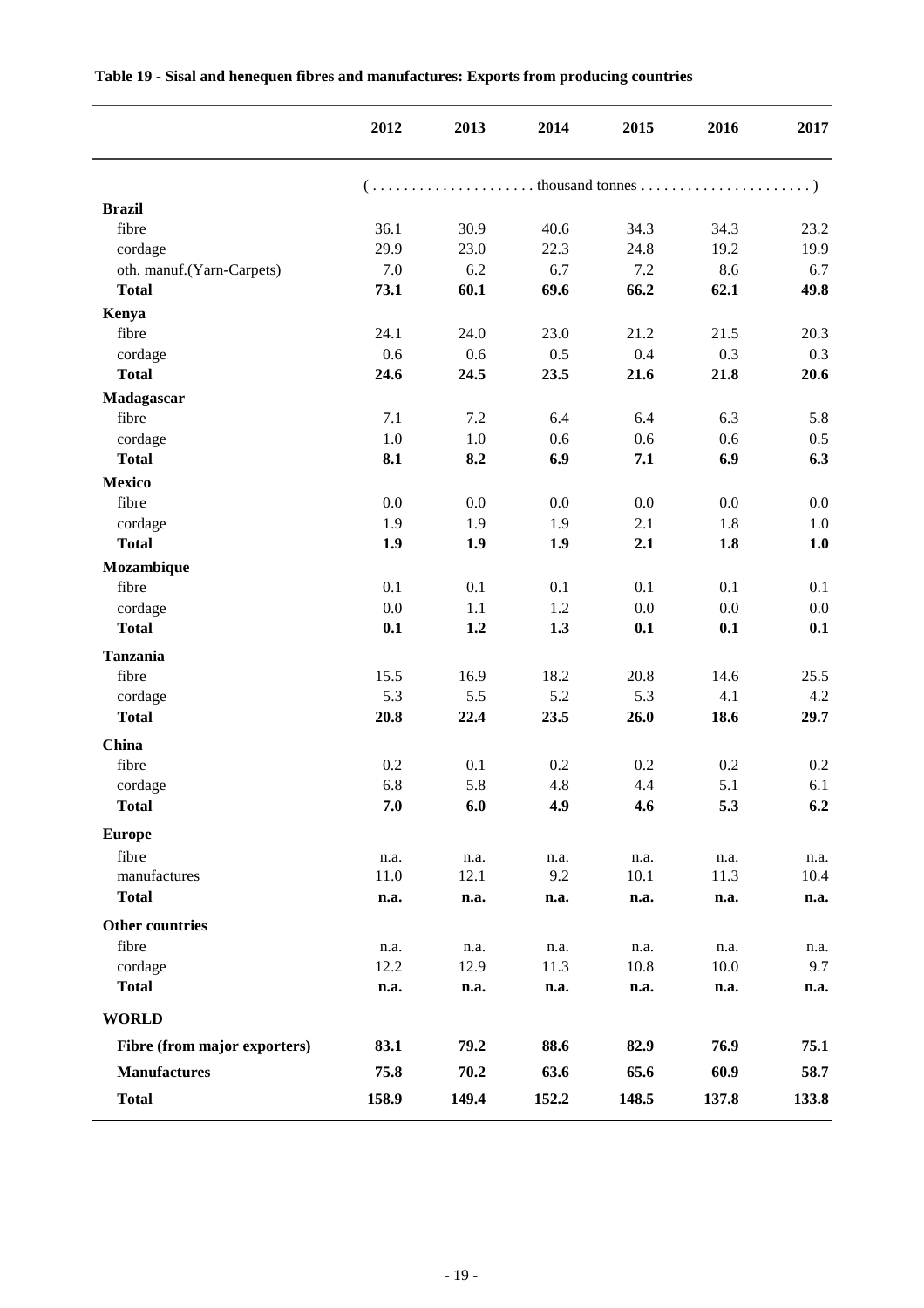|                                 | 2012         | 2013         | 2014         | 2015         | 2016         | 2017        |
|---------------------------------|--------------|--------------|--------------|--------------|--------------|-------------|
|                                 |              |              |              |              |              |             |
| <b>Brazil</b>                   |              |              |              |              |              |             |
| fibre                           | 36.1         | 30.9         | 40.6         | 34.3         | 34.3         | 23.2        |
| cordage                         | 29.9         | 23.0         | 22.3         | 24.8         | 19.2         | 19.9        |
| oth. manuf.(Yarn-Carpets)       | 7.0          | 6.2          | 6.7          | 7.2          | 8.6          | 6.7         |
| <b>Total</b>                    | 73.1         | 60.1         | 69.6         | 66.2         | 62.1         | 49.8        |
| Kenya                           |              |              |              |              |              |             |
| fibre                           | 24.1         | 24.0         | 23.0         | 21.2         | 21.5         | 20.3        |
| cordage                         | 0.6          | 0.6          | 0.5          | 0.4          | 0.3          | 0.3         |
| <b>Total</b>                    | 24.6         | 24.5         | 23.5         | 21.6         | 21.8         | 20.6        |
| Madagascar                      |              |              |              |              |              |             |
| fibre                           | 7.1          | 7.2          | 6.4          | 6.4          | 6.3          | 5.8         |
| cordage                         | 1.0          | $1.0\,$      | 0.6          | 0.6          | 0.6          | 0.5         |
| <b>Total</b>                    | 8.1          | 8.2          | 6.9          | 7.1          | 6.9          | 6.3         |
| <b>Mexico</b>                   |              |              |              |              |              |             |
| fibre                           | 0.0          | 0.0          | 0.0          | 0.0          | 0.0          | 0.0         |
| cordage                         | 1.9          | 1.9          | 1.9          | 2.1          | 1.8          | $1.0\,$     |
| <b>Total</b>                    | 1.9          | 1.9          | 1.9          | 2.1          | 1.8          | 1.0         |
| Mozambique                      |              |              |              |              |              |             |
| fibre                           | 0.1          | 0.1          | 0.1          | 0.1          | 0.1          | 0.1         |
| cordage                         | 0.0          | 1.1          | 1.2          | 0.0          | 0.0          | 0.0         |
| <b>Total</b>                    | 0.1          | 1.2          | 1.3          | 0.1          | 0.1          | 0.1         |
| <b>Tanzania</b>                 |              |              |              |              |              |             |
| fibre                           | 15.5         | 16.9         | 18.2         | 20.8         | 14.6         | 25.5        |
| cordage                         | 5.3          | 5.5          | 5.2          | 5.3          | 4.1          | 4.2         |
| <b>Total</b>                    | 20.8         | 22.4         | 23.5         | 26.0         | 18.6         | 29.7        |
| China                           |              |              |              |              |              |             |
| fibre                           | 0.2          | 0.1          | 0.2          | 0.2          | 0.2          | 0.2         |
| cordage                         | 6.8          | 5.8          | 4.8          | 4.4          | 5.1          | 6.1         |
| <b>Total</b>                    | 7.0          | 6.0          | 4.9          | 4.6          | 5.3          | 6.2         |
| <b>Europe</b>                   |              |              |              |              |              |             |
| fibre                           | n.a.         | n.a.         | n.a.         | n.a.         | n.a.         | n.a.        |
| manufactures                    | 11.0         | 12.1         | 9.2          | 10.1         | 11.3         | 10.4        |
| <b>Total</b>                    | n.a.         | n.a.         | n.a.         | n.a.         | n.a.         | n.a.        |
|                                 |              |              |              |              |              |             |
| <b>Other countries</b><br>fibre |              |              |              |              |              |             |
| cordage                         | n.a.<br>12.2 | n.a.<br>12.9 | n.a.<br>11.3 | n.a.<br>10.8 | n.a.<br>10.0 | n.a.<br>9.7 |
| <b>Total</b>                    | n.a.         | n.a.         | n.a.         | n.a.         | n.a.         | n.a.        |
| <b>WORLD</b>                    |              |              |              |              |              |             |
| Fibre (from major exporters)    | 83.1         | 79.2         | 88.6         | 82.9         | 76.9         | 75.1        |
| <b>Manufactures</b>             | 75.8         | 70.2         | 63.6         | 65.6         | 60.9         | 58.7        |
| <b>Total</b>                    | 158.9        | 149.4        | 152.2        | 148.5        | 137.8        | 133.8       |
|                                 |              |              |              |              |              |             |

#### **Table 19 - Sisal and henequen fibres and manufactures: Exports from producing countries**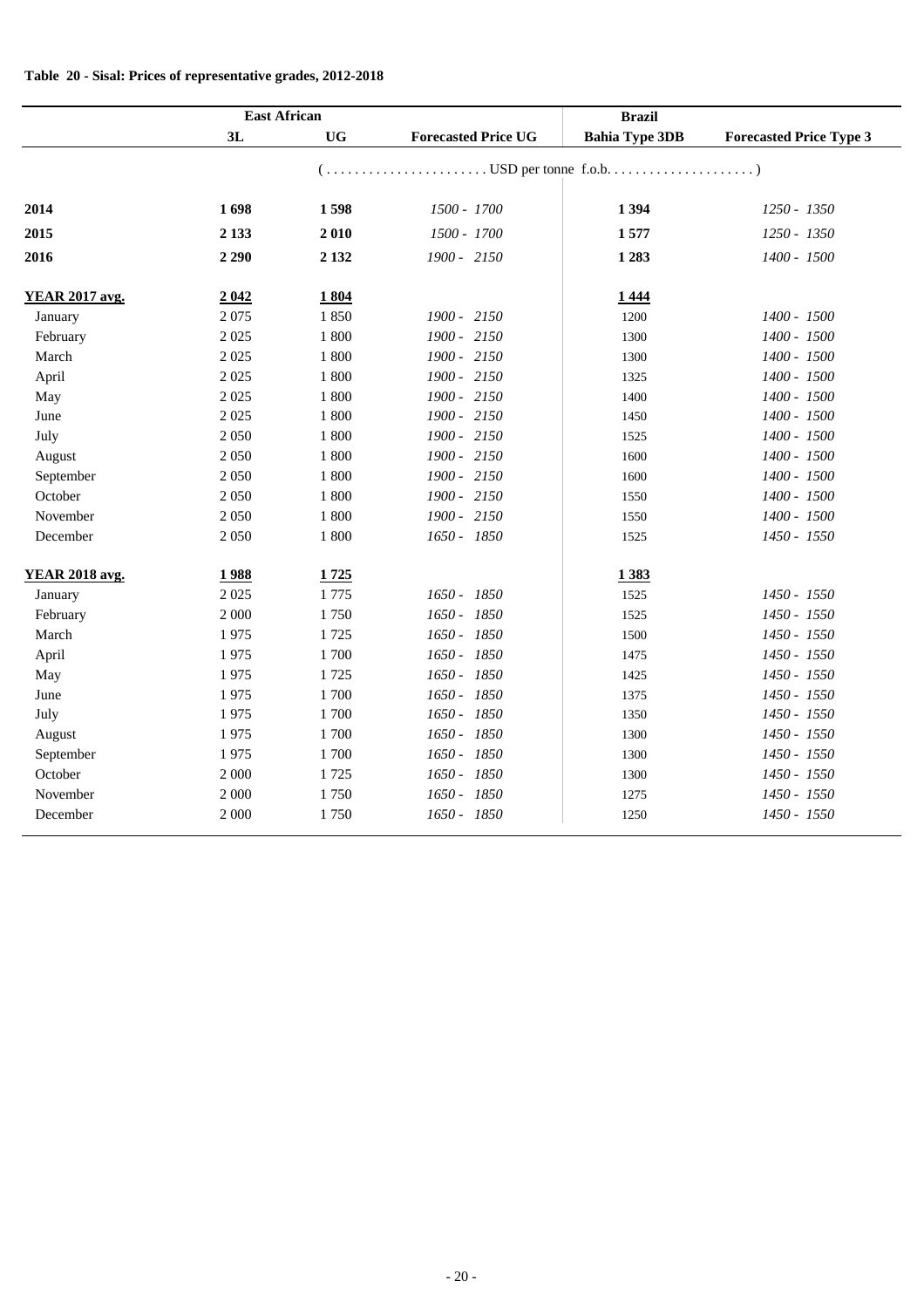|  |  |  |  |  | Table 20 - Sisal: Prices of representative grades, 2012-2018 |  |  |  |
|--|--|--|--|--|--------------------------------------------------------------|--|--|--|
|--|--|--|--|--|--------------------------------------------------------------|--|--|--|

|                       | <b>East African</b> |           |                            | <b>Brazil</b>         |                                |
|-----------------------|---------------------|-----------|----------------------------|-----------------------|--------------------------------|
|                       | 3L                  | <b>UG</b> | <b>Forecasted Price UG</b> | <b>Bahia Type 3DB</b> | <b>Forecasted Price Type 3</b> |
|                       |                     |           |                            |                       |                                |
| 2014                  | 1698                | 1598      | 1500 - 1700                | 1 3 9 4               | 1250 - 1350                    |
| 2015                  | 2 1 3 3             | 2010      | 1500 - 1700                | 1577                  | 1250 - 1350                    |
| 2016                  | 2 2 9 0             | 2 1 3 2   | 1900 - 2150                | 1 2 8 3               | 1400 - 1500                    |
| <b>YEAR 2017 avg.</b> | 2042                | 1804      |                            | 1444                  |                                |
| January               | 2075                | 1850      | 1900 - 2150                | 1200                  | 1400 - 1500                    |
| February              | 2 0 2 5             | 1 800     | 1900 - 2150                | 1300                  | 1400 - 1500                    |
| March                 | 2 0 2 5             | 1 800     | 1900 - 2150                | 1300                  | 1400 - 1500                    |
| April                 | 2 0 2 5             | 1 800     | 1900 - 2150                | 1325                  | 1400 - 1500                    |
| May                   | 2 0 2 5             | 1 800     | 1900 - 2150                | 1400                  | 1400 - 1500                    |
| June                  | 2 0 2 5             | 1 800     | 1900 - 2150                | 1450                  | 1400 - 1500                    |
| July                  | 2 0 5 0             | 1 800     | 1900 - 2150                | 1525                  | 1400 - 1500                    |
| August                | 2 0 5 0             | 1 800     | 1900 - 2150                | 1600                  | 1400 - 1500                    |
| September             | 2 0 5 0             | 1 800     | 1900 - 2150                | 1600                  | 1400 - 1500                    |
| October               | 2 0 5 0             | 1 800     | 1900 - 2150                | 1550                  | 1400 - 1500                    |
| November              | 2 0 5 0             | 1 800     | 1900 - 2150                | 1550                  | 1400 - 1500                    |
| December              | 2 0 5 0             | 1 800     | 1650 - 1850                | 1525                  | 1450 - 1550                    |
| <b>YEAR 2018 avg.</b> | 1988                | 1725      |                            | 1383                  |                                |
| January               | 2 0 2 5             | 1775      | 1650 - 1850                | 1525                  | 1450 - 1550                    |
| February              | 2 000               | 1750      | 1650 - 1850                | 1525                  | 1450 - 1550                    |
| March                 | 1975                | 1725      | 1650 - 1850                | 1500                  | 1450 - 1550                    |
| April                 | 1975                | 1700      | 1650 - 1850                | 1475                  | 1450 - 1550                    |
| May                   | 1975                | 1725      | 1650 - 1850                | 1425                  | 1450 - 1550                    |
| June                  | 1975                | 1700      | 1650 - 1850                | 1375                  | 1450 - 1550                    |
| July                  | 1975                | 1700      | 1650 - 1850                | 1350                  | 1450 - 1550                    |
| August                | 1975                | 1700      | 1650 - 1850                | 1300                  | 1450 - 1550                    |
| September             | 1975                | 1700      | 1650 - 1850                | 1300                  | 1450 - 1550                    |
| October               | 2 000               | 1725      | 1650 - 1850                | 1300                  | 1450 - 1550                    |
| November              | 2 000               | 1750      | 1650 - 1850                | 1275                  | 1450 - 1550                    |
| December              | 2 000               | 1750      | 1650 - 1850                | 1250                  | 1450 - 1550                    |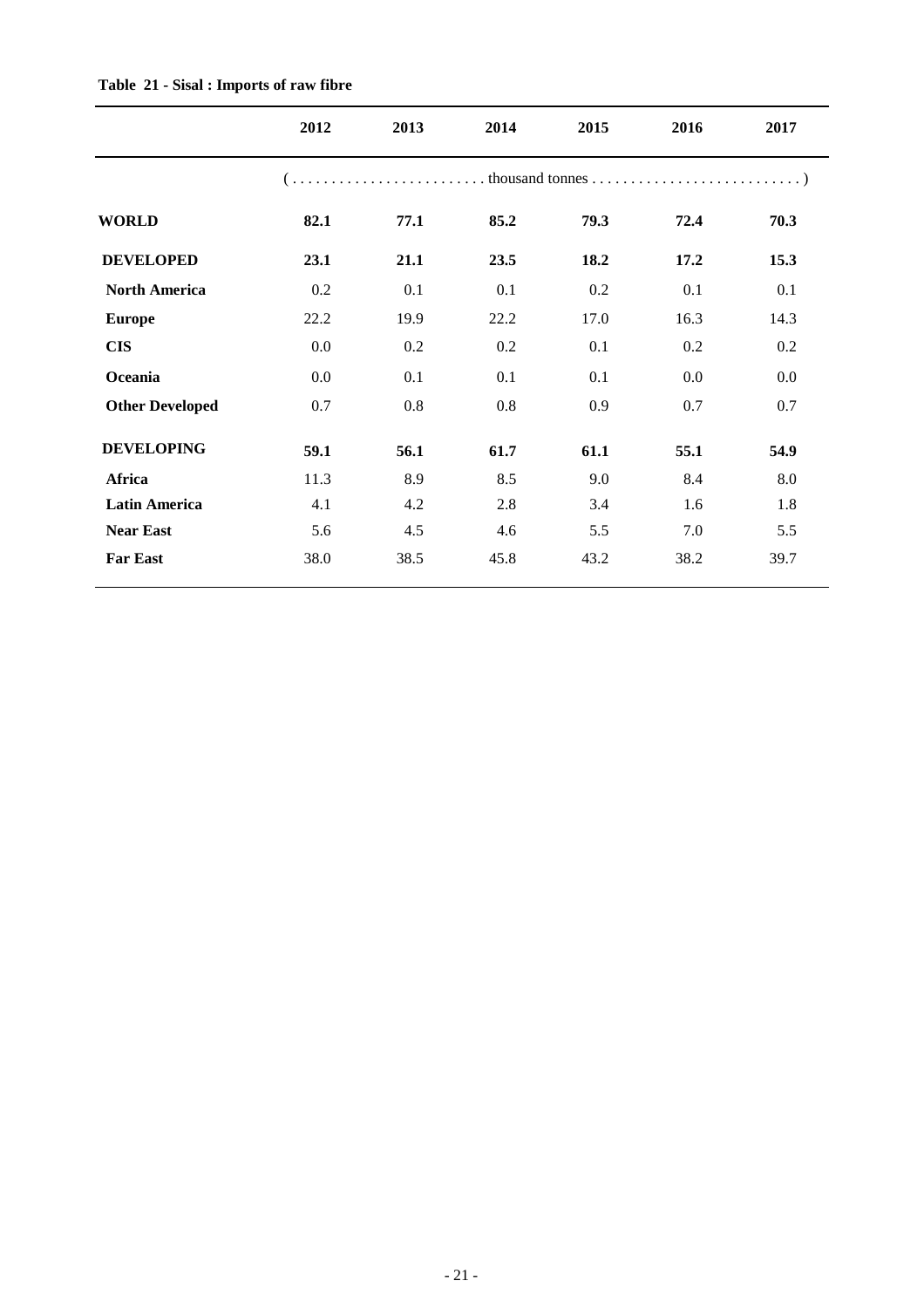|                        | 2012 | 2013 | 2014 | 2015 | 2016 | 2017 |
|------------------------|------|------|------|------|------|------|
|                        |      |      |      |      |      |      |
| <b>WORLD</b>           | 82.1 | 77.1 | 85.2 | 79.3 | 72.4 | 70.3 |
| <b>DEVELOPED</b>       | 23.1 | 21.1 | 23.5 | 18.2 | 17.2 | 15.3 |
| <b>North America</b>   | 0.2  | 0.1  | 0.1  | 0.2  | 0.1  | 0.1  |
| <b>Europe</b>          | 22.2 | 19.9 | 22.2 | 17.0 | 16.3 | 14.3 |
| <b>CIS</b>             | 0.0  | 0.2  | 0.2  | 0.1  | 0.2  | 0.2  |
| Oceania                | 0.0  | 0.1  | 0.1  | 0.1  | 0.0  | 0.0  |
| <b>Other Developed</b> | 0.7  | 0.8  | 0.8  | 0.9  | 0.7  | 0.7  |
| <b>DEVELOPING</b>      | 59.1 | 56.1 | 61.7 | 61.1 | 55.1 | 54.9 |
| Africa                 | 11.3 | 8.9  | 8.5  | 9.0  | 8.4  | 8.0  |
| <b>Latin America</b>   | 4.1  | 4.2  | 2.8  | 3.4  | 1.6  | 1.8  |
| <b>Near East</b>       | 5.6  | 4.5  | 4.6  | 5.5  | 7.0  | 5.5  |
| <b>Far East</b>        | 38.0 | 38.5 | 45.8 | 43.2 | 38.2 | 39.7 |

#### **Table 21 - Sisal : Imports of raw fibre**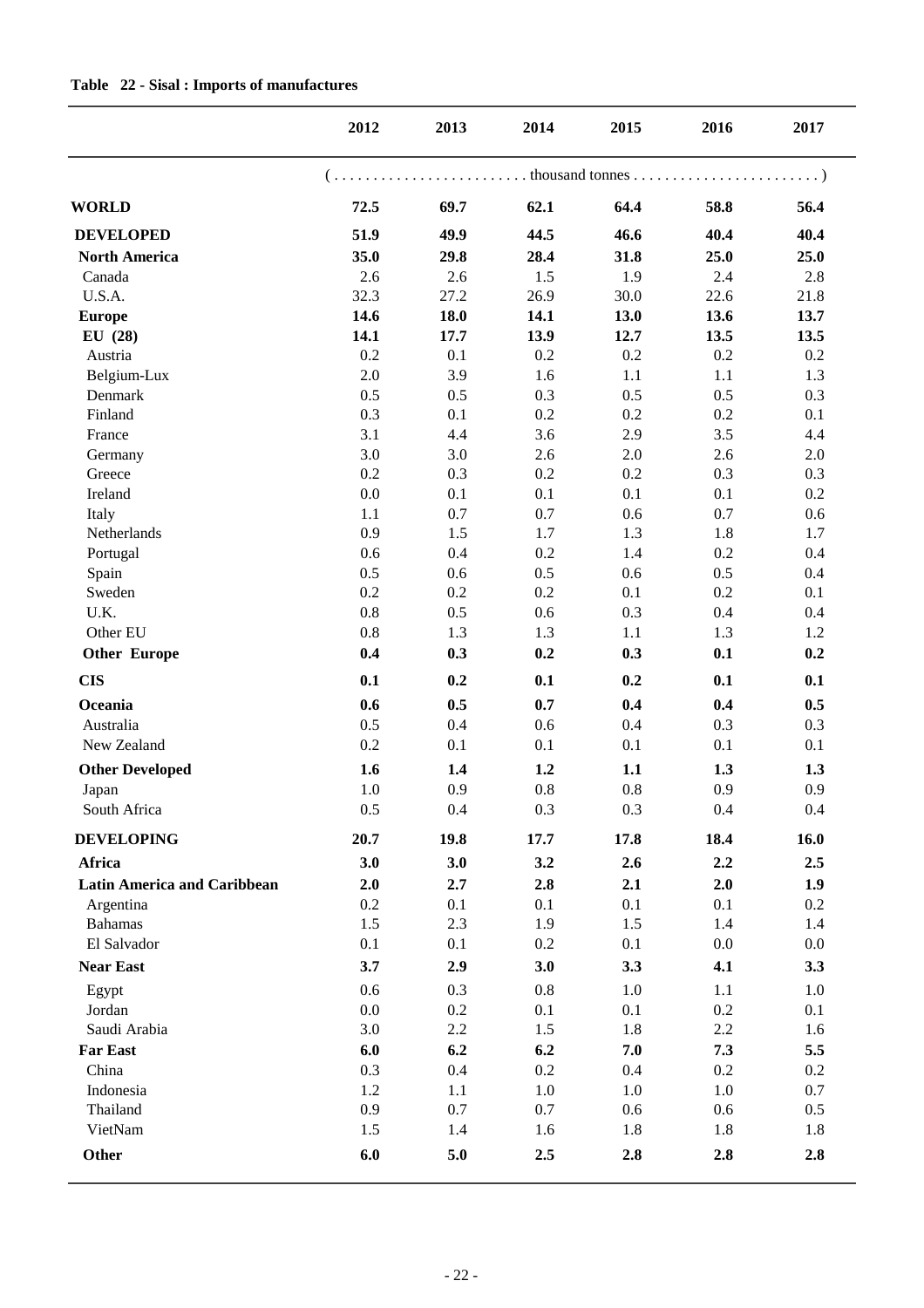|                                    | 2012       | 2013       | 2014       | 2015       | 2016       | 2017       |
|------------------------------------|------------|------------|------------|------------|------------|------------|
|                                    |            |            |            |            |            |            |
| <b>WORLD</b>                       | 72.5       | 69.7       | 62.1       | 64.4       | 58.8       | 56.4       |
| <b>DEVELOPED</b>                   | 51.9       | 49.9       | 44.5       | 46.6       | 40.4       | 40.4       |
| <b>North America</b>               | 35.0       | 29.8       | 28.4       | 31.8       | 25.0       | 25.0       |
| Canada                             | 2.6        | 2.6        | 1.5        | 1.9        | 2.4        | 2.8        |
| U.S.A.                             | 32.3       | 27.2       | 26.9       | 30.0       | 22.6       | 21.8       |
| <b>Europe</b>                      | 14.6       | 18.0       | 14.1       | 13.0       | 13.6       | 13.7       |
| EU(28)                             | 14.1       | 17.7       | 13.9       | 12.7       | 13.5       | 13.5       |
| Austria                            | 0.2        | 0.1        | 0.2        | 0.2        | 0.2        | 0.2        |
| Belgium-Lux                        | 2.0        | 3.9        | 1.6        | 1.1        | 1.1        | 1.3        |
| Denmark                            | 0.5        | 0.5        | 0.3        | 0.5        | 0.5        | 0.3        |
| Finland                            | 0.3        | 0.1        | 0.2        | 0.2        | 0.2        | 0.1        |
| France                             | 3.1        | 4.4        | 3.6        | 2.9        | 3.5        | 4.4        |
| Germany                            | 3.0        | 3.0        | 2.6        | 2.0        | 2.6        | 2.0        |
| Greece                             | 0.2        | 0.3        | 0.2        | 0.2        | 0.3        | 0.3        |
| Ireland                            | 0.0        | 0.1        | 0.1        | 0.1        | 0.1        | 0.2        |
| Italy                              | 1.1        | 0.7        | 0.7        | 0.6        | 0.7        | 0.6        |
| Netherlands                        | 0.9        | 1.5        | 1.7        | 1.3        | 1.8        | 1.7        |
| Portugal                           | 0.6        | 0.4        | 0.2        | 1.4        | 0.2        | 0.4        |
| Spain                              | 0.5        | 0.6        | 0.5        | 0.6        | 0.5        | 0.4        |
| Sweden                             | 0.2        | 0.2        | 0.2        | 0.1        | 0.2        | 0.1        |
| U.K.                               | 0.8        | 0.5        | 0.6        | 0.3        | 0.4        | 0.4        |
| Other EU                           | 0.8        | 1.3        | 1.3        | 1.1        | 1.3        | 1.2        |
| <b>Other Europe</b>                | 0.4        | 0.3        | 0.2        | 0.3        | 0.1        | 0.2        |
| <b>CIS</b>                         | 0.1        | 0.2        | 0.1        | 0.2        | 0.1        | 0.1        |
| Oceania                            | 0.6        | 0.5        | 0.7        | 0.4        | 0.4        | 0.5        |
| Australia                          | 0.5        | 0.4        | 0.6        | 0.4        | 0.3        | 0.3        |
| New Zealand                        | 0.2        | 0.1        | 0.1        | 0.1        | 0.1        | 0.1        |
| <b>Other Developed</b>             | 1.6        | 1.4        | 1.2        | 1.1        | 1.3        | 1.3        |
| Japan                              | 1.0        | 0.9        | 0.8        | 0.8        | 0.9        | 0.9        |
| South Africa                       | 0.5        | 0.4        | 0.3        | 0.3        | 0.4        | 0.4        |
| <b>DEVELOPING</b>                  | 20.7       | 19.8       | 17.7       | 17.8       | 18.4       | 16.0       |
| Africa                             | 3.0        | 3.0        | 3.2        | 2.6        | 2.2        | 2.5        |
| <b>Latin America and Caribbean</b> | 2.0        | 2.7        | 2.8        | 2.1        | 2.0        | 1.9        |
| Argentina                          | 0.2        | 0.1        | 0.1        | 0.1        | 0.1        | 0.2        |
| <b>Bahamas</b>                     | 1.5        | 2.3        | 1.9        | 1.5        | 1.4        | 1.4        |
| El Salvador                        | 0.1        | 0.1        | 0.2        | 0.1        | 0.0        | 0.0        |
| <b>Near East</b>                   | 3.7        | 2.9        | 3.0        | 3.3        | 4.1        | 3.3        |
|                                    |            |            |            |            |            |            |
| Egypt                              | 0.6        | 0.3        | 0.8        | 1.0        | 1.1        | 1.0        |
| Jordan<br>Saudi Arabia             | 0.0<br>3.0 | 0.2        | 0.1<br>1.5 | 0.1<br>1.8 | 0.2        | 0.1        |
|                                    |            | 2.2        |            |            | 2.2        | 1.6        |
| <b>Far East</b>                    | 6.0        | 6.2        | 6.2        | 7.0        | 7.3        | 5.5        |
| China                              | 0.3        | 0.4        | 0.2        | 0.4        | 0.2        | 0.2        |
| Indonesia                          | 1.2        | 1.1        | 1.0        | 1.0        | 1.0        | 0.7        |
| Thailand                           | 0.9        | 0.7        | 0.7        | 0.6        | 0.6        | 0.5        |
| VietNam<br>Other                   | 1.5<br>6.0 | 1.4<br>5.0 | 1.6<br>2.5 | 1.8<br>2.8 | 1.8<br>2.8 | 1.8<br>2.8 |
|                                    |            |            |            |            |            |            |

#### **Table 22 - Sisal : Imports of manufactures**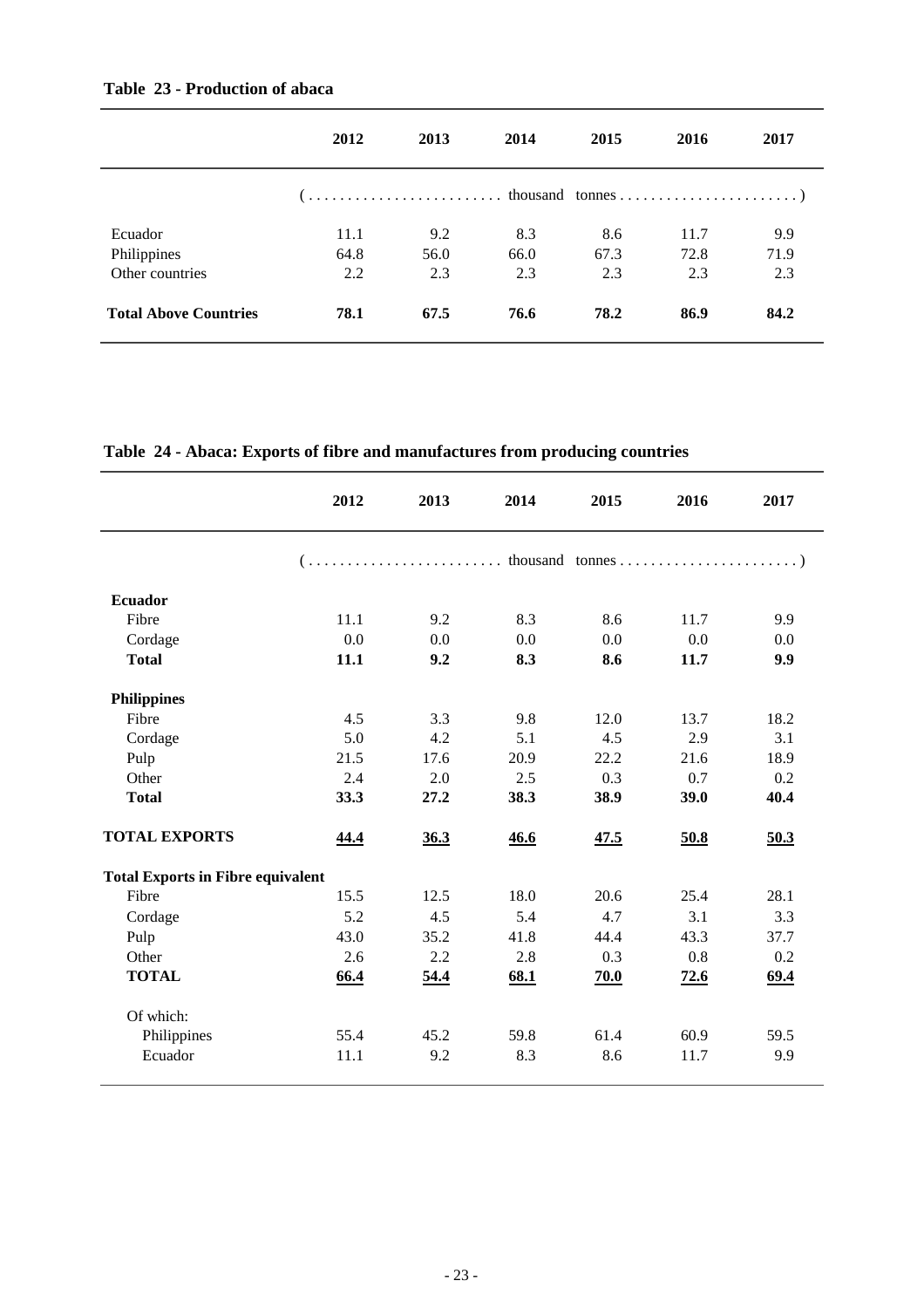|                              | 2012 | 2013 | 2014 | 2015 | 2016 | 2017 |
|------------------------------|------|------|------|------|------|------|
|                              |      |      |      |      |      |      |
| Ecuador                      | 11.1 | 9.2  | 8.3  | 8.6  | 11.7 | 9.9  |
| Philippines                  | 64.8 | 56.0 | 66.0 | 67.3 | 72.8 | 71.9 |
| Other countries              | 2.2  | 2.3  | 2.3  | 2.3  | 2.3  | 2.3  |
| <b>Total Above Countries</b> | 78.1 | 67.5 | 76.6 | 78.2 | 86.9 | 84.2 |

**2012 2013 2014 2015 2016 2017 Ecuador** Fibre 11.1 9.2 8.3 8.6 11.7 9.9  $\text{Cordage}$  0.0 0.0 0.0 0.0 0.0 0.0 0.0 **Total 11.1 9.2 8.3 8.6 11.7 9.9 Philippines** Fibre 4.5 3.3 9.8 12.0 13.7 18.2 Cordage 5.0 4.2 5.1 4.5 2.9 3.1 Pulp 21.5 17.6 20.9 22.2 21.6 18.9 Other 2.4 2.0 2.5 0.3 0.7 0.2 **Total 33.3 27.2 38.3 38.9 39.0 40.4 TOTAL EXPORTS 44.4 36.3 46.6 47.5 50.8 50.3 Total Exports in Fibre equivalent**  Fibre 15.5 12.5 18.0 20.6 25.4 28.1 Cordage 5.2 4.5 5.4 4.7 3.1 3.3 Pulp 43.0 35.2 41.8 44.4 43.3 37.7 Other 2.6 2.2 2.8 0.3 0.8 0.2 **TOTAL 66.4 54.4 68.1 70.0 72.6 69.4** Of which: Philippines 55.4 45.2 59.8 61.4 60.9 59.5 Ecuador 11.1 9.2 8.3 8.6 11.7 9.9 ( . . . . . . . . . . . . . . . . . . . . . . . . . thousand tonnes . . . . . . . . . . . . . . . . . . . . . . . )

**Table 24 - Abaca: Exports of fibre and manufactures from producing countries**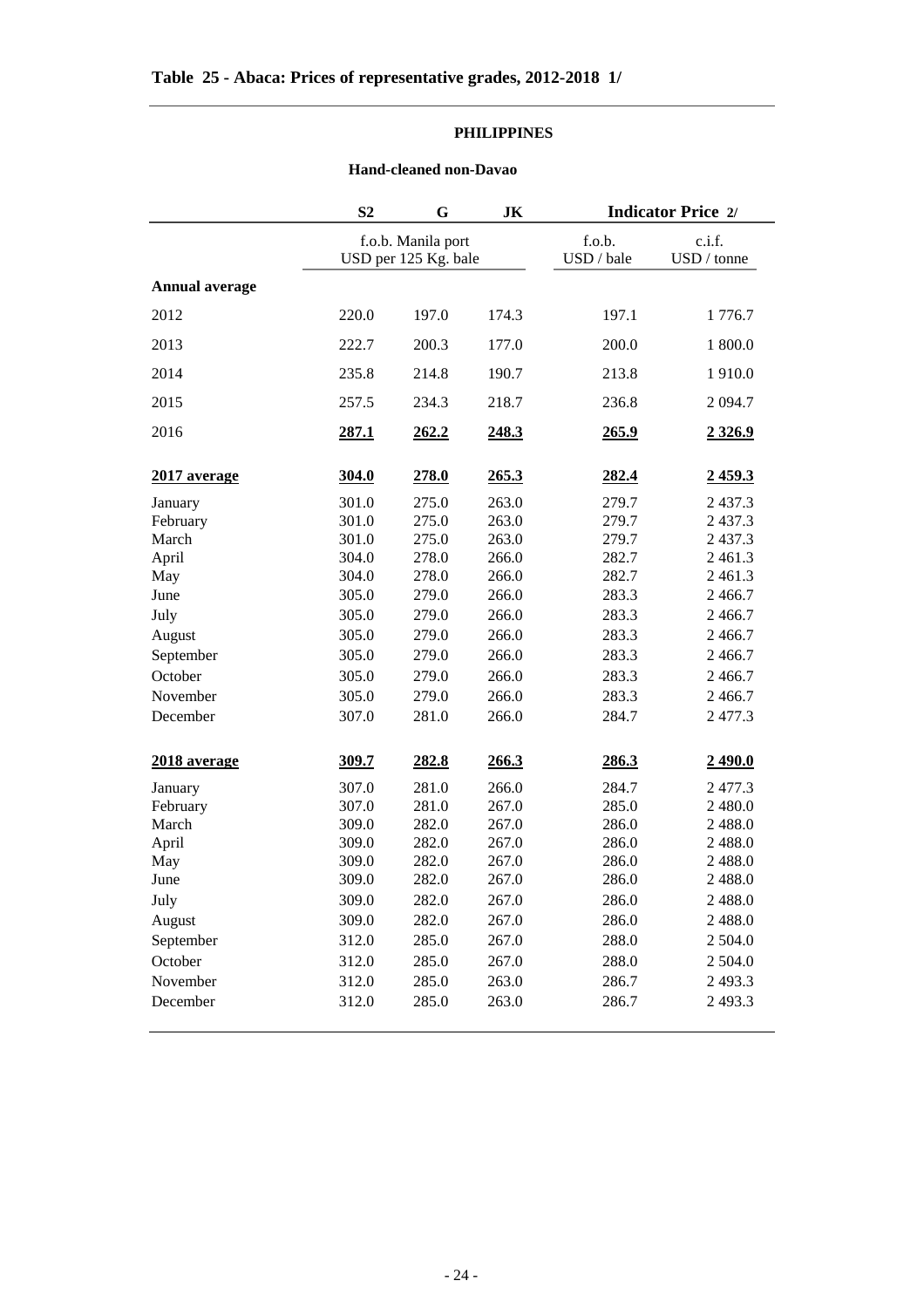#### **PHILIPPINES**

#### **Hand-cleaned non-Davao**

|                | S <sub>2</sub> | G                                          | JK    | <b>Indicator Price 2/</b> |                       |  |
|----------------|----------------|--------------------------------------------|-------|---------------------------|-----------------------|--|
|                |                | f.o.b. Manila port<br>USD per 125 Kg. bale |       | f.o.b.<br>USD / bale      | c.i.f.<br>USD / tonne |  |
| Annual average |                |                                            |       |                           |                       |  |
| 2012           | 220.0          | 197.0                                      | 174.3 | 197.1                     | 1776.7                |  |
| 2013           | 222.7          | 200.3                                      | 177.0 | 200.0                     | 1 800.0               |  |
| 2014           | 235.8          | 214.8                                      | 190.7 | 213.8                     | 1910.0                |  |
| 2015           | 257.5          | 234.3                                      | 218.7 | 236.8                     | 2 0 9 4.7             |  |
| 2016           | 287.1          | 262.2                                      | 248.3 | 265.9                     | 2 3 2 6 .9            |  |
| 2017 average   | 304.0          | 278.0                                      | 265.3 | 282.4                     | 2459.3                |  |
| January        | 301.0          | 275.0                                      | 263.0 | 279.7                     | 2 4 3 7 . 3           |  |
| February       | 301.0          | 275.0                                      | 263.0 | 279.7                     | 2 4 3 7 . 3           |  |
| March          | 301.0          | 275.0                                      | 263.0 | 279.7                     | 2 4 3 7 . 3           |  |
| April          | 304.0          | 278.0                                      | 266.0 | 282.7                     | 2 4 6 1 . 3           |  |
| May            | 304.0          | 278.0                                      | 266.0 | 282.7                     | 2 4 6 1 . 3           |  |
| June           | 305.0          | 279.0                                      | 266.0 | 283.3                     | 2 4 6 6.7             |  |
| July           | 305.0          | 279.0                                      | 266.0 | 283.3                     | 2 4 6 6.7             |  |
| August         | 305.0          | 279.0                                      | 266.0 | 283.3                     | 2 4 6 6.7             |  |
| September      | 305.0          | 279.0                                      | 266.0 | 283.3                     | 2 4 6 6.7             |  |
| October        | 305.0          | 279.0                                      | 266.0 | 283.3                     | 2 4 6 6.7             |  |
| November       | 305.0          | 279.0                                      | 266.0 | 283.3                     | 2 4 6 6.7             |  |
| December       | 307.0          | 281.0                                      | 266.0 | 284.7                     | 2477.3                |  |
| 2018 average   | 309.7          | 282.8                                      | 266.3 | 286.3                     | 2490.0                |  |
| January        | 307.0          | 281.0                                      | 266.0 | 284.7                     | 2477.3                |  |
| February       | 307.0          | 281.0                                      | 267.0 | 285.0                     | 2 480.0               |  |
| March          | 309.0          | 282.0                                      | 267.0 | 286.0                     | 2 4 8 8 .0            |  |
| April          | 309.0          | 282.0                                      | 267.0 | 286.0                     | 2 4 8 8 .0            |  |
| May            | 309.0          | 282.0                                      | 267.0 | 286.0                     | 2 4 8 8 .0            |  |
| June           | 309.0          | 282.0                                      | 267.0 | 286.0                     | 2 4 8 8 .0            |  |
| July           | 309.0          | 282.0                                      | 267.0 | 286.0                     | 2 4 8 8 .0            |  |
| August         | 309.0          | 282.0                                      | 267.0 | 286.0                     | 2 4 8 8 .0            |  |
| September      | 312.0          | 285.0                                      | 267.0 | 288.0                     | 2 504.0               |  |
| October        | 312.0          | 285.0                                      | 267.0 | 288.0                     | 2 504.0               |  |
| November       | 312.0          | 285.0                                      | 263.0 | 286.7                     | 2 4 9 3.3             |  |
| December       | 312.0          | 285.0                                      | 263.0 | 286.7                     | 2493.3                |  |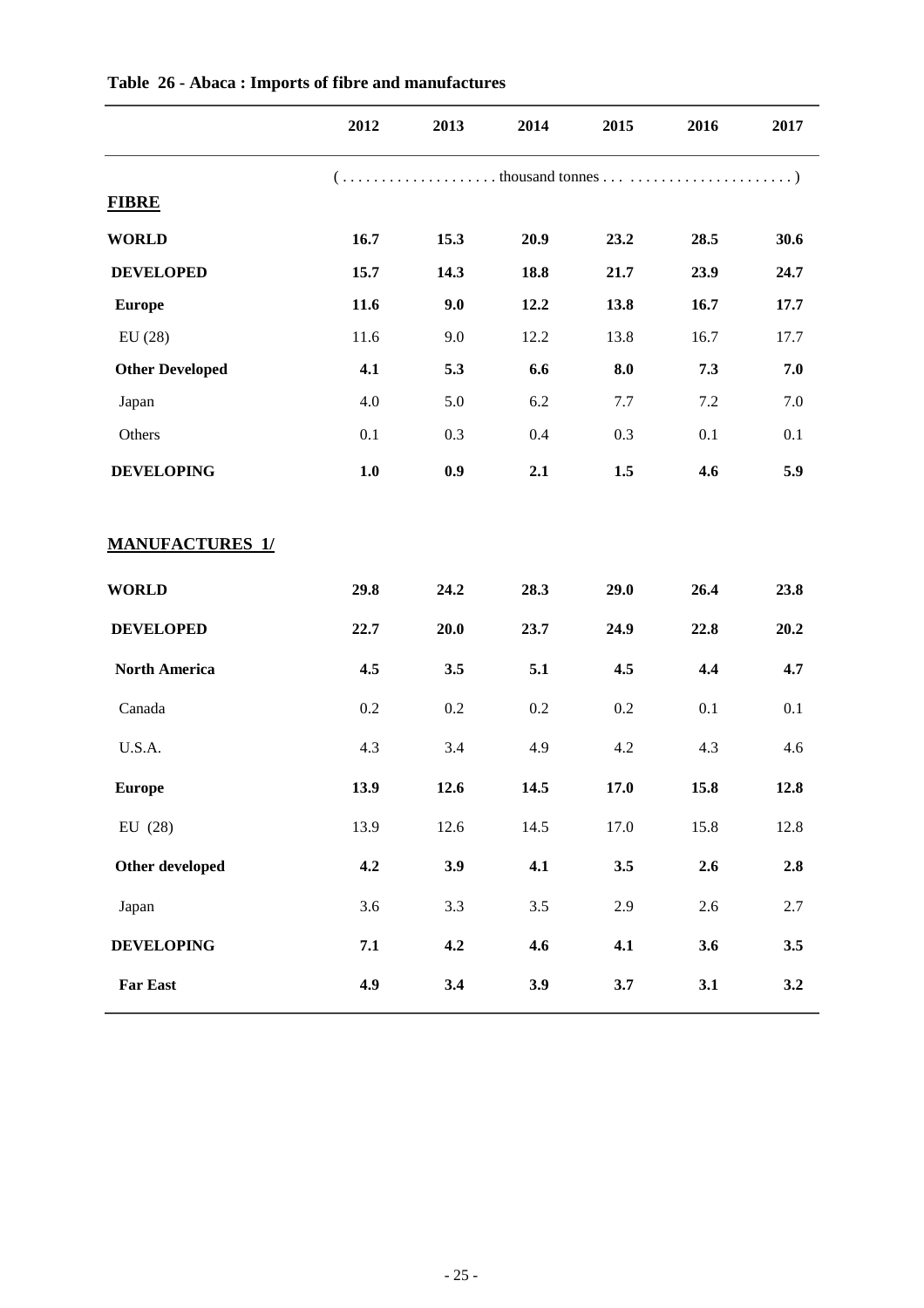|                        | 2012 | 2013 | 2014 | 2015 | 2016    | 2017 |
|------------------------|------|------|------|------|---------|------|
|                        |      |      |      |      |         |      |
| <b>FIBRE</b>           |      |      |      |      |         |      |
| <b>WORLD</b>           | 16.7 | 15.3 | 20.9 | 23.2 | 28.5    | 30.6 |
| <b>DEVELOPED</b>       | 15.7 | 14.3 | 18.8 | 21.7 | 23.9    | 24.7 |
| <b>Europe</b>          | 11.6 | 9.0  | 12.2 | 13.8 | 16.7    | 17.7 |
| EU(28)                 | 11.6 | 9.0  | 12.2 | 13.8 | 16.7    | 17.7 |
| <b>Other Developed</b> | 4.1  | 5.3  | 6.6  | 8.0  | 7.3     | 7.0  |
| Japan                  | 4.0  | 5.0  | 6.2  | 7.7  | 7.2     | 7.0  |
| Others                 | 0.1  | 0.3  | 0.4  | 0.3  | 0.1     | 0.1  |
| <b>DEVELOPING</b>      | 1.0  | 0.9  | 2.1  | 1.5  | 4.6     | 5.9  |
| <b>MANUFACTURES 1/</b> |      |      |      |      |         |      |
| <b>WORLD</b>           | 29.8 | 24.2 | 28.3 | 29.0 | 26.4    | 23.8 |
| <b>DEVELOPED</b>       | 22.7 | 20.0 | 23.7 | 24.9 | 22.8    | 20.2 |
| <b>North America</b>   | 4.5  | 3.5  | 5.1  | 4.5  | 4.4     | 4.7  |
| Canada                 | 0.2  | 0.2  | 0.2  | 0.2  | 0.1     | 0.1  |
| U.S.A.                 | 4.3  | 3.4  | 4.9  | 4.2  | 4.3     | 4.6  |
| <b>Europe</b>          | 13.9 | 12.6 | 14.5 | 17.0 | 15.8    | 12.8 |
| EU $(28)$              | 13.9 | 12.6 | 14.5 | 17.0 | 15.8    | 12.8 |
| Other developed        | 4.2  | 3.9  | 4.1  | 3.5  | 2.6     | 2.8  |
| Japan                  | 3.6  | 3.3  | 3.5  | 2.9  | $2.6\,$ | 2.7  |
| <b>DEVELOPING</b>      | 7.1  | 4.2  | 4.6  | 4.1  | 3.6     | 3.5  |
| <b>Far East</b>        | 4.9  | 3.4  | 3.9  | 3.7  | 3.1     | 3.2  |

### **Table 26 - Abaca : Imports of fibre and manufactures**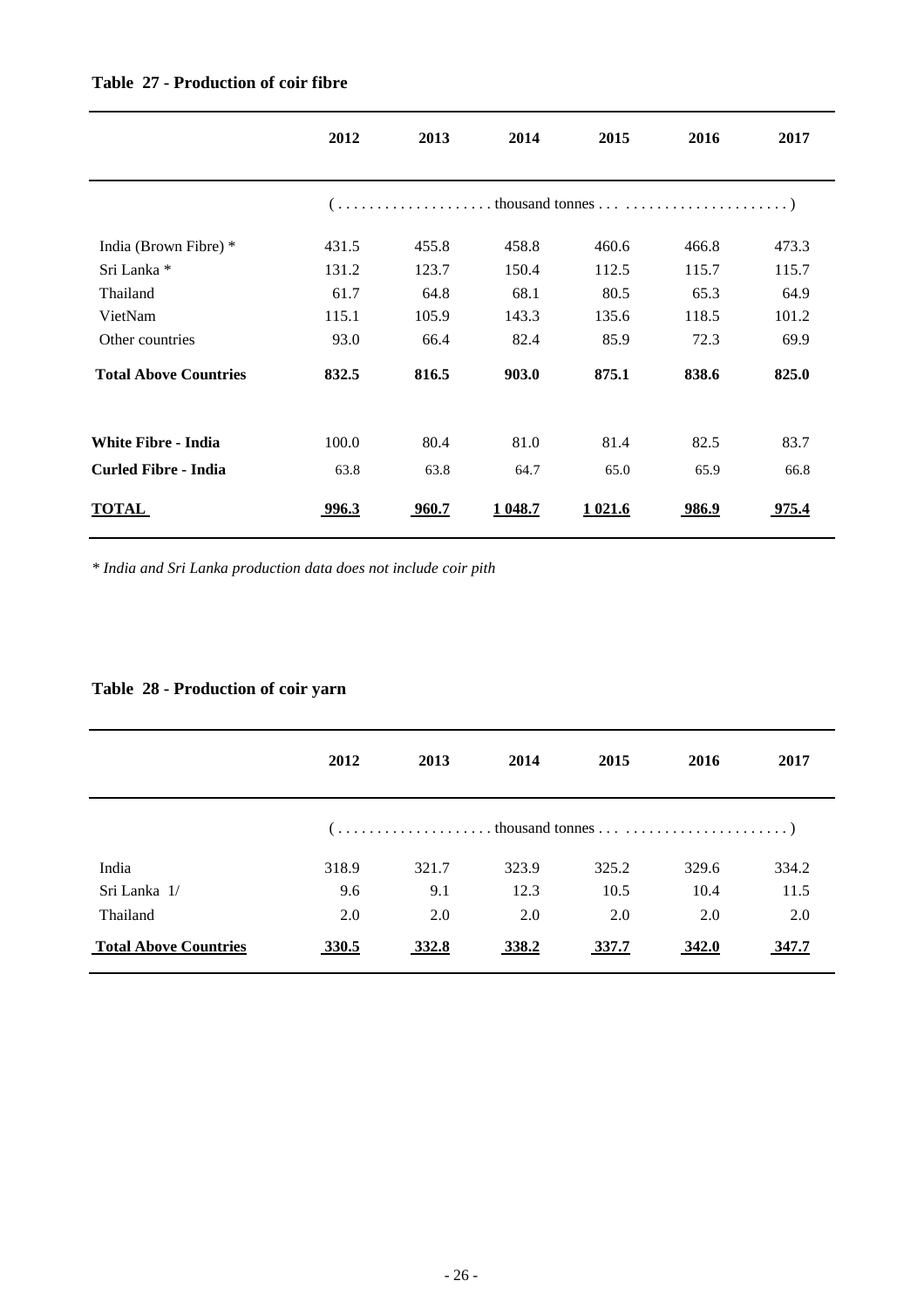|                              | 2012  | 2013  | 2014    | 2015     | 2016  | 2017         |
|------------------------------|-------|-------|---------|----------|-------|--------------|
|                              |       |       |         |          |       |              |
| India (Brown Fibre) *        | 431.5 | 455.8 | 458.8   | 460.6    | 466.8 | 473.3        |
| Sri Lanka *                  | 131.2 | 123.7 | 150.4   | 112.5    | 115.7 | 115.7        |
| Thailand                     | 61.7  | 64.8  | 68.1    | 80.5     | 65.3  | 64.9         |
| VietNam                      | 115.1 | 105.9 | 143.3   | 135.6    | 118.5 | 101.2        |
| Other countries              | 93.0  | 66.4  | 82.4    | 85.9     | 72.3  | 69.9         |
| <b>Total Above Countries</b> | 832.5 | 816.5 | 903.0   | 875.1    | 838.6 | 825.0        |
| <b>White Fibre - India</b>   | 100.0 | 80.4  | 81.0    | 81.4     | 82.5  | 83.7         |
| <b>Curled Fibre - India</b>  | 63.8  | 63.8  | 64.7    | 65.0     | 65.9  | 66.8         |
| <b>TOTAL</b>                 | 996.3 | 960.7 | 1 048.7 | 1 0 21.6 | 986.9 | <u>975.4</u> |

#### **Table 27 - Production of coir fibre**

*\* India and Sri Lanka production data does not include coir pith*

#### **Table 28 - Production of coir yarn**

|                              | 2012  | 2013  | 2014  | 2015  | 2016  | 2017  |
|------------------------------|-------|-------|-------|-------|-------|-------|
|                              |       |       |       |       |       |       |
| India                        | 318.9 | 321.7 | 323.9 | 325.2 | 329.6 | 334.2 |
| Sri Lanka 1/                 | 9.6   | 9.1   | 12.3  | 10.5  | 10.4  | 11.5  |
| Thailand                     | 2.0   | 2.0   | 2.0   | 2.0   | 2.0   | 2.0   |
| <b>Total Above Countries</b> | 330.5 | 332.8 | 338.2 | 337.7 | 342.0 | 347.7 |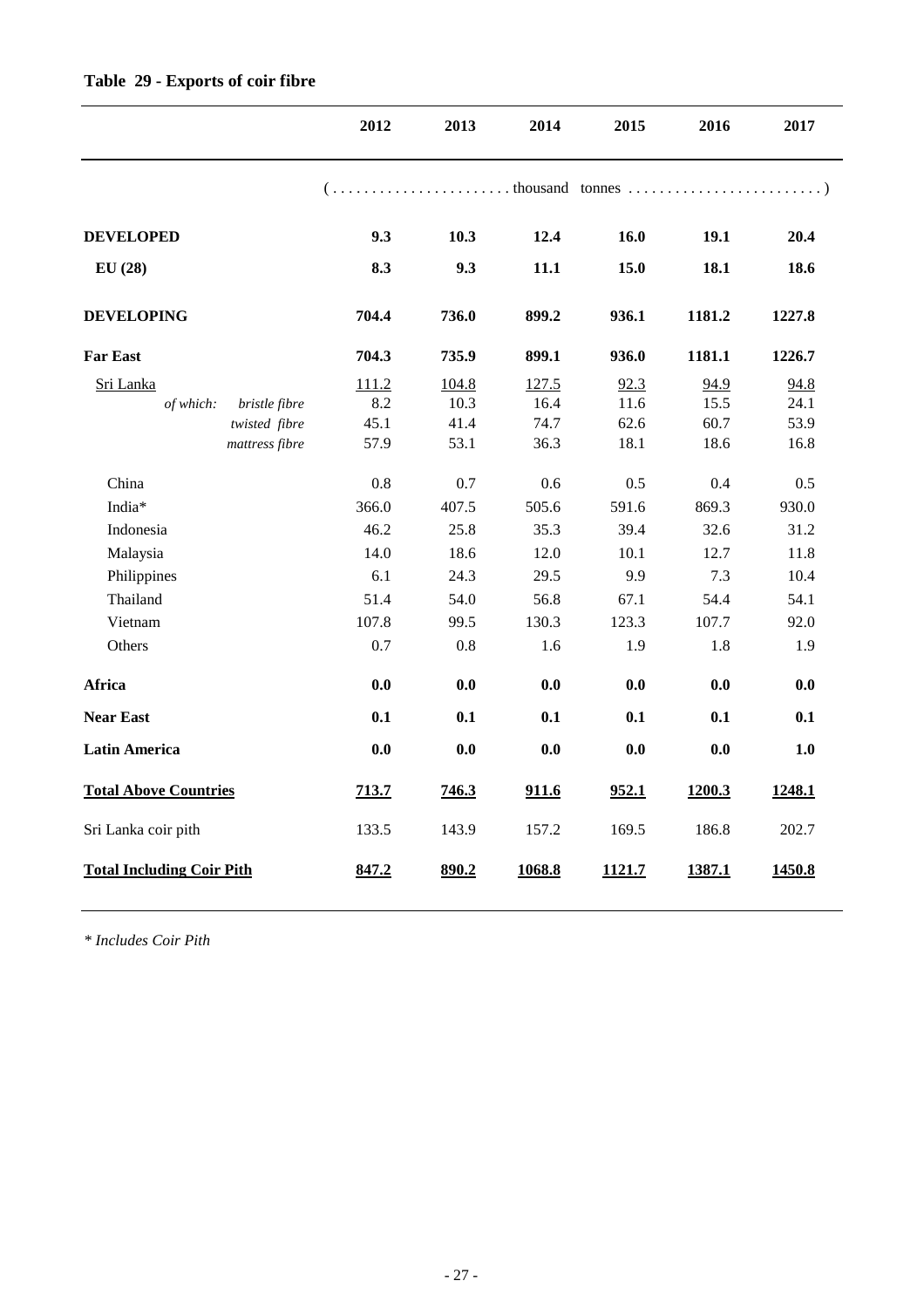|                                  | 2012  | 2013  | 2014   | 2015   | 2016   | 2017   |
|----------------------------------|-------|-------|--------|--------|--------|--------|
|                                  |       |       |        |        |        |        |
| <b>DEVELOPED</b>                 | 9.3   | 10.3  | 12.4   | 16.0   | 19.1   | 20.4   |
| EU(28)                           | 8.3   | 9.3   | 11.1   | 15.0   | 18.1   | 18.6   |
| <b>DEVELOPING</b>                | 704.4 | 736.0 | 899.2  | 936.1  | 1181.2 | 1227.8 |
| <b>Far East</b>                  | 704.3 | 735.9 | 899.1  | 936.0  | 1181.1 | 1226.7 |
| Sri Lanka                        | 111.2 | 104.8 | 127.5  | 92.3   | 94.9   | 94.8   |
| bristle fibre<br>of which:       | 8.2   | 10.3  | 16.4   | 11.6   | 15.5   | 24.1   |
| twisted fibre                    | 45.1  | 41.4  | 74.7   | 62.6   | 60.7   | 53.9   |
| mattress fibre                   | 57.9  | 53.1  | 36.3   | 18.1   | 18.6   | 16.8   |
| China                            | 0.8   | 0.7   | 0.6    | 0.5    | 0.4    | 0.5    |
| India*                           | 366.0 | 407.5 | 505.6  | 591.6  | 869.3  | 930.0  |
| Indonesia                        | 46.2  | 25.8  | 35.3   | 39.4   | 32.6   | 31.2   |
| Malaysia                         | 14.0  | 18.6  | 12.0   | 10.1   | 12.7   | 11.8   |
| Philippines                      | 6.1   | 24.3  | 29.5   | 9.9    | 7.3    | 10.4   |
| Thailand                         | 51.4  | 54.0  | 56.8   | 67.1   | 54.4   | 54.1   |
| Vietnam                          | 107.8 | 99.5  | 130.3  | 123.3  | 107.7  | 92.0   |
| Others                           | 0.7   | 0.8   | 1.6    | 1.9    | 1.8    | 1.9    |
| Africa                           | 0.0   | 0.0   | 0.0    | 0.0    | 0.0    | 0.0    |
| <b>Near East</b>                 | 0.1   | 0.1   | 0.1    | 0.1    | 0.1    | 0.1    |
| <b>Latin America</b>             | 0.0   | 0.0   | 0.0    | 0.0    | 0.0    | 1.0    |
| <b>Total Above Countries</b>     | 713.7 | 746.3 | 911.6  | 952.1  | 1200.3 | 1248.1 |
| Sri Lanka coir pith              | 133.5 | 143.9 | 157.2  | 169.5  | 186.8  | 202.7  |
| <b>Total Including Coir Pith</b> | 847.2 | 890.2 | 1068.8 | 1121.7 | 1387.1 | 1450.8 |

*\* Includes Coir Pith*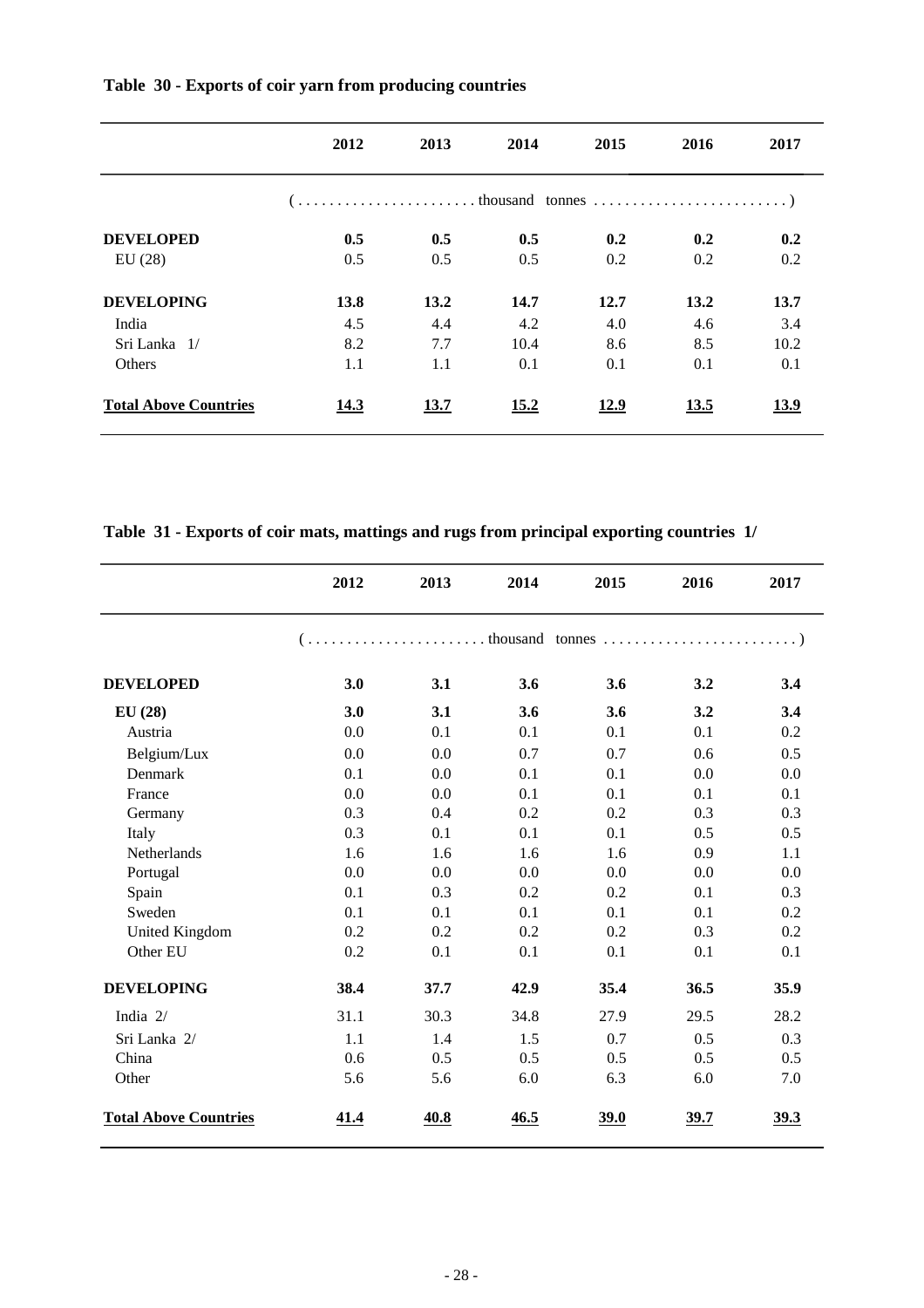|                              | 2012 | 2013 | 2014 | 2015 | 2016 | 2017        |
|------------------------------|------|------|------|------|------|-------------|
|                              |      |      |      |      |      |             |
| <b>DEVELOPED</b>             | 0.5  | 0.5  | 0.5  | 0.2  | 0.2  | 0.2         |
| EU(28)                       | 0.5  | 0.5  | 0.5  | 0.2  | 0.2  | 0.2         |
| <b>DEVELOPING</b>            | 13.8 | 13.2 | 14.7 | 12.7 | 13.2 | 13.7        |
| India                        | 4.5  | 4.4  | 4.2  | 4.0  | 4.6  | 3.4         |
| Sri Lanka 1/                 | 8.2  | 7.7  | 10.4 | 8.6  | 8.5  | 10.2        |
| Others                       | 1.1  | 1.1  | 0.1  | 0.1  | 0.1  | 0.1         |
| <b>Total Above Countries</b> | 14.3 | 13.7 | 15.2 | 12.9 | 13.5 | <u>13.9</u> |

**Table 30 - Exports of coir yarn from producing countries** 

**Table 31 - Exports of coir mats, mattings and rugs from principal exporting countries 1/**

|                              | 2012                                                                                                                                                  | 2013 | 2014 | 2015 | 2016 | 2017        |
|------------------------------|-------------------------------------------------------------------------------------------------------------------------------------------------------|------|------|------|------|-------------|
|                              | $( \ldots, \ldots, \ldots, \ldots, \ldots, \ldots, \ldots, \text{theousand}$ tonnes $\ldots, \ldots, \ldots, \ldots, \ldots, \ldots, \ldots, \ldots)$ |      |      |      |      |             |
| <b>DEVELOPED</b>             | 3.0                                                                                                                                                   | 3.1  | 3.6  | 3.6  | 3.2  | 3.4         |
| EU(28)                       | 3.0                                                                                                                                                   | 3.1  | 3.6  | 3.6  | 3.2  | 3.4         |
| Austria                      | 0.0                                                                                                                                                   | 0.1  | 0.1  | 0.1  | 0.1  | 0.2         |
| Belgium/Lux                  | 0.0                                                                                                                                                   | 0.0  | 0.7  | 0.7  | 0.6  | 0.5         |
| Denmark                      | 0.1                                                                                                                                                   | 0.0  | 0.1  | 0.1  | 0.0  | 0.0         |
| France                       | 0.0                                                                                                                                                   | 0.0  | 0.1  | 0.1  | 0.1  | 0.1         |
| Germany                      | 0.3                                                                                                                                                   | 0.4  | 0.2  | 0.2  | 0.3  | 0.3         |
| Italy                        | 0.3                                                                                                                                                   | 0.1  | 0.1  | 0.1  | 0.5  | 0.5         |
| Netherlands                  | 1.6                                                                                                                                                   | 1.6  | 1.6  | 1.6  | 0.9  | 1.1         |
| Portugal                     | 0.0                                                                                                                                                   | 0.0  | 0.0  | 0.0  | 0.0  | 0.0         |
| Spain                        | 0.1                                                                                                                                                   | 0.3  | 0.2  | 0.2  | 0.1  | 0.3         |
| Sweden                       | 0.1                                                                                                                                                   | 0.1  | 0.1  | 0.1  | 0.1  | 0.2         |
| <b>United Kingdom</b>        | 0.2                                                                                                                                                   | 0.2  | 0.2  | 0.2  | 0.3  | 0.2         |
| Other EU                     | 0.2                                                                                                                                                   | 0.1  | 0.1  | 0.1  | 0.1  | 0.1         |
| <b>DEVELOPING</b>            | 38.4                                                                                                                                                  | 37.7 | 42.9 | 35.4 | 36.5 | 35.9        |
| India 2/                     | 31.1                                                                                                                                                  | 30.3 | 34.8 | 27.9 | 29.5 | 28.2        |
| Sri Lanka 2/                 | 1.1                                                                                                                                                   | 1.4  | 1.5  | 0.7  | 0.5  | 0.3         |
| China                        | 0.6                                                                                                                                                   | 0.5  | 0.5  | 0.5  | 0.5  | 0.5         |
| Other                        | 5.6                                                                                                                                                   | 5.6  | 6.0  | 6.3  | 6.0  | 7.0         |
| <b>Total Above Countries</b> | 41.4                                                                                                                                                  | 40.8 | 46.5 | 39.0 | 39.7 | <u>39.3</u> |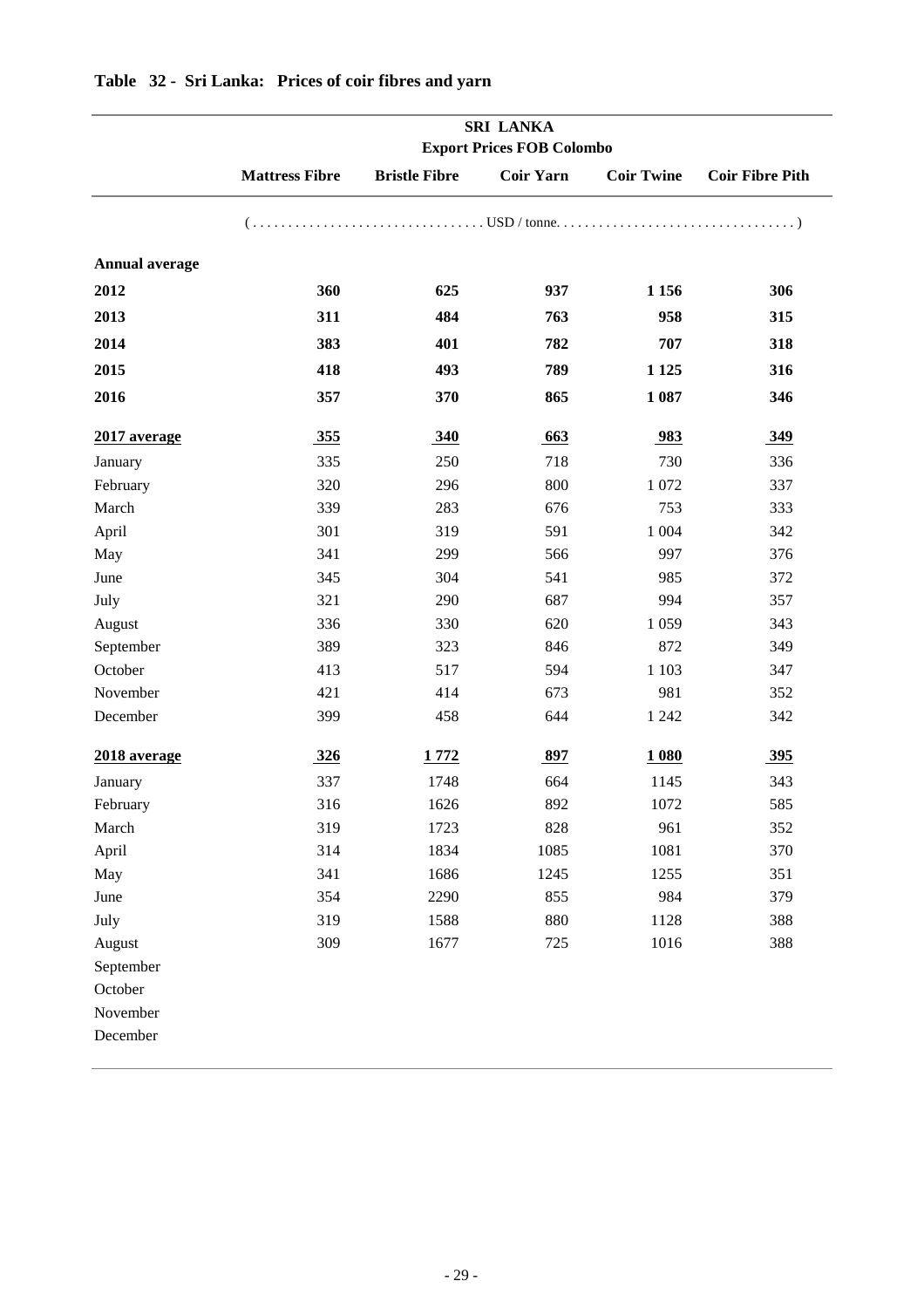|                       |                       | <b>SRI LANKA</b><br><b>Export Prices FOB Colombo</b> |                  |                   |                        |  |  |  |  |  |
|-----------------------|-----------------------|------------------------------------------------------|------------------|-------------------|------------------------|--|--|--|--|--|
|                       | <b>Mattress Fibre</b> | <b>Bristle Fibre</b>                                 | <b>Coir Yarn</b> | <b>Coir Twine</b> | <b>Coir Fibre Pith</b> |  |  |  |  |  |
|                       |                       |                                                      |                  |                   |                        |  |  |  |  |  |
| <b>Annual average</b> |                       |                                                      |                  |                   |                        |  |  |  |  |  |
| 2012                  | 360                   | 625                                                  | 937              | 1 1 5 6           | 306                    |  |  |  |  |  |
| 2013                  | 311                   | 484                                                  | 763              | 958               | 315                    |  |  |  |  |  |
| 2014                  | 383                   | 401                                                  | 782              | 707               | 318                    |  |  |  |  |  |
| 2015                  | 418                   | 493                                                  | 789              | 1 1 2 5           | 316                    |  |  |  |  |  |
| 2016                  | 357                   | 370                                                  | 865              | 1 0 8 7           | 346                    |  |  |  |  |  |
| 2017 average          | 355                   | 340                                                  | 663              | 983               | 349                    |  |  |  |  |  |
| January               | 335                   | 250                                                  | 718              | 730               | 336                    |  |  |  |  |  |
| February              | 320                   | 296                                                  | 800              | 1 0 7 2           | 337                    |  |  |  |  |  |
| March                 | 339                   | 283                                                  | 676              | 753               | 333                    |  |  |  |  |  |
| April                 | 301                   | 319                                                  | 591              | 1 0 0 4           | 342                    |  |  |  |  |  |
| May                   | 341                   | 299                                                  | 566              | 997               | 376                    |  |  |  |  |  |
| June                  | 345                   | 304                                                  | 541              | 985               | 372                    |  |  |  |  |  |
| July                  | 321                   | 290                                                  | 687              | 994               | 357                    |  |  |  |  |  |
| August                | 336                   | 330                                                  | 620              | 1 0 5 9           | 343                    |  |  |  |  |  |
| September             | 389                   | 323                                                  | 846              | 872               | 349                    |  |  |  |  |  |
| October               | 413                   | 517                                                  | 594              | 1 1 0 3           | 347                    |  |  |  |  |  |
| November              | 421                   | 414                                                  | 673              | 981               | 352                    |  |  |  |  |  |
| December              | 399                   | 458                                                  | 644              | 1 2 4 2           | 342                    |  |  |  |  |  |
| 2018 average          | <u>326</u>            | 1772                                                 | 897              | 1 080             | <u>395</u>             |  |  |  |  |  |
| January               | 337                   | 1748                                                 | 664              | 1145              | 343                    |  |  |  |  |  |
| February              | 316                   | 1626                                                 | 892              | 1072              | 585                    |  |  |  |  |  |
| March                 | 319                   | 1723                                                 | 828              | 961               | 352                    |  |  |  |  |  |
| April                 | 314                   | 1834                                                 | 1085             | 1081              | 370                    |  |  |  |  |  |
| May                   | 341                   | 1686                                                 | 1245             | 1255              | 351                    |  |  |  |  |  |
| June                  | 354                   | 2290                                                 | 855              | 984               | 379                    |  |  |  |  |  |
| July                  | 319                   | 1588                                                 | 880              | 1128              | 388                    |  |  |  |  |  |
| August                | 309                   | 1677                                                 | 725              | 1016              | 388                    |  |  |  |  |  |
| September             |                       |                                                      |                  |                   |                        |  |  |  |  |  |
| October               |                       |                                                      |                  |                   |                        |  |  |  |  |  |
| November              |                       |                                                      |                  |                   |                        |  |  |  |  |  |
| December              |                       |                                                      |                  |                   |                        |  |  |  |  |  |

### **Table 32 - Sri Lanka: Prices of coir fibres and yarn**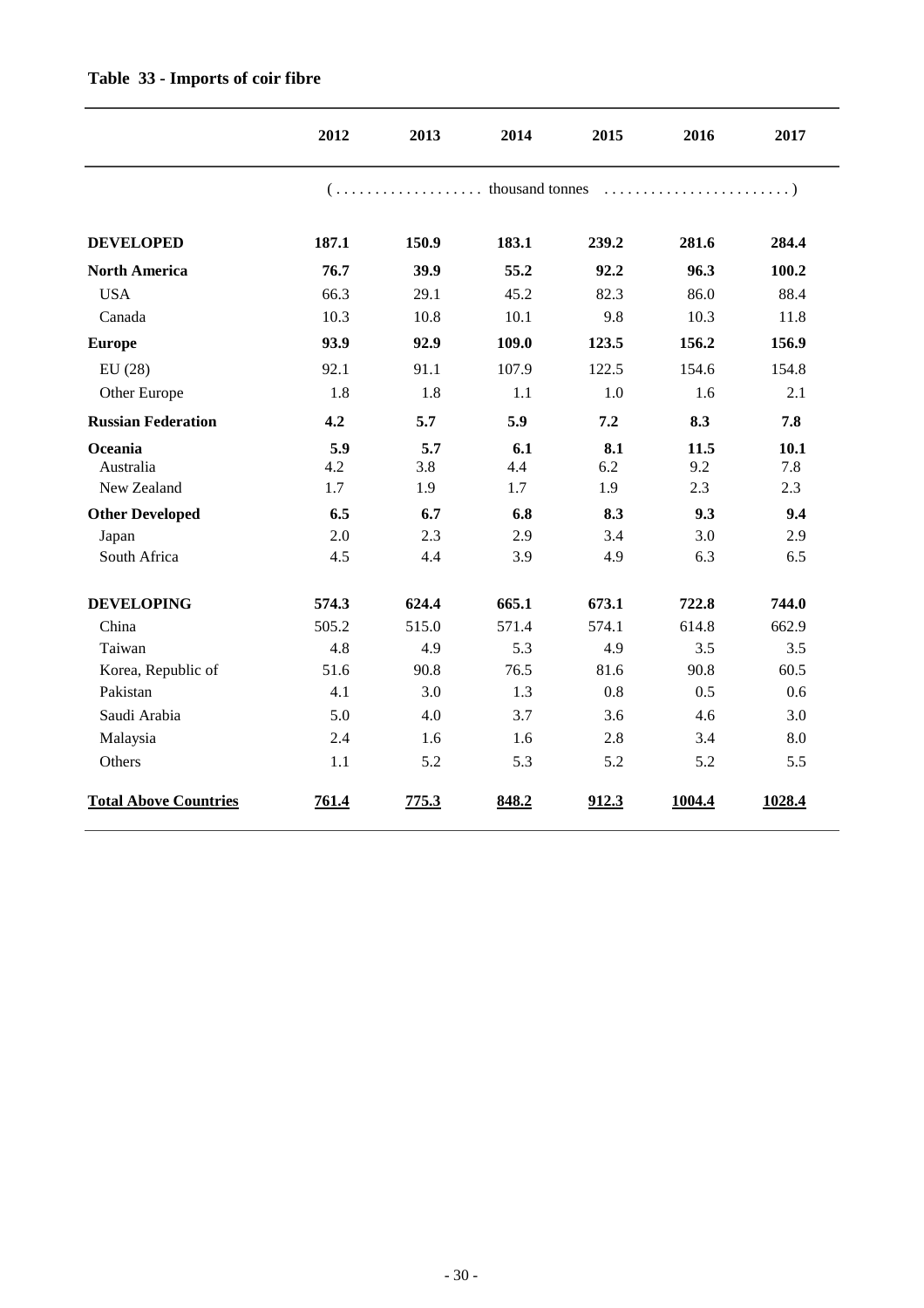|                              | 2012       | 2013       | 2014       | 2015       | 2016        | 2017        |
|------------------------------|------------|------------|------------|------------|-------------|-------------|
|                              |            |            |            |            |             |             |
| <b>DEVELOPED</b>             | 187.1      | 150.9      | 183.1      | 239.2      | 281.6       | 284.4       |
| <b>North America</b>         | 76.7       | 39.9       | 55.2       | 92.2       | 96.3        | 100.2       |
| <b>USA</b>                   | 66.3       | 29.1       | 45.2       | 82.3       | 86.0        | 88.4        |
| Canada                       | 10.3       | 10.8       | 10.1       | 9.8        | 10.3        | 11.8        |
| <b>Europe</b>                | 93.9       | 92.9       | 109.0      | 123.5      | 156.2       | 156.9       |
| EU(28)                       | 92.1       | 91.1       | 107.9      | 122.5      | 154.6       | 154.8       |
| Other Europe                 | 1.8        | 1.8        | 1.1        | 1.0        | 1.6         | 2.1         |
| <b>Russian Federation</b>    | 4.2        | 5.7        | 5.9        | 7.2        | 8.3         | 7.8         |
| Oceania<br>Australia         | 5.9<br>4.2 | 5.7<br>3.8 | 6.1<br>4.4 | 8.1<br>6.2 | 11.5<br>9.2 | 10.1<br>7.8 |
| New Zealand                  | 1.7        | 1.9        | 1.7        | 1.9        | 2.3         | 2.3         |
| <b>Other Developed</b>       | 6.5        | 6.7        | 6.8        | 8.3        | 9.3         | 9.4         |
| Japan                        | 2.0        | 2.3        | 2.9        | 3.4        | 3.0         | 2.9         |
| South Africa                 | 4.5        | 4.4        | 3.9        | 4.9        | 6.3         | 6.5         |
| <b>DEVELOPING</b>            | 574.3      | 624.4      | 665.1      | 673.1      | 722.8       | 744.0       |
| China                        | 505.2      | 515.0      | 571.4      | 574.1      | 614.8       | 662.9       |
| Taiwan                       | 4.8        | 4.9        | 5.3        | 4.9        | 3.5         | 3.5         |
| Korea, Republic of           | 51.6       | 90.8       | 76.5       | 81.6       | 90.8        | 60.5        |
| Pakistan                     | 4.1        | 3.0        | 1.3        | 0.8        | 0.5         | 0.6         |
| Saudi Arabia                 | 5.0        | 4.0        | 3.7        | 3.6        | 4.6         | 3.0         |
| Malaysia                     | 2.4        | 1.6        | 1.6        | 2.8        | 3.4         | 8.0         |
| Others                       | 1.1        | 5.2        | 5.3        | 5.2        | 5.2         | 5.5         |
| <b>Total Above Countries</b> | 761.4      | 775.3      | 848.2      | 912.3      | 1004.4      | 1028.4      |

#### **Table 33 - Imports of coir fibre**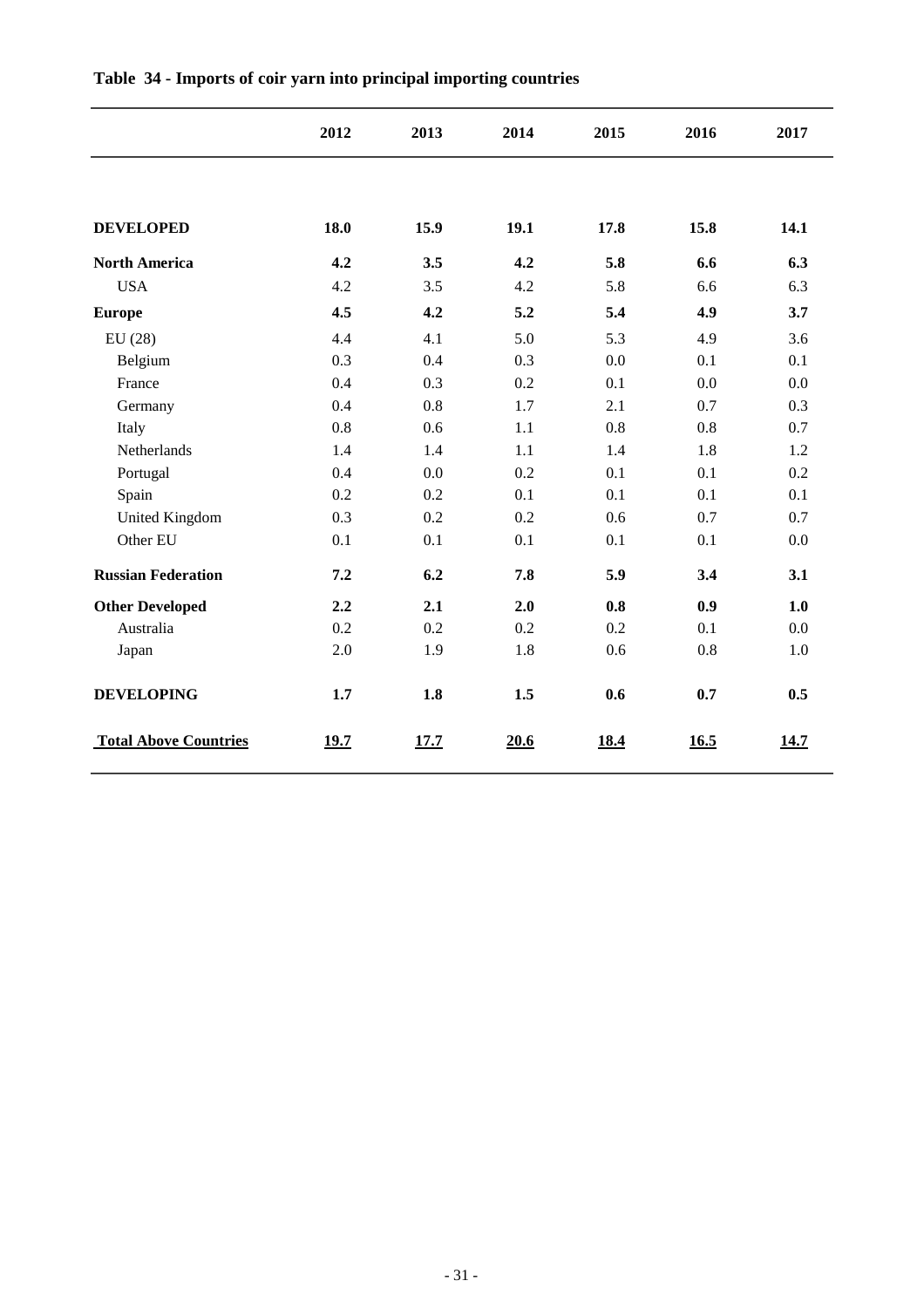|                              | 2012 | 2013 | 2014 | 2015 | 2016 | 2017 |
|------------------------------|------|------|------|------|------|------|
|                              |      |      |      |      |      |      |
| <b>DEVELOPED</b>             | 18.0 | 15.9 | 19.1 | 17.8 | 15.8 | 14.1 |
| <b>North America</b>         | 4.2  | 3.5  | 4.2  | 5.8  | 6.6  | 6.3  |
| <b>USA</b>                   | 4.2  | 3.5  | 4.2  | 5.8  | 6.6  | 6.3  |
| <b>Europe</b>                | 4.5  | 4.2  | 5.2  | 5.4  | 4.9  | 3.7  |
| EU(28)                       | 4.4  | 4.1  | 5.0  | 5.3  | 4.9  | 3.6  |
| Belgium                      | 0.3  | 0.4  | 0.3  | 0.0  | 0.1  | 0.1  |
| France                       | 0.4  | 0.3  | 0.2  | 0.1  | 0.0  | 0.0  |
| Germany                      | 0.4  | 0.8  | 1.7  | 2.1  | 0.7  | 0.3  |
| Italy                        | 0.8  | 0.6  | 1.1  | 0.8  | 0.8  | 0.7  |
| Netherlands                  | 1.4  | 1.4  | 1.1  | 1.4  | 1.8  | 1.2  |
| Portugal                     | 0.4  | 0.0  | 0.2  | 0.1  | 0.1  | 0.2  |
| Spain                        | 0.2  | 0.2  | 0.1  | 0.1  | 0.1  | 0.1  |
| <b>United Kingdom</b>        | 0.3  | 0.2  | 0.2  | 0.6  | 0.7  | 0.7  |
| Other EU                     | 0.1  | 0.1  | 0.1  | 0.1  | 0.1  | 0.0  |
| <b>Russian Federation</b>    | 7.2  | 6.2  | 7.8  | 5.9  | 3.4  | 3.1  |
| <b>Other Developed</b>       | 2.2  | 2.1  | 2.0  | 0.8  | 0.9  | 1.0  |
| Australia                    | 0.2  | 0.2  | 0.2  | 0.2  | 0.1  | 0.0  |
| Japan                        | 2.0  | 1.9  | 1.8  | 0.6  | 0.8  | 1.0  |
| <b>DEVELOPING</b>            | 1.7  | 1.8  | 1.5  | 0.6  | 0.7  | 0.5  |
| <b>Total Above Countries</b> | 19.7 | 17.7 | 20.6 | 18.4 | 16.5 | 14.7 |

#### **Table 34 - Imports of coir yarn into principal importing countries**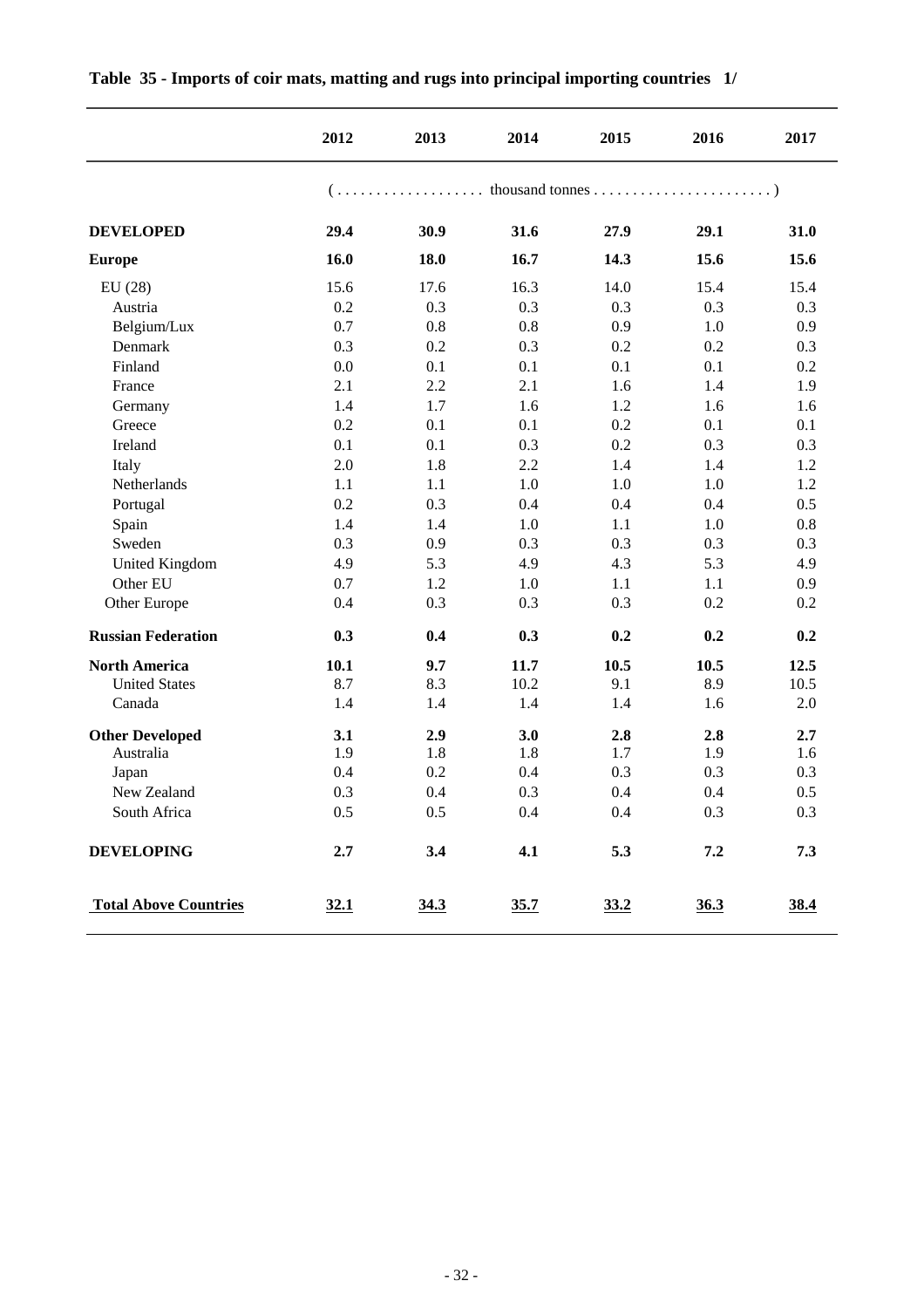|                              | 2012 | 2013 | 2014 | 2015 | 2016 | 2017 |
|------------------------------|------|------|------|------|------|------|
|                              |      |      |      |      |      |      |
| <b>DEVELOPED</b>             | 29.4 | 30.9 | 31.6 | 27.9 | 29.1 | 31.0 |
| <b>Europe</b>                | 16.0 | 18.0 | 16.7 | 14.3 | 15.6 | 15.6 |
| EU(28)                       | 15.6 | 17.6 | 16.3 | 14.0 | 15.4 | 15.4 |
| Austria                      | 0.2  | 0.3  | 0.3  | 0.3  | 0.3  | 0.3  |
| Belgium/Lux                  | 0.7  | 0.8  | 0.8  | 0.9  | 1.0  | 0.9  |
| Denmark                      | 0.3  | 0.2  | 0.3  | 0.2  | 0.2  | 0.3  |
| Finland                      | 0.0  | 0.1  | 0.1  | 0.1  | 0.1  | 0.2  |
| France                       | 2.1  | 2.2  | 2.1  | 1.6  | 1.4  | 1.9  |
| Germany                      | 1.4  | 1.7  | 1.6  | 1.2  | 1.6  | 1.6  |
| Greece                       | 0.2  | 0.1  | 0.1  | 0.2  | 0.1  | 0.1  |
| Ireland                      | 0.1  | 0.1  | 0.3  | 0.2  | 0.3  | 0.3  |
| Italy                        | 2.0  | 1.8  | 2.2  | 1.4  | 1.4  | 1.2  |
| Netherlands                  | 1.1  | 1.1  | 1.0  | 1.0  | 1.0  | 1.2  |
| Portugal                     | 0.2  | 0.3  | 0.4  | 0.4  | 0.4  | 0.5  |
| Spain                        | 1.4  | 1.4  | 1.0  | 1.1  | 1.0  | 0.8  |
| Sweden                       | 0.3  | 0.9  | 0.3  | 0.3  | 0.3  | 0.3  |
| United Kingdom               | 4.9  | 5.3  | 4.9  | 4.3  | 5.3  | 4.9  |
| Other EU                     | 0.7  | 1.2  | 1.0  | 1.1  | 1.1  | 0.9  |
| Other Europe                 | 0.4  | 0.3  | 0.3  | 0.3  | 0.2  | 0.2  |
| <b>Russian Federation</b>    | 0.3  | 0.4  | 0.3  | 0.2  | 0.2  | 0.2  |
| <b>North America</b>         | 10.1 | 9.7  | 11.7 | 10.5 | 10.5 | 12.5 |
| <b>United States</b>         | 8.7  | 8.3  | 10.2 | 9.1  | 8.9  | 10.5 |
| Canada                       | 1.4  | 1.4  | 1.4  | 1.4  | 1.6  | 2.0  |
| <b>Other Developed</b>       | 3.1  | 2.9  | 3.0  | 2.8  | 2.8  | 2.7  |
| Australia                    | 1.9  | 1.8  | 1.8  | 1.7  | 1.9  | 1.6  |
| Japan                        | 0.4  | 0.2  | 0.4  | 0.3  | 0.3  | 0.3  |
| New Zealand                  | 0.3  | 0.4  | 0.3  | 0.4  | 0.4  | 0.5  |
| South Africa                 | 0.5  | 0.5  | 0.4  | 0.4  | 0.3  | 0.3  |
| <b>DEVELOPING</b>            | 2.7  | 3.4  | 4.1  | 5.3  | 7.2  | 7.3  |
| <b>Total Above Countries</b> | 32.1 | 34.3 | 35.7 | 33.2 | 36.3 | 38.4 |

#### **Table 35 - Imports of coir mats, matting and rugs into principal importing countries 1/**